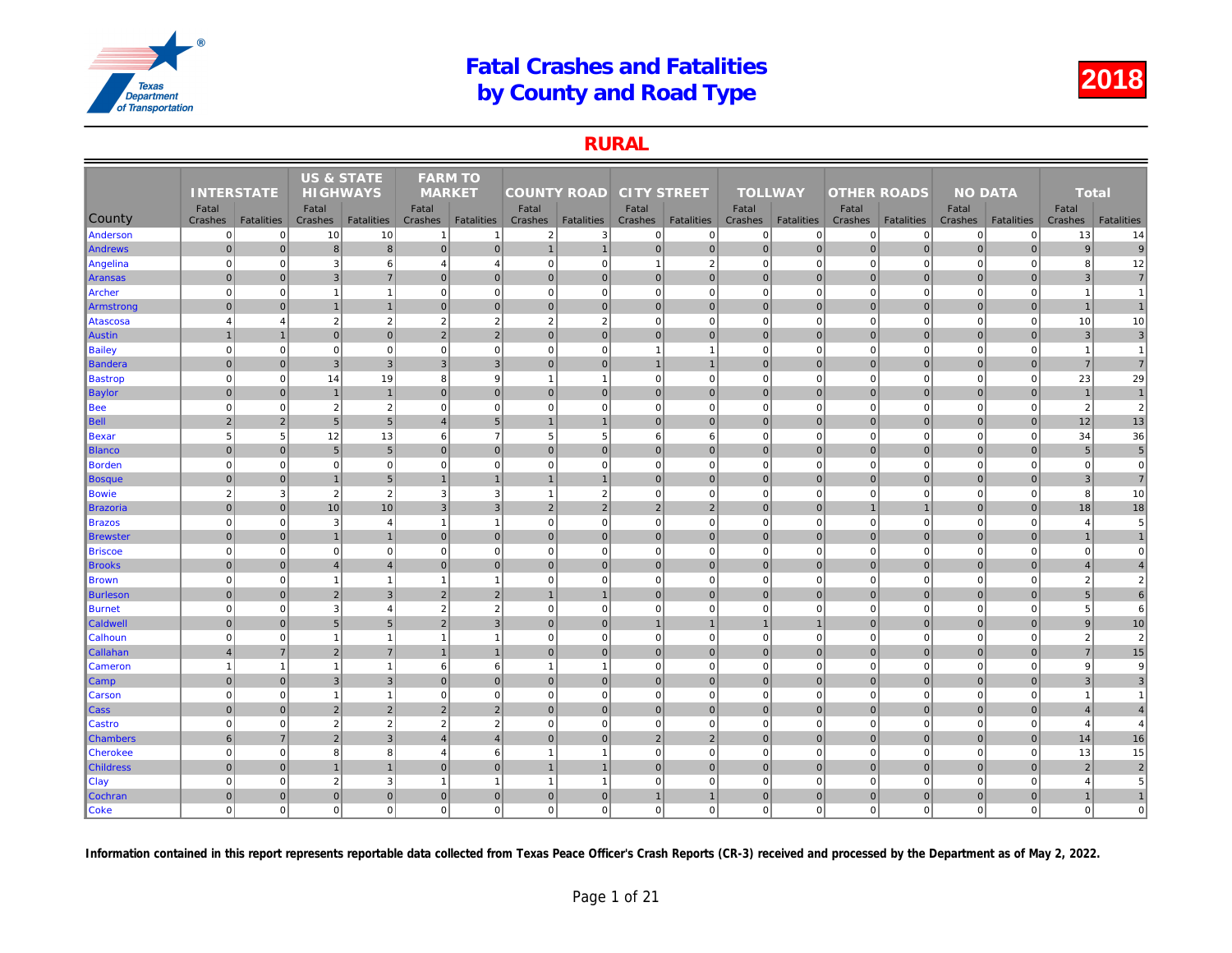### RURAL

|                  |                   |                   | <b>US &amp; STATE</b> |                   | <b>FARM TO</b> |                   |                    |                   |                    |                   |                |                   |                    |                   |     |
|------------------|-------------------|-------------------|-----------------------|-------------------|----------------|-------------------|--------------------|-------------------|--------------------|-------------------|----------------|-------------------|--------------------|-------------------|-----|
|                  | <b>INTERSTATE</b> |                   | <b>HIGHWAYS</b>       |                   | <b>MARKET</b>  |                   | <b>COUNTY ROAD</b> |                   | <b>CITY STREET</b> |                   | <b>TOLLWAY</b> |                   | <b>OTHER ROADS</b> |                   |     |
|                  | Fatal             |                   | Fatal                 |                   | Fatal          |                   | Fatal              |                   | Fatal              |                   | Fatal          |                   | Fatal              |                   |     |
| County           | Crashes           | <b>Fatalities</b> | Crashes               | <b>Fatalities</b> | Crashes        | <b>Fatalities</b> | Crashes            | <b>Fatalities</b> | Crashes            | <b>Fatalities</b> | Crashes        | <b>Fatalities</b> | Crashes            | <b>Fatalities</b> | Cra |
| Anderson         | $\overline{0}$    | $\Omega$          | 10                    | 10                |                | $\mathbf{1}$      | $\overline{2}$     | $\overline{3}$    | $\overline{0}$     | $\overline{0}$    | $\mathbf 0$    | $\Omega$          | 0                  | $\overline{0}$    |     |
| Andrews          | $\mathbf 0$       | $\mathbf 0$       | 8                     | 8                 | $\mathbf 0$    | $\overline{0}$    | $\mathbf{1}$       | $\overline{1}$    | $\overline{0}$     | $\overline{0}$    | $\mathbf 0$    | $\overline{0}$    | $\mathbf 0$        | $\overline{0}$    |     |
| Angelina         | $\mathbf 0$       | $\mathbf 0$       | 3                     | 6                 | $\overline{4}$ | $\overline{4}$    | 0                  | $\mathbf 0$       | $\overline{1}$     | $\overline{2}$    | $\mathbf 0$    | $\Omega$          | $\mathbf 0$        | $\mathbf 0$       |     |
| Aransas          | $\mathbf{0}$      | $\overline{0}$    | 3                     | $\overline{7}$    | $\mathbf{0}$   | $\mathbf{0}$      | $\overline{0}$     | $\overline{0}$    | $\overline{0}$     | $\mathbf 0$       | $\mathbf 0$    | $\mathbf{0}$      | $\mathbf 0$        | $\overline{0}$    |     |
| Archer           | $\mathbf 0$       | $\Omega$          | $\overline{1}$        | $\mathbf{1}$      | $\mathbf 0$    | $\mathbf 0$       | $\overline{0}$     | $\Omega$          | $\mathbf{0}$       | $\mathbf 0$       | $\mathbf 0$    | $\Omega$          | $\mathbf 0$        | $\mathbf 0$       |     |
| Armstrong        | $\mathbf 0$       | $\overline{0}$    | $\overline{1}$        | $\overline{1}$    | $\Omega$       | $\mathbf{0}$      | 0                  | $\overline{0}$    | $\overline{0}$     | $\overline{0}$    | $\mathbf 0$    | $\Omega$          | $\mathbf 0$        | $\overline{0}$    |     |
| Atascosa         | $\overline{4}$    | $\overline{4}$    | $\overline{2}$        | $\sqrt{2}$        | $\overline{2}$ | $\overline{2}$    | $\overline{2}$     | $\overline{2}$    | $\mathbf{0}$       | $\mathbf{0}$      | $\mathbf 0$    | $\mathbf 0$       | $\mathbf 0$        | $\mathbf 0$       |     |
| <b>Austin</b>    | $\mathbf{1}$      | $\overline{1}$    | $\mathbf 0$           | $\overline{0}$    | $\overline{2}$ | $\overline{2}$    | $\overline{0}$     | $\overline{0}$    | $\overline{0}$     | $\overline{0}$    | $\mathbf{0}$   | $\mathbf{0}$      | $\mathbf 0$        | $\overline{0}$    |     |
| Bailey           | $\mathbf 0$       | $\mathbf 0$       | $\Omega$              | $\mathbf{0}$      | $\mathbf 0$    | $\mathbf 0$       | $\mathbf{0}$       | $\mathbf 0$       | $\mathbf{1}$       | $\mathbf{1}$      | $\mathbf 0$    | $\mathbf 0$       | $\mathbf 0$        | $\mathbf 0$       |     |
| ∥Bandera         | $\mathbf{0}$      | $\mathbf{0}$      | $\overline{3}$        | $\overline{3}$    | $\overline{3}$ | $\overline{3}$    | 0                  | $\mathbf{0}$      | $\mathbf{1}$       | 1                 | $\mathbf{0}$   | $\overline{0}$    | $\mathbf{0}$       | $\overline{0}$    |     |
| <b>Bastrop</b>   | $\mathbf 0$       | $\mathbf 0$       | 14                    | 19                | 8              | $9\,$             | $\mathbf{1}$       | $\overline{1}$    | $\mathbf{0}$       | $\overline{0}$    | $\mathbf 0$    | $\mathbf 0$       | $\mathbf 0$        | $\mathbf 0$       |     |
| Baylor           | $\mathbf{0}$      | $\Omega$          | $\overline{1}$        | $\mathbf{1}$      | $\mathbf{0}$   | $\mathbf{0}$      | $\overline{0}$     | $\overline{0}$    | $\overline{0}$     | $\mathbf{0}$      | $\mathbf{0}$   | $\Omega$          | $\mathbf 0$        | $\mathbf 0$       |     |
| Bee              | $\mathbf 0$       | $\mathbf 0$       | $\overline{2}$        | $\overline{2}$    | $\mathbf 0$    | $\mathbf 0$       | $\overline{0}$     | $\mathbf 0$       | $\mathbf{0}$       | $\mathbf{0}$      | $\mathbf 0$    | $\mathbf 0$       | $\mathbf 0$        | $\mathbf 0$       |     |
| <b>Bell</b>      | $\overline{2}$    | $\overline{2}$    | 5                     | $5\phantom{.0}$   | $\overline{4}$ | $5\phantom{.0}$   | $\mathbf{1}$       | $\overline{1}$    | $\overline{0}$     | $\overline{0}$    | $\mathbf{0}$   | $\Omega$          | $\mathbf{0}$       | $\Omega$          |     |
| Bexar            | 5                 | 5                 | 12                    | 13                | 6              | $\overline{7}$    | 5 <sup>2</sup>     | 5                 | 6                  | 6                 | $\mathbf 0$    | $\mathbf 0$       | $\mathbf 0$        | $\Omega$          |     |
| <b>Blanco</b>    | $\mathbf 0$       | $\mathbf 0$       | $\sqrt{5}$            | $5\overline{)}$   | $\mathbf{0}$   | $\mathbf{0}$      | $\overline{0}$     | $\overline{0}$    | $\overline{0}$     | $\overline{0}$    | $\mathbf 0$    | $\overline{0}$    | $\pmb{0}$          | $\mathbf 0$       |     |
| Borden           | $\mathbf 0$       | $\mathbf 0$       | $\mathbf 0$           | $\mathbf{0}$      | $\mathbf 0$    | $\mathbf 0$       | 0                  | $\mathbf 0$       | $\mathbf{0}$       | $\mathbf{0}$      | $\mathbf 0$    | $\mathbf 0$       | $\mathbf 0$        | $\mathbf{0}$      |     |
| Bosque           | $\mathbf{0}$      | $\Omega$          | $\overline{1}$        | $5\overline{)}$   |                | $\overline{1}$    | $\overline{1}$     |                   | $\overline{0}$     | $\overline{0}$    | $\mathbf{0}$   | $\Omega$          | $\mathbf 0$        | $\Omega$          |     |
| Bowie            | $\overline{2}$    | 3                 | $\overline{2}$        | $\overline{2}$    | 3              | 3                 | $\mathbf{1}$       | $\overline{2}$    | $\mathbf{0}$       | $\overline{0}$    | $\mathbf 0$    | $\mathbf 0$       | $\mathbf 0$        | $\mathbf 0$       |     |
| Brazoria         | $\mathbf{0}$      | $\Omega$          | 10                    | 10                | 3              | $\mathbf{3}$      | $2 \nvert$         | $\overline{2}$    | 2                  | $\overline{2}$    | $\mathbf{0}$   | $\Omega$          | $\mathbf 1$        | $\mathbf{1}$      |     |
| Brazos           | $\mathbf 0$       | $\pmb{0}$         | -3                    | $\overline{4}$    | $\overline{1}$ | $\overline{1}$    | 0                  | $\mathbf 0$       | $\mathbf{0}$       | $\overline{0}$    | $\mathbf 0$    | $\mathbf 0$       | $\mathbf 0$        | $\mathbf 0$       |     |
| Brewster         | $\mathbf{0}$      | $\overline{0}$    | $\overline{1}$        | $\mathbf{1}$      | $\mathbf{0}$   | $\mathbf{0}$      | $\overline{0}$     | $\overline{0}$    | $\overline{0}$     | $\mathbf 0$       | $\mathbf 0$    | $\Omega$          | $\mathbf 0$        | $\overline{0}$    |     |
| <b>Briscoe</b>   | $\mathbf 0$       | $\mathbf 0$       | $\mathbf 0$           | $\mathbf 0$       | $\mathbf 0$    | $\mathbf 0$       | $\overline{0}$     | $\Omega$          | $\mathbf{0}$       | $\mathbf 0$       | $\mathbf 0$    | $\mathbf 0$       | $\mathbf 0$        | $\mathbf 0$       |     |
| <b>Brooks</b>    | $\overline{0}$    | $\mathbf{0}$      | $\overline{4}$        | $\overline{4}$    | $\mathbf{0}$   | $\overline{0}$    | 0                  | $\mathbf 0$       | 0                  | $\overline{0}$    | $\mathbf{0}$   | $\overline{0}$    | $\mathbf 0$        | $\overline{0}$    |     |
| <b>Brown</b>     | $\overline{0}$    | $\pmb{0}$         | $\overline{1}$        | $\mathbf{1}$      | $\overline{1}$ | $\mathbf{1}$      | 0                  | $\mathbf 0$       | $\mathbf{0}$       | $\mathbf 0$       | $\mathbf 0$    | $\mathbf 0$       | $\mathbf 0$        | $\mathbf 0$       |     |
| <b>Burleson</b>  | $\mathbf 0$       | $\overline{0}$    | $\overline{2}$        | $\overline{3}$    | $\overline{2}$ | $\overline{2}$    | $\overline{1}$     |                   | $\overline{0}$     | $\overline{0}$    | $\mathbf{0}$   | $\Omega$          | $\mathbf 0$        | $\overline{0}$    |     |
| Burnet           | $\mathbf 0$       | $\Omega$          | 3                     | $\overline{4}$    | $\overline{2}$ | $\overline{2}$    | $\Omega$           | $\Omega$          | $\overline{0}$     | $\mathbf 0$       | $\mathbf 0$    | $\Omega$          | $\Omega$           | $\Omega$          |     |
| Caldwell         | $\mathbf{0}$      | $\Omega$          | 5                     | 5 <sub>5</sub>    | $\overline{2}$ | 3                 | $\overline{0}$     | $\mathbf 0$       | $\mathbf{1}$       | $\mathbf{1}$      | -1             | $\mathbf 1$       | $\mathbf 0$        | $\overline{0}$    |     |
| <b>Calhoun</b>   | $\mathbf 0$       | $\mathbf 0$       | $\overline{1}$        | $\mathbf{1}$      | $\overline{1}$ | $\overline{1}$    | 0                  | $\mathbf 0$       | $\overline{0}$     | $\mathbf{0}$      | $\mathbf 0$    | $\mathbf 0$       | $\mathbf 0$        | $\mathbf 0$       |     |
| Callahan         | $\overline{4}$    | $\overline{7}$    | $\sqrt{2}$            | $\sqrt{7}$        |                | $\mathbf{1}$      | $\overline{0}$     | $\overline{0}$    | $\overline{0}$     | $\overline{0}$    | $\mathbf 0$    | $\mathbf{0}$      | $\pmb{0}$          | $\mathbf 0$       |     |
| <b>Cameron</b>   | $\overline{1}$    | 1                 | $\overline{1}$        | $\mathbf{1}$      | 6              | 6                 | $\mathbf{1}$       | -1                | $\overline{0}$     | $\Omega$          | $\mathbf 0$    | $\Omega$          | $\Omega$           | $\Omega$          |     |
| Camp             | $\mathbf{0}$      | $\Omega$          | $\mathbf{3}$          | $\mathbf{3}$      | $\mathbf{0}$   | $\mathbf{0}$      | 0                  | $\overline{0}$    | $\overline{0}$     | $\overline{0}$    | $\mathbf{0}$   | $\overline{0}$    | $\mathbf 0$        | $\overline{0}$    |     |
| <b>Carson</b>    | $\mathbf 0$       | $\Omega$          | $\overline{1}$        | $\mathbf{1}$      | $\mathbf 0$    | $\mathbf 0$       | $\overline{0}$     | $\Omega$          | $\mathbf{0}$       | $\overline{0}$    | $\mathbf 0$    | $\mathbf 0$       | $\mathbf 0$        | $\Omega$          |     |
| Cass             | $\mathbf 0$       | $\mathbf 0$       | $\overline{2}$        | $\overline{2}$    | $\overline{2}$ | $\overline{2}$    | $\overline{0}$     | $\mathbf 0$       | $\overline{0}$     | $\mathbf 0$       | $\mathbf 0$    | $\mathbf{0}$      | $\mathbf 0$        | $\mathbf 0$       |     |
| Castro           | $\mathbf 0$       | $\mathbf 0$       | $\overline{2}$        | $\overline{2}$    | $\overline{2}$ | $\overline{2}$    | $\overline{0}$     | $\mathbf 0$       | $\overline{0}$     | $\mathbf{0}$      | $\mathbf 0$    | $\mathbf 0$       | $\mathbf 0$        | $\overline{0}$    |     |
| <b>Chambers</b>  | 6                 | $\overline{7}$    | $\overline{2}$        | $\mathbf{3}$      |                | $\overline{4}$    | $\overline{0}$     | $\overline{0}$    | $\overline{2}$     | $\overline{2}$    | $\mathbf 0$    | $\overline{0}$    | $\mathbf 0$        | $\overline{0}$    |     |
| <b>Cherokee</b>  | $\mathbf 0$       | $\Omega$          | 8                     | 8                 | $\overline{4}$ | $6\phantom{1}$    | $\overline{1}$     | $\overline{1}$    | $\mathbf{0}$       | $\overline{0}$    | $\mathbf 0$    | $\mathbf 0$       | $\mathbf 0$        | $\mathbf 0$       |     |
| <b>Childress</b> | $\pmb{0}$         | $\mathbf 0$       | $\overline{1}$        | $\mathbf{1}$      | $\mathbf 0$    | $\mathbf 0$       | $\mathbf{1}$       | $\overline{1}$    | $\overline{0}$     | $\overline{0}$    | $\mathbf 0$    | $\overline{0}$    | $\pmb{0}$          | $\overline{0}$    |     |
| Clay             | $\mathbf 0$       | $\mathbf 0$       | $\overline{2}$        | 3                 | -1             | $\mathbf{1}$      | $\mathbf{1}$       | -1                | $\overline{0}$     | $\mathbf 0$       | $\mathbf 0$    | $\mathbf 0$       | $\mathbf 0$        | $\overline{0}$    |     |
| Cochran          | $\mathbf 0$       | $\mathbf{0}$      | $\mathbf{0}$          | $\overline{0}$    | $\mathbf{0}$   | $\mathbf{0}$      | $\overline{0}$     | $\overline{0}$    | $\overline{1}$     | $\mathbf{1}$      | $\mathbf 0$    | $\overline{0}$    | $\mathbf 0$        | $\overline{0}$    |     |
| <b>Coke</b>      | $\mathbf 0$       | $\Omega$          | $\Omega$              | $\overline{0}$    | $\mathbf 0$    | $\mathbf 0$       | 0                  | $\Omega$          | $\overline{0}$     | $\overline{0}$    | $\mathbf 0$    | $\mathbf 0$       | $\mathbf 0$        | $\mathbf{0}$      |     |
|                  |                   |                   |                       |                   |                |                   |                    |                   |                    |                   |                |                   |                    |                   |     |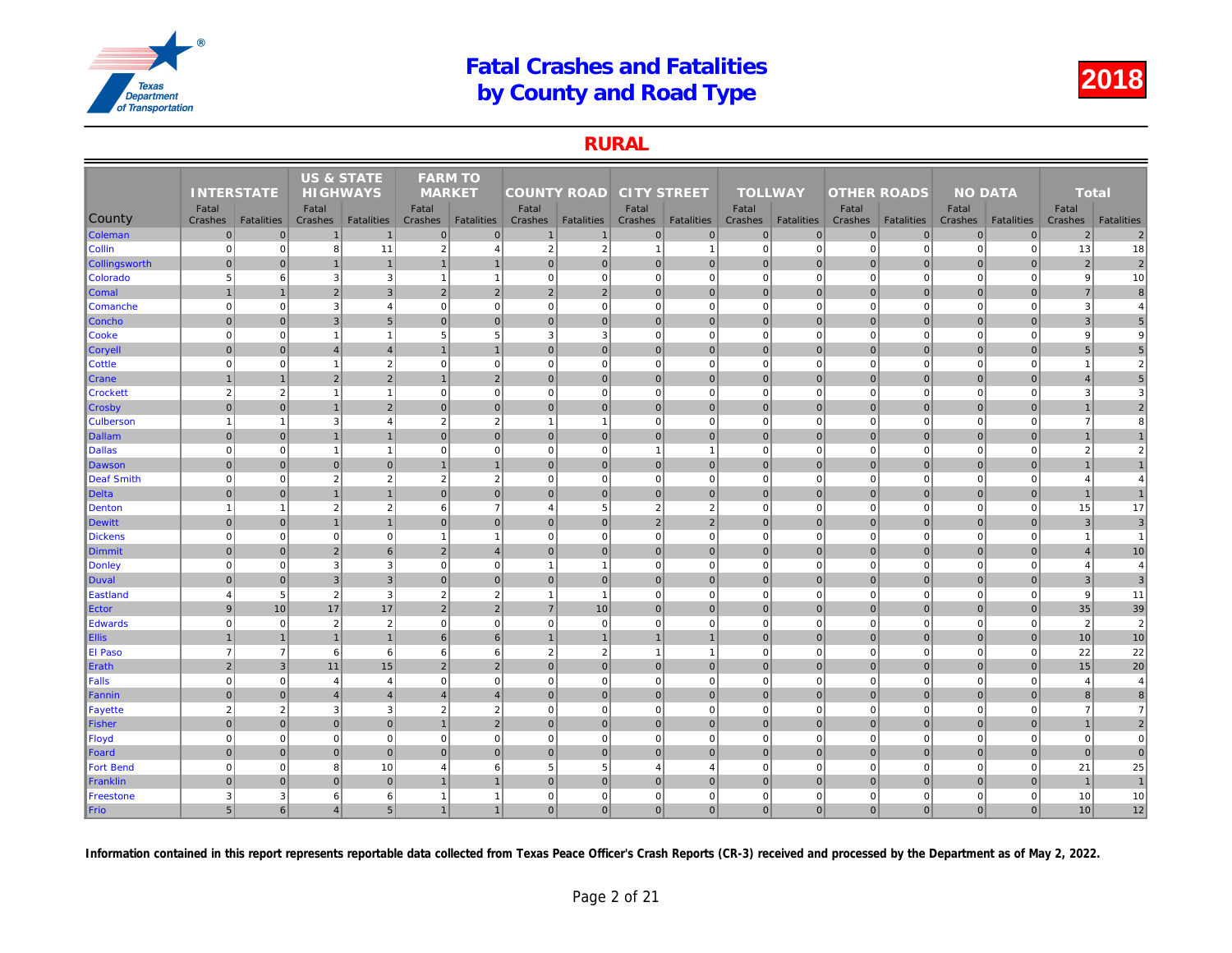### RURAL

|                  |                   |                   | <b>US &amp; STATE</b> |                   | <b>FARM TO</b> |                   |                    |                   |                    |                   |                |                   |                    |                   |     |
|------------------|-------------------|-------------------|-----------------------|-------------------|----------------|-------------------|--------------------|-------------------|--------------------|-------------------|----------------|-------------------|--------------------|-------------------|-----|
|                  | <b>INTERSTATE</b> |                   | <b>HIGHWAYS</b>       |                   | <b>MARKET</b>  |                   | <b>COUNTY ROAD</b> |                   | <b>CITY STREET</b> |                   | <b>TOLLWAY</b> |                   | <b>OTHER ROADS</b> |                   |     |
|                  | Fatal             |                   | Fatal                 |                   | Fatal          |                   | Fatal              |                   | Fatal              |                   | Fatal          |                   | Fatal              |                   |     |
| <b>County</b>    | Crashes           | <b>Fatalities</b> | Crashes               | <b>Fatalities</b> | Crashes        | <b>Fatalities</b> | Crashes            | <b>Fatalities</b> | Crashes            | <b>Fatalities</b> | Crashes        | <b>Fatalities</b> | Crashes            | <b>Fatalities</b> | Cra |
| Coleman          | $\overline{0}$    | $\mathbf{0}$      |                       | $\overline{1}$    | $\overline{0}$ | $\mathbf 0$       |                    | $\overline{1}$    | $\pmb{0}$          | $\overline{0}$    | $\mathbf 0$    | $\overline{0}$    | $\mathbf 0$        | $\mathbf 0$       |     |
| <b>Collin</b>    | $\mathbf 0$       | $\overline{0}$    | 8                     | 11                | 2              | $\overline{4}$    | $\overline{2}$     | $\overline{2}$    | $\mathbf{1}$       | $\mathbf{1}$      | $\mathbf 0$    | $\mathbf 0$       | $\mathbf 0$        | $\Omega$          |     |
| Collingsworth    | $\overline{0}$    | $\mathbf{0}$      |                       | $\overline{1}$    | $\mathbf{1}$   | $\mathbf{1}$      | $\Omega$           | $\mathbf 0$       | 0                  | $\overline{0}$    | $\mathbf{0}$   | $\mathbf{0}$      | $\mathbf 0$        | $\overline{0}$    |     |
| Colorado         | 5                 | 6                 | 3                     | $\mathbf{3}$      | $\overline{1}$ | $\mathbf{1}$      | 0                  | $\mathbf 0$       | 0                  | $\overline{0}$    | $\mathbf 0$    | $\mathbf 0$       | $\mathbf 0$        | $\Omega$          |     |
| <b>Comal</b>     |                   | $\overline{1}$    | $\overline{2}$        | $\overline{3}$    | 2              | $\overline{2}$    | $\overline{2}$     | $\overline{2}$    | 0                  | $\overline{0}$    | $\mathbf{0}$   | $\overline{0}$    | $\mathbf 0$        | $\overline{0}$    |     |
| Comanche         | $\Omega$          | $\overline{0}$    | 3                     | $\overline{4}$    | $\mathbf 0$    | $\mathbf 0$       | $\Omega$           | $\Omega$          | $\mathbf 0$        | $\mathbf{0}$      | $\mathbf 0$    | $\Omega$          | $\mathbf 0$        | $\mathbf 0$       |     |
| <b>Concho</b>    | $\mathbf{0}$      | $\overline{0}$    | 3 <sup>1</sup>        | $5\overline{)}$   | $\overline{0}$ | $\mathbf{0}$      | 0                  | $\mathbf 0$       | 0                  | 0                 | $\mathbf{0}$   | 0                 | $\mathbf 0$        | $\pmb{0}$         |     |
| Cooke            | $\mathbf 0$       | $\mathbf{0}$      | $\overline{1}$        | $\overline{1}$    | 5              | 5                 | 3                  | 3                 | $\pmb{0}$          | $\mathbf{0}$      | $\mathbf 0$    | $\mathbf 0$       | $\mathbf 0$        | $\mathbf 0$       |     |
| $ $ Coryell      | $\mathbf 0$       | $\mathbf{0}$      | $\overline{4}$        | $\overline{4}$    |                | $\overline{1}$    | $\overline{0}$     | $\mathbf 0$       | $\pmb{0}$          | $\overline{0}$    | $\mathbf{0}$   | $\Omega$          | $\mathbf 0$        | $\overline{0}$    |     |
| <b>Cottle</b>    | $\Omega$          | $\overline{0}$    | $\overline{1}$        | $\overline{2}$    | $\mathbf 0$    | $\mathbf 0$       | $\overline{0}$     | $\Omega$          | $\pmb{0}$          | $\overline{0}$    | $\mathbf 0$    | $\mathbf 0$       | $\mathbf 0$        | $\Omega$          |     |
| <b>Crane</b>     |                   | $\mathbf{1}$      | $\overline{2}$        | $\overline{2}$    |                | $\overline{2}$    | $\overline{0}$     | $\mathbf 0$       | 0                  | $\overline{0}$    | $\mathbf{0}$   | $\overline{0}$    | $\mathbf 0$        | $\overline{0}$    |     |
| <b>Crockett</b>  | $\overline{2}$    | $\overline{2}$    | $\overline{1}$        | $\overline{1}$    | $\mathbf 0$    | $\mathbf 0$       | $\overline{0}$     | $\Omega$          | $\pmb{0}$          | $\overline{0}$    | $\mathbf 0$    | $\mathbf 0$       | $\mathbf 0$        | $\Omega$          |     |
| <b>Crosby</b>    | $\overline{0}$    | $\overline{0}$    |                       | $\overline{2}$    | $\mathbf{0}$   | $\mathbf{0}$      | $\overline{0}$     | $\mathbf 0$       | 0                  | $\overline{0}$    | $\mathbf{0}$   | $\overline{0}$    | $\mathbf 0$        | $\mathbf 0$       |     |
| <b>Culberson</b> | $\overline{1}$    | $\mathbf{1}$      | 3                     | $\overline{4}$    | $\overline{2}$ | $\overline{2}$    | $\overline{1}$     | -1                | $\pmb{0}$          | $\mathbf{0}$      | $\mathbf 0$    | $\mathbf 0$       | $\mathbf 0$        | $\mathbf 0$       |     |
| <b>Dallam</b>    | $\Omega$          | $\overline{0}$    |                       | $\overline{1}$    | $\Omega$       | $\mathbf{0}$      | $\overline{0}$     | $\mathbf 0$       | 0                  | $\overline{0}$    | $\mathbf{0}$   | $\overline{0}$    | $\mathbf 0$        | $\Omega$          |     |
| <b>Dallas</b>    | $\mathbf 0$       | $\mathbf{0}$      | $\overline{1}$        | $\overline{1}$    | $\mathbf 0$    | $\mathbf 0$       | $\mathbf{0}$       | $\mathbf 0$       | $\mathbf{1}$       | $\mathbf{1}$      | $\mathbf 0$    | $\mathbf 0$       | $\mathbf 0$        | $\mathbf 0$       |     |
| Dawson           | $\mathbf 0$       | $\Omega$          | $\mathbf{0}$          | $\overline{0}$    | $\mathbf{1}$   | $\overline{1}$    | $\overline{0}$     | $\Omega$          | 0                  | $\overline{0}$    | $\mathbf{0}$   | $\overline{0}$    | $\mathbf 0$        | $\overline{0}$    |     |
| Deaf Smith       | $\overline{0}$    | $\overline{0}$    | $\overline{2}$        | $\overline{2}$    | $\overline{2}$ | $\overline{2}$    | 0                  | $\Omega$          | $\mathbf 0$        | $\overline{0}$    | $\mathbf 0$    | $\Omega$          | $\mathbf 0$        | $\mathbf 0$       |     |
| Delta            | $\overline{0}$    | $\overline{0}$    |                       |                   | $\Omega$       | $\mathbf 0$       | $\overline{0}$     | $\mathbf 0$       | 0                  | $\overline{0}$    | $\mathbf 0$    | $\overline{0}$    | $\mathbf 0$        | $\overline{0}$    |     |
| <b>Denton</b>    |                   | $\overline{1}$    | $\overline{2}$        | $\overline{2}$    | 6              | $\overline{7}$    | $\overline{4}$     | 5                 | $\sqrt{2}$         | $\overline{2}$    | $\Omega$       | $\Omega$          | $\mathbf 0$        | $\Omega$          |     |
| Dewitt           | $\mathbf{0}$      | $\overline{0}$    | $\overline{1}$        | $\overline{1}$    | $\Omega$       | $\mathbf{0}$      | 0                  | $\mathbf{0}$      | 2 <sup>1</sup>     | $\overline{2}$    | $\Omega$       | $\overline{0}$    | $\mathbf{0}$       | $\mathbf{0}$      |     |
| <b>Dickens</b>   | $\mathbf 0$       | $\mathbf{0}$      | $\mathbf 0$           | $\mathbf 0$       | $\mathbf{1}$   | $\mathbf{1}$      | 0                  | $\Omega$          | $\pmb{0}$          | $\mathbf{0}$      | $\mathbf 0$    | $\mathbf 0$       | $\mathbf 0$        | $\mathbf 0$       |     |
| Dimmit           | $\Omega$          | $\overline{0}$    | $\overline{2}$        | 6                 | $\overline{2}$ | $\overline{4}$    | $\overline{0}$     | $\mathbf 0$       | 0                  | $\overline{0}$    | $\mathbf{0}$   | $\overline{0}$    | $\mathbf 0$        | $\mathbf{0}$      |     |
| Donley           | $\mathbf 0$       | $\mathbf{0}$      | 3                     | $\mathbf{3}$      | $\mathbf 0$    | $\mathbf 0$       | $\mathbf{1}$       | $\overline{1}$    | $\pmb{0}$          | $\mathbf{0}$      | $\mathbf 0$    | $\mathbf 0$       | $\mathbf 0$        | $\mathbf 0$       |     |
| Duval            | $\Omega$          | $\overline{0}$    | $\mathbf{3}$          | $\overline{3}$    | $\mathbf{0}$   | $\mathbf{0}$      | 0                  | $\overline{0}$    | 0                  | $\overline{0}$    | $\mathbf{0}$   | $\overline{0}$    | $\mathbf 0$        | $\Omega$          |     |
| Eastland         | $\overline{4}$    | $5\overline{5}$   | $\overline{2}$        | $\mathbf{3}$      | 2              | $\overline{2}$    | $\mathbf{1}$       | $\overline{1}$    | $\mathbf 0$        | $\overline{0}$    | $\mathbf 0$    | $\mathbf 0$       | $\mathbf 0$        | $\Omega$          |     |
| Ector            | 9                 | $10$              | 17                    | 17                | $\sqrt{2}$     | $\sqrt{2}$        | $\overline{7}$     | $10$              | 0                  | $\overline{0}$    | $\mathbf 0$    | $\overline{0}$    | $\pmb{0}$          | $\mathbf 0$       |     |
| Edwards          | $\Omega$          | $\overline{0}$    | $\overline{2}$        | $\overline{2}$    | $\mathbf 0$    | $\mathbf 0$       | 0                  | $\mathbf 0$       | $\pmb{0}$          | $\mathbf{0}$      | $\mathbf 0$    | $\mathbf 0$       | $\mathbf 0$        | $\mathbf 0$       |     |
| <b>Ellis</b>     |                   | $\overline{1}$    | $\overline{1}$        | $\overline{1}$    | 6              | 6                 |                    |                   | $\overline{1}$     | $\overline{1}$    | $\mathbf{0}$   | $\overline{0}$    | $\mathbf{0}$       | $\mathbf{0}$      |     |
| <b>El Paso</b>   | $\overline{7}$    | $\overline{7}$    | 6                     | 6                 | 6              | 6                 | $\overline{2}$     | $\overline{2}$    | $\mathbf{1}$       | $\mathbf{1}$      | $\mathbf 0$    | $\mathbf 0$       | $\mathbf 0$        | $\mathbf 0$       |     |
| Erath            | $\overline{2}$    | 3 <sup>1</sup>    | 11                    | 15                | $\overline{2}$ | $\overline{2}$    | $\Omega$           | $\Omega$          | 0                  | $\overline{0}$    | $\mathbf{0}$   | $\overline{0}$    | $\mathbf 0$        | $\overline{0}$    |     |
| Falls            | $\overline{0}$    | $\mathbf{0}$      | $\overline{4}$        | $\overline{4}$    | $\mathbf 0$    | $\mathbf 0$       | 0                  | $\Omega$          | 0                  | $\mathbf{0}$      | $\mathbf 0$    | $\mathbf 0$       | $\mathbf 0$        | $\Omega$          |     |
| Fannin           | $\overline{0}$    | $\overline{0}$    | $\overline{4}$        | $\overline{4}$    | $\overline{4}$ | $\overline{4}$    | $\overline{0}$     | $\mathbf 0$       | 0                  | $\overline{0}$    | $\mathbf{0}$   | $\overline{0}$    | $\mathbf 0$        | $\overline{0}$    |     |
| Fayette          | $\overline{2}$    | $\overline{2}$    | 3                     | $\mathbf{3}$      | 2              | $\overline{2}$    | $\overline{0}$     | $\Omega$          | $\mathbf 0$        | $\Omega$          | $\Omega$       | $\Omega$          | $\Omega$           | $\Omega$          |     |
| Fisher           | $\mathbf 0$       | $\overline{0}$    | 0                     | $\overline{0}$    | $\mathbf{1}$   | $\overline{2}$    | 0                  | $\mathbf 0$       | 0                  | $\overline{0}$    | $\mathbf{0}$   | $\overline{0}$    | $\mathbf 0$        | $\pmb{0}$         |     |
| <b>Floyd</b>     | $\mathbf 0$       | $\mathbf{0}$      | $\mathbf 0$           | $\mathbf 0$       | $\mathbf 0$    | $\mathbf 0$       | $\mathbf{0}$       | $\Omega$          | $\mathbf 0$        | $\mathbf{0}$      | $\mathbf 0$    | $\mathbf 0$       | $\mathbf 0$        | $\mathbf 0$       |     |
| Foard            | $\overline{0}$    | $\overline{0}$    | $\mathbf 0$           | $\overline{0}$    | $\mathbf{0}$   | $\mathbf 0$       | $\overline{0}$     | $\mathbf 0$       | $\pmb{0}$          | $\overline{0}$    | $\mathbf 0$    | $\mathbf{0}$      | $\mathbf 0$        | $\overline{0}$    |     |
| <b>Fort Bend</b> | $\mathbf 0$       | $\mathbf{0}$      | 8                     | 10                | $\Delta$       | 6                 | 5                  | 5                 | $\overline{4}$     | $\overline{4}$    | $\mathbf 0$    | $\mathbf 0$       | $\mathbf 0$        | $\mathbf 0$       |     |
| Franklin         | $\Omega$          | $\overline{0}$    | $\mathbf{0}$          | $\overline{0}$    |                |                   | $\overline{0}$     | $\mathbf{0}$      | 0                  | $\overline{0}$    | $\mathbf{0}$   | $\overline{0}$    | $\mathbf 0$        | $\Omega$          |     |
| Freestone        | 3                 | 3                 | 6                     | $6\phantom{.}6$   | $\overline{1}$ | $\overline{1}$    | $\mathbf{0}$       | $\circ$           | $\mathbf 0$        | $\mathbf{0}$      | $\mathbf 0$    | $\overline{0}$    | $\mathbf 0$        | 0                 |     |
| Frio             | $5\overline{)}$   | $6 \mid$          | 4                     | $5\overline{)}$   | $\mathbf{1}$   | $\mathbf{1}$      | $\overline{0}$     | $\mathbf{0}$      | 0                  | 0                 | $\mathbf{0}$   | 0                 | $\mathbf{0}$       | $\Omega$          |     |
|                  |                   |                   |                       |                   |                |                   |                    |                   |                    |                   |                |                   |                    |                   |     |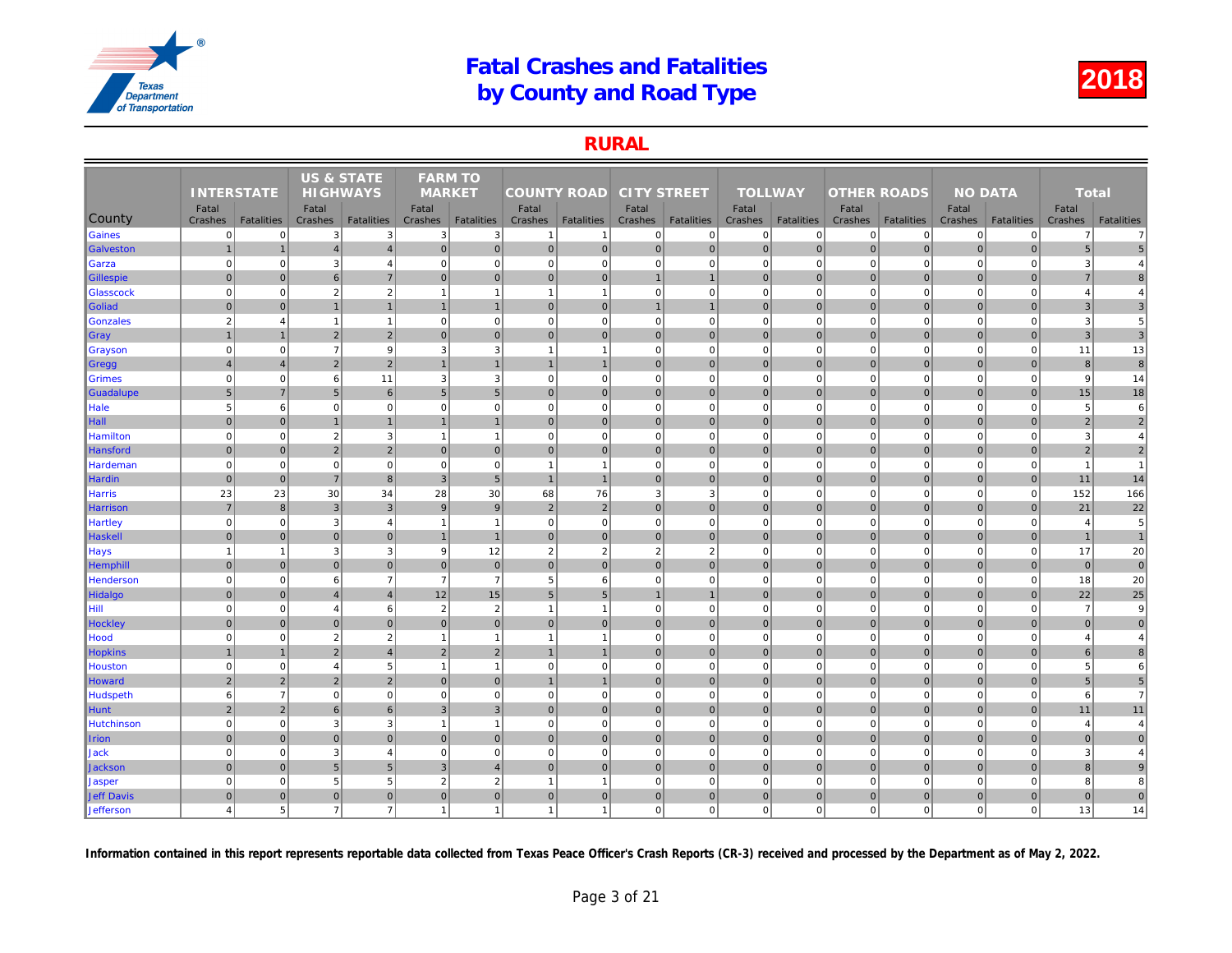### RURAL

|                  |                       |                   | <b>US &amp; STATE</b> |                   | <b>FARM TO</b>           |                   |                    |                   |                    |                   |                |                   |                    |                   |     |
|------------------|-----------------------|-------------------|-----------------------|-------------------|--------------------------|-------------------|--------------------|-------------------|--------------------|-------------------|----------------|-------------------|--------------------|-------------------|-----|
|                  | <b>INTERSTATE</b>     |                   | <b>HIGHWAYS</b>       |                   | <b>MARKET</b>            |                   | <b>COUNTY ROAD</b> |                   | <b>CITY STREET</b> |                   | <b>TOLLWAY</b> |                   | <b>OTHER ROADS</b> |                   |     |
|                  | Fatal                 |                   | Fatal                 |                   | Fatal                    |                   | Fatal              |                   | Fatal              |                   | Fatal          |                   | Fatal              |                   |     |
| County           | Crashes               | <b>Fatalities</b> | Crashes               | <b>Fatalities</b> | Crashes                  | <b>Fatalities</b> | Crashes            | <b>Fatalities</b> | Crashes            | <b>Fatalities</b> | Crashes        | <b>Fatalities</b> | Crashes            | <b>Fatalities</b> | Cra |
| Gaines           | $\overline{0}$        | $\Omega$          | 3                     | 3                 | 3                        | 3                 | $\mathbf{1}$       |                   | $\overline{0}$     | $\overline{0}$    | $\mathbf 0$    | $\Omega$          | 0                  | $\overline{0}$    |     |
| Galveston        | $\overline{1}$        | $\mathbf{1}$      | $\overline{4}$        | $\overline{4}$    | $\mathbf 0$              | $\overline{0}$    | 0                  | $\mathbf 0$       | $\overline{0}$     | $\overline{0}$    | $\mathbf 0$    | $\overline{0}$    | $\mathbf 0$        | $\overline{0}$    |     |
| Garza            | $\mathbf 0$           | $\mathbf 0$       | 3                     | 4                 | $\mathbf 0$              | $\mathbf 0$       | 0                  | $\mathbf 0$       | $\mathbf{0}$       | $\mathbf 0$       | $\mathbf 0$    | $\Omega$          | $\mathbf 0$        | $\mathbf 0$       |     |
| Gillespie        | $\mathbf 0$           | $\overline{0}$    | 6                     | $\overline{7}$    | $\mathbf{0}$             | $\mathbf{0}$      | $\overline{0}$     | $\overline{0}$    | $\overline{1}$     | $\mathbf{1}$      | $\mathbf 0$    | $\mathbf{0}$      | $\mathbf 0$        | $\overline{0}$    |     |
| <b>Glasscock</b> | $\mathbf 0$           | $\Omega$          | $\overline{2}$        | $\sqrt{2}$        |                          | $\overline{1}$    | $\mathbf{1}$       |                   | $\mathbf{0}$       | $\mathbf 0$       | $\mathbf 0$    | $\Omega$          | $\mathbf 0$        | $\mathbf 0$       |     |
| Goliad           | $\mathbf 0$           | $\overline{0}$    | $\overline{1}$        | $\mathbf{1}$      | $\mathbf{1}$             | $\mathbf{1}$      | 0                  | $\overline{0}$    | $\mathbf{1}$       | $\mathbf{1}$      | $\mathbf 0$    | $\Omega$          | $\mathbf 0$        | $\overline{0}$    |     |
| Gonzales         | $\overline{2}$        | $\overline{4}$    | $\overline{1}$        | $\mathbf{1}$      | $\mathbf 0$              | $\mathbf 0$       | 0                  | $\mathbf 0$       | $\mathbf{0}$       | $\mathbf{0}$      | $\mathbf 0$    | $\mathbf 0$       | $\mathbf 0$        | $\mathbf 0$       |     |
| ∥Gray            |                       | $\overline{1}$    | $\overline{2}$        | $\overline{2}$    | $\overline{0}$           | $\mathbf{0}$      | $\overline{0}$     | $\overline{0}$    | $\overline{0}$     | $\overline{0}$    | $\mathbf{0}$   | $\mathbf{0}$      | $\mathbf 0$        | $\overline{0}$    |     |
| Grayson          | $\mathbf 0$           | $\mathbf 0$       | $\overline{7}$        | 9                 | 3                        | 3                 | $\mathbf{1}$       | -1                | $\mathbf{0}$       | $\mathbf{0}$      | $\mathbf 0$    | $\mathbf 0$       | $\mathbf 0$        | $\mathbf 0$       |     |
| ∥Gregg           | $\overline{4}$        | $\overline{4}$    | $\overline{2}$        | $\overline{2}$    | $\mathbf{1}$             | $\overline{1}$    | $\mathbf{1}$       | $\overline{1}$    | 0                  | $\overline{0}$    | $\mathbf{0}$   | $\overline{0}$    | $\mathbf{0}$       | $\overline{0}$    |     |
| <b>Grimes</b>    | $\mathbf 0$           | $\mathbf 0$       | 6                     | 11                | 3                        | $\sqrt{3}$        | $\mathbf{0}$       | $\mathbf 0$       | $\mathbf{0}$       | $\mathbf 0$       | $\mathbf 0$    | $\mathbf 0$       | $\mathbf 0$        | $\mathbf 0$       |     |
| Guadalupe        | $\,$ 5 $\,$           | $\overline{7}$    | 5                     | $6 \overline{6}$  | 5                        | $5\phantom{.0}$   | $\overline{0}$     | $\overline{0}$    | $\overline{0}$     | $\overline{0}$    | $\mathbf{0}$   | $\Omega$          | $\mathbf 0$        | $\overline{0}$    |     |
| Hale             | 5                     | 6                 | $\mathbf 0$           | $\mathbf{0}$      | 0                        | $\mathbf 0$       | $\mathbf{0}$       | $\mathbf 0$       | $\mathbf{0}$       | $\mathbf{0}$      | $\mathbf 0$    | $\mathbf 0$       | $\mathbf 0$        | $\mathbf 0$       |     |
| $\ $ Hall        | $\mathbf{0}$          | $\Omega$          | $\overline{1}$        | $\mathbf{1}$      |                          | $\mathbf{1}$      | $\overline{0}$     | $\overline{0}$    | $\overline{0}$     | $\overline{0}$    | $\mathbf{0}$   | $\Omega$          | $\mathbf{0}$       | $\Omega$          |     |
| Hamilton         | $\mathbf 0$           | $\Omega$          | $\overline{2}$        | 3                 | $\overline{\phantom{a}}$ | $\overline{1}$    | $\overline{0}$     | $\mathbf 0$       | $\mathbf{0}$       | $\overline{0}$    | $\mathbf 0$    | $\mathbf 0$       | $\mathbf 0$        | $\Omega$          |     |
| Hansford         | $\mathbf 0$           | $\mathbf 0$       | $\overline{2}$        | $\overline{2}$    | $\mathbf{0}$             | $\overline{0}$    | 0                  | $\overline{0}$    | $\overline{0}$     | $\overline{0}$    | $\mathbf 0$    | $\overline{0}$    | $\pmb{0}$          | $\mathbf 0$       |     |
| Hardeman         | $\mathbf 0$           | $\mathbf 0$       | $\mathbf 0$           | $\mathbf{0}$      | $\mathbf 0$              | $\mathbf 0$       | $\mathbf{1}$       | $\overline{1}$    | $\mathbf{0}$       | $\mathbf{0}$      | $\mathbf 0$    | $\mathbf 0$       | $\mathbf 0$        | $\mathbf{0}$      |     |
| Hardin           | $\mathbf 0$           | $\pmb{0}$         | $\overline{7}$        | 8 <sup>1</sup>    | $\overline{3}$           | $\overline{5}$    | $\overline{1}$     | $\overline{1}$    | $\overline{0}$     | $\overline{0}$    | $\mathbf 0$    | $\Omega$          | $\mathbf 0$        | $\overline{0}$    |     |
| Harris           | 23                    | 23                | 30                    | 34                | 28                       | 30                | 68                 | 76                | 3                  | 3                 | $\mathbf 0$    | $\mathbf 0$       | $\mathbf 0$        | $\mathbf 0$       |     |
| Harrison         | $\overline{7}$        | 8                 | $\mathbf{3}$          | 3                 | 9                        | 9                 | $2 \nvert$         | $\overline{2}$    | $\overline{0}$     | $\overline{0}$    | $\mathbf{0}$   | $\Omega$          | $\mathbf{0}$       | $\overline{0}$    |     |
| <b>Hartley</b>   | $\mathbf 0$           | $\mathbf 0$       | 3                     | $\overline{4}$    | $\overline{1}$           | $\overline{1}$    | 0                  | $\mathbf 0$       | $\mathbf{0}$       | $\overline{0}$    | $\mathbf 0$    | $\mathbf 0$       | $\mathbf 0$        | $\mathbf 0$       |     |
| Haskell          | $\mathbf{0}$          | $\overline{0}$    | $\mathbf 0$           | $\overline{0}$    |                          | $\overline{1}$    | $\overline{0}$     | $\overline{0}$    | $\overline{0}$     | $\overline{0}$    | $\mathbf 0$    | $\Omega$          | $\mathbf 0$        | $\overline{0}$    |     |
| <b>Hays</b>      | $\overline{1}$        | 1                 | 3                     | $\mathbf{3}$      | 9                        | 12                | $\overline{2}$     | $\overline{2}$    | $\overline{2}$     | $\overline{2}$    | $\mathbf 0$    | $\mathbf 0$       | $\overline{0}$     | $\mathbf 0$       |     |
| <b>Hemphill</b>  | $\overline{0}$        | $\mathbf{0}$      | $\overline{0}$        | $\overline{0}$    | $\mathbf{0}$             | $\mathbf{0}$      | 0                  | $\mathbf 0$       | $\overline{0}$     | $\overline{0}$    | $\mathbf{0}$   | $\overline{0}$    | $\mathbf 0$        | $\overline{0}$    |     |
| Henderson        | $\mathbf 0$           | $\pmb{0}$         | 6                     | $\overline{7}$    | $\overline{7}$           | $\overline{7}$    | $5\overline{)}$    | 6                 | $\mathbf{0}$       | $\mathbf 0$       | $\mathbf 0$    | $\mathbf 0$       | $\mathbf 0$        | $\mathbf 0$       |     |
| Hidalgo          | $\mathbf 0$           | $\overline{0}$    | $\overline{4}$        | $\overline{4}$    | 12                       | 15                | 5 <sup>5</sup>     | 5                 | $\overline{1}$     | $\mathbf{1}$      | $\mathbf 0$    | $\mathbf{0}$      | $\mathbf 0$        | $\overline{0}$    |     |
| Hill             | $\mathbf 0$           | $\Omega$          | $\overline{4}$        | 6                 | $\overline{2}$           | $\overline{2}$    | $\mathbf{1}$       |                   | $\mathbf{0}$       | $\Omega$          | $\mathbf 0$    | $\Omega$          | $\Omega$           | $\Omega$          |     |
| <b>Hockley</b>   | $\mathbf 0$           | $\Omega$          | $\mathbf{0}$          | $\overline{0}$    | $\mathbf{0}$             | $\mathbf{0}$      | $\overline{0}$     | $\mathbf 0$       | $\overline{0}$     | $\overline{0}$    | $\mathbf{0}$   | $\Omega$          | $\mathbf 0$        | $\overline{0}$    |     |
| Hood             | $\mathbf 0$           | $\mathbf 0$       | $\overline{2}$        | $\overline{2}$    | $\overline{1}$           | $\mathbf{1}$      | $\mathbf{1}$       | $\overline{1}$    | $\mathbf{0}$       | $\mathbf{0}$      | $\mathbf 0$    | $\mathbf 0$       | $\mathbf 0$        | $\mathbf 0$       |     |
| <b>Hopkins</b>   | $\mathbf{1}$          | $\overline{1}$    | $\overline{c}$        | $\overline{4}$    | $\overline{2}$           | $\overline{2}$    | $\mathbf{1}$       | $\overline{1}$    | $\overline{0}$     | $\overline{0}$    | $\mathbf 0$    | $\mathbf{0}$      | $\pmb{0}$          | $\mathbf 0$       |     |
| Houston          | $\Omega$              | $\mathbf 0$       | $\overline{4}$        | $5\overline{5}$   | $\overline{\phantom{a}}$ | $\mathbf{1}$      | $\Omega$           | $\Omega$          | $\overline{0}$     | $\Omega$          | $\mathbf 0$    | $\mathbf 0$       | $\Omega$           | $\Omega$          |     |
| Howard           | $\overline{2}$        | $\overline{2}$    | $\overline{2}$        | $\overline{2}$    | $\mathbf{0}$             | $\mathbf{0}$      | $\overline{1}$     | $\overline{1}$    | $\overline{0}$     | $\overline{0}$    | $\mathbf{0}$   | $\overline{0}$    | $\mathbf 0$        | $\overline{0}$    |     |
| Hudspeth         | 6                     | $\overline{7}$    | $\Omega$              | $\mathbf{0}$      | $\mathbf 0$              | $\mathbf 0$       | 0                  | $\mathbf 0$       | $\mathbf{0}$       | $\overline{0}$    | $\mathbf 0$    | $\mathbf 0$       | $\mathbf 0$        | $\Omega$          |     |
| Hunt             | $\sqrt{2}$            | $\overline{2}$    | 6                     | $6 \overline{6}$  | 3                        | $\mathbf{3}$      | $\overline{0}$     | $\mathbf 0$       | $\overline{0}$     | $\overline{0}$    | $\mathbf 0$    | $\mathbf 0$       | $\mathbf 0$        | $\mathbf 0$       |     |
| Hutchinson       | $\mathbf 0$           | $\mathbf 0$       | 3                     | 3                 | -1                       | $\mathbf{1}$      | 0                  | $\mathbf 0$       | $\overline{0}$     | $\overline{0}$    | $\mathbf 0$    | $\mathbf 0$       | $\mathbf 0$        | $\Omega$          |     |
| <b>Irion</b>     | $\mathbf{0}$          | $\overline{0}$    | $\overline{0}$        | $\overline{0}$    | $\Omega$                 | $\mathbf{0}$      | $\overline{0}$     | $\overline{0}$    | $\overline{0}$     | $\overline{0}$    | $\mathbf 0$    | $\overline{0}$    | $\mathbf 0$        | $\overline{0}$    |     |
| Jack             | $\mathbf 0$           | $\Omega$          | 3                     | $\overline{4}$    | $\mathbf 0$              | $\mathbf 0$       | 0                  | $\overline{0}$    | $\mathbf{0}$       | $\overline{0}$    | $\mathbf 0$    | $\mathbf 0$       | $\mathbf 0$        | $\Omega$          |     |
| <b>Jackson</b>   | $\pmb{0}$             | $\mathbf 0$       | $5\overline{)}$       | $5\overline{)}$   | $\mathsf 3$              | $\overline{4}$    | $\overline{0}$     | $\mathbf 0$       | $\overline{0}$     | $\overline{0}$    | $\mathbf 0$    | $\overline{0}$    | $\pmb{0}$          | $\overline{0}$    |     |
| <b>Jasper</b>    | $\mathbf 0$           | $\mathbf 0$       | 5                     | 5                 | $\overline{2}$           | $\overline{2}$    | $\mathbf{1}$       | -1                | $\overline{0}$     | $\overline{0}$    | $\mathbf 0$    | $\mathbf 0$       | $\mathbf 0$        | $\overline{0}$    |     |
| Jeff Davis       | $\mathbf 0$           | $\mathbf{0}$      | $\mathbf{0}$          | $\overline{0}$    | $\mathbf{0}$             | $\mathbf{0}$      | $\overline{0}$     | $\overline{0}$    | $\overline{0}$     | $\overline{0}$    | $\mathbf 0$    | $\overline{0}$    | $\mathbf 0$        | $\mathbf{0}$      |     |
| Jefferson        | $\boldsymbol{\Delta}$ | 5 <sup>2</sup>    | $\overline{7}$        | $\overline{7}$    | -1                       | $\overline{1}$    | $\mathbf{1}$       |                   | $\overline{0}$     | $\overline{0}$    | $\mathbf 0$    | $\mathbf 0$       | $\mathbf 0$        | $\mathbf{0}$      |     |
|                  |                       |                   |                       |                   |                          |                   |                    |                   |                    |                   |                |                   |                    |                   |     |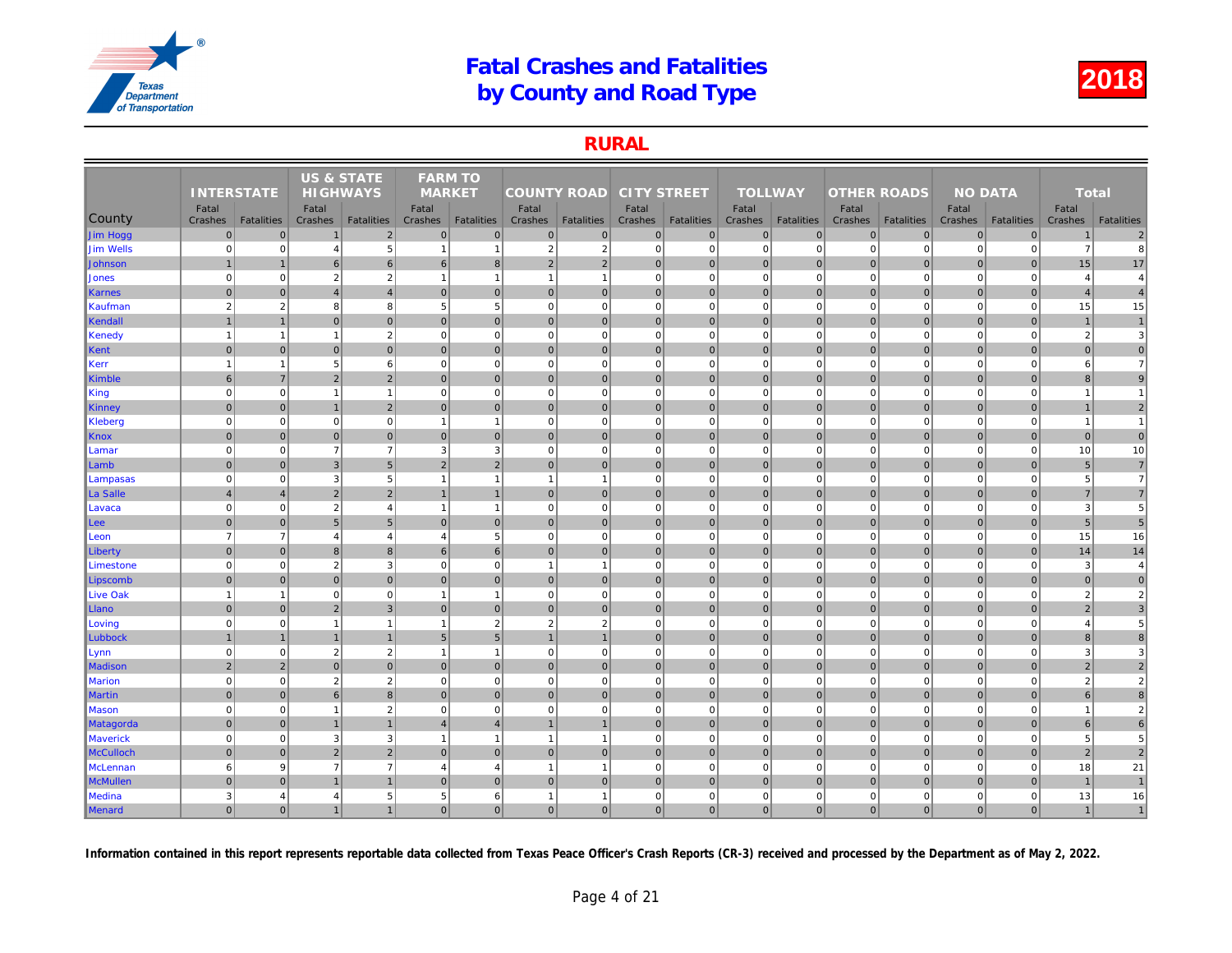### RURAL

|                  |                   |                   | <b>US &amp; STATE</b> |                   | <b>FARM TO</b>   |                   |                    |                   |                    |                   |                  |                   |                    |                   |     |
|------------------|-------------------|-------------------|-----------------------|-------------------|------------------|-------------------|--------------------|-------------------|--------------------|-------------------|------------------|-------------------|--------------------|-------------------|-----|
|                  | <b>INTERSTATE</b> |                   | <b>HIGHWAYS</b>       |                   | <b>MARKET</b>    |                   | <b>COUNTY ROAD</b> |                   | <b>CITY STREET</b> |                   | <b>TOLLWAY</b>   |                   | <b>OTHER ROADS</b> |                   |     |
| County           | Fatal<br>Crashes  | <b>Fatalities</b> | Fatal<br>Crashes      | <b>Fatalities</b> | Fatal<br>Crashes | <b>Fatalities</b> | Fatal<br>Crashes   | <b>Fatalities</b> | Fatal<br>Crashes   | <b>Fatalities</b> | Fatal<br>Crashes | <b>Fatalities</b> | Fatal<br>Crashes   | <b>Fatalities</b> | Cra |
| Jim Hogg         | $\overline{0}$    | $\mathbf 0$       |                       | $\overline{2}$    | $\Omega$         | $\mathbf 0$       | $\overline{0}$     | $\overline{0}$    | $\pmb{0}$          | $\overline{0}$    | $\mathbf 0$      | $\overline{0}$    | $\mathbf 0$        | $\mathbf 0$       |     |
| <b>Jim Wells</b> | $\overline{0}$    | $\overline{0}$    | $\overline{4}$        | $\sqrt{5}$        | $\mathbf{1}$     | $\mathbf{1}$      | $\overline{2}$     | $\overline{2}$    | $\pmb{0}$          | $\overline{0}$    | $\mathbf 0$      | $\mathbf 0$       | $\mathbf 0$        | $\Omega$          |     |
| Johnson          |                   | $\overline{1}$    | 6                     | 6                 | 6                | 8                 | $\overline{2}$     | $\overline{2}$    | $\mathbf{0}$       | $\overline{0}$    | $\mathbf{0}$     | $\mathbf{0}$      | $\mathbf{0}$       | $\overline{0}$    |     |
| Jones            | $\overline{0}$    | $\mathbf{0}$      | $\overline{2}$        | $\overline{2}$    | $\mathbf{1}$     | $\mathbf{1}$      | $\overline{1}$     | $\overline{1}$    | $\overline{0}$     | $\overline{0}$    | $\mathbf 0$      | $\mathbf 0$       | $\mathbf 0$        | $\mathbf 0$       |     |
| Karnes           | $\Omega$          | $\overline{0}$    | $\overline{4}$        | $\overline{4}$    | $\mathbf{0}$     | $\mathbf{0}$      | $\overline{0}$     | $\mathbf 0$       | 0                  | $\overline{0}$    | $\mathbf{0}$     | $\overline{0}$    | $\mathbf 0$        | $\overline{0}$    |     |
| Kaufman          | $\overline{2}$    | $\overline{2}$    | 8                     | 8                 | 5                | 5                 | $\mathbf{0}$       | $\Omega$          | $\pmb{0}$          | $\overline{0}$    | $\mathbf 0$      | $\mathbf 0$       | $\mathbf 0$        | $\mathbf 0$       |     |
| Kendall          | $\overline{1}$    | $\mathbf{1}$      | 0                     | $\overline{0}$    | $\overline{0}$   | $\mathbf{0}$      | 0                  | $\mathbf 0$       | 0                  | 0                 | $\mathbf{0}$     | 0                 | $\overline{0}$     | $\pmb{0}$         |     |
| Kenedy           | $\overline{1}$    | $\mathbf{1}$      | $\overline{1}$        | $\overline{2}$    | $\mathbf 0$      | $\mathbf 0$       | $\mathbf{0}$       | $\Omega$          | $\mathbf 0$        | $\mathbf{0}$      | $\mathbf 0$      | $\mathbf 0$       | $\mathbf 0$        | $\mathbf 0$       |     |
| Kent             | $\mathbf 0$       | $\mathbf{0}$      | $\mathbf 0$           | $\overline{0}$    | $\mathbf{0}$     | $\mathbf 0$       | $\overline{0}$     | $\mathbf 0$       | $\pmb{0}$          | $\overline{0}$    | $\mathbf 0$      | $\mathbf{0}$      | $\mathbf 0$        | $\mathbf 0$       |     |
| Kerr             | -1                | $\mathbf{1}$      | 5                     | 6                 | $\mathbf 0$      | $\mathbf 0$       | $\overline{0}$     | $\Omega$          | $\pmb{0}$          | $\overline{0}$    | $\mathbf 0$      | $\mathbf 0$       | $\mathbf 0$        | $\mathbf 0$       |     |
| Kimble           | 6                 | $\overline{7}$    | 2                     | $\overline{2}$    | $\Omega$         | $\mathbf{0}$      | $\overline{0}$     | $\mathbf{0}$      | 0                  | $\overline{0}$    | $\mathbf{0}$     | $\Omega$          | $\mathbf{0}$       | $\Omega$          |     |
| King             | $\mathbf 0$       | $\mathbf{0}$      | $\overline{1}$        | $\overline{1}$    | $\mathbf 0$      | $\mathbf 0$       | $\mathbf{0}$       | $\mathbf 0$       | $\pmb{0}$          | $\mathbf{0}$      | $\mathbf 0$      | $\mathbf 0$       | $\mathbf 0$        | $\mathbf 0$       |     |
| Kinney           | $\overline{0}$    | $\overline{0}$    | $\mathbf{1}$          | $\overline{2}$    | $\overline{0}$   | $\mathbf 0$       | $\overline{0}$     | $\mathbf 0$       | 0                  | $\overline{0}$    | $\mathbf{0}$     | $\overline{0}$    | $\pmb{0}$          | $\mathbf 0$       |     |
| <b>Kleberg</b>   | $\Omega$          | $\overline{0}$    | $\Omega$              | $\overline{0}$    | $\mathbf{1}$     | $\overline{1}$    | 0                  | $\Omega$          | $\mathbf 0$        | $\overline{0}$    | $\mathbf 0$      | $\mathbf 0$       | $\overline{0}$     | $\mathbf 0$       |     |
| Knox             | $\overline{0}$    | $\overline{0}$    | $\mathbf 0$           | $\overline{0}$    | $\mathbf{0}$     | $\mathbf{0}$      | $\overline{0}$     | $\mathbf 0$       | 0                  | $\overline{0}$    | $\mathbf{0}$     | $\overline{0}$    | $\mathbf 0$        | $\mathbf{0}$      |     |
| Lamar            | $\Omega$          | $\overline{0}$    | $\overline{7}$        | $\overline{7}$    | 3                | 3                 | $\overline{0}$     | $\Omega$          | $\pmb{0}$          | $\overline{0}$    | $\mathbf 0$      | $\mathbf 0$       | $\mathbf 0$        | $\Omega$          |     |
| Lamb             | $\overline{0}$    | $\mathbf{0}$      | 3                     | 5                 | 2                | $\overline{2}$    | $\overline{0}$     | $\mathbf{0}$      | $\mathbf{0}$       | $\overline{0}$    | $\mathbf{0}$     | $\overline{0}$    | $\mathbf{0}$       | $\overline{0}$    |     |
| Lampasas         | $\overline{0}$    | $\mathbf{0}$      | 3                     | $5\phantom{.0}$   | $\mathbf{1}$     | $\mathbf{1}$      | $\overline{1}$     | $\overline{1}$    | $\mathbf 0$        | $\overline{0}$    | $\mathbf 0$      | $\mathbf 0$       | $\mathbf 0$        | $\mathbf 0$       |     |
| La Salle         | $\overline{4}$    | $\overline{4}$    | $\overline{2}$        | $\overline{2}$    |                  | $\mathbf{1}$      | $\overline{0}$     | $\mathbf 0$       | 0                  | $\overline{0}$    | $\mathbf{0}$     | $\overline{0}$    | $\mathbf 0$        | $\overline{0}$    |     |
| Lavaca           | $\mathbf 0$       | $\mathbf{0}$      | $\overline{2}$        | $\overline{4}$    | $\mathbf{1}$     | $\mathbf{1}$      | $\mathbf{0}$       | $\Omega$          | $\pmb{0}$          | $\overline{0}$    | $\mathbf 0$      | $\mathbf 0$       | $\mathbf 0$        | $\mathbf 0$       |     |
| ∣Lee⊹            | $\mathbf 0$       | $\overline{0}$    | $5\phantom{1}$        | $5\overline{)}$   | $\mathbf{0}$     | $\mathbf{0}$      | 0                  | $\mathbf 0$       | 0                  | $\overline{0}$    | $\mathbf{0}$     | 0                 | $\mathbf 0$        | $\pmb{0}$         |     |
| Leon             | $\overline{7}$    | $\overline{7}$    | $\overline{4}$        | $\overline{4}$    | $\overline{4}$   | $\overline{5}$    | $\overline{0}$     | $\Omega$          | $\pmb{0}$          | $\mathbf{0}$      | $\mathbf 0$      | $\mathbf 0$       | $\mathbf 0$        | $\Omega$          |     |
| Liberty          | $\overline{0}$    | $\overline{0}$    | 8                     | 8                 | 6                | 6                 | $\overline{0}$     | $\mathbf 0$       | $\pmb{0}$          | $\overline{0}$    | $\mathbf 0$      | $\overline{0}$    | $\mathbf 0$        | $\mathbf 0$       |     |
| Limestone        | $\Omega$          | $\mathbf{0}$      | $\overline{2}$        | $\mathbf{3}$      | $\mathbf 0$      | $\mathbf 0$       | $\mathbf{1}$       | -1                | $\pmb{0}$          | $\overline{0}$    | $\mathbf 0$      | $\mathbf 0$       | $\mathbf 0$        | $\mathbf 0$       |     |
| Lipscomb         | $\Omega$          | $\overline{0}$    | $\mathbf{0}$          | $\overline{0}$    | $\Omega$         | $\mathbf{0}$      | 0                  | $\mathbf{0}$      | 0                  | $\overline{0}$    | $\mathbf{0}$     | $\Omega$          | $\mathbf 0$        | $\Omega$          |     |
| <b>Live Oak</b>  | $\overline{1}$    | $\mathbf{1}$      | $\mathbf 0$           | $\mathbf 0$       | $\mathbf{1}$     | $\mathbf{1}$      | $\overline{0}$     | $\Omega$          | $\pmb{0}$          | $\overline{0}$    | $\mathbf 0$      | $\mathbf 0$       | $\mathbf 0$        | $\mathbf 0$       |     |
| Llano            | $\mathbf 0$       | $\overline{0}$    | $\overline{2}$        | $\overline{3}$    | $\overline{0}$   | $\mathbf 0$       | $\overline{0}$     | $\mathbf 0$       | 0                  | $\overline{0}$    | $\mathbf{0}$     | $\overline{0}$    | $\mathbf 0$        | $\pmb{0}$         |     |
| Loving           | $\mathbf 0$       | $\overline{0}$    | $\overline{1}$        | $\overline{1}$    | $\mathbf{1}$     | $\overline{2}$    | $\overline{2}$     | $\overline{2}$    | $\overline{0}$     | $\overline{0}$    | $\mathbf 0$      | $\mathbf 0$       | $\mathbf 0$        | $\mathbf 0$       |     |
| Lubbock          |                   | $\overline{1}$    | $\overline{1}$        | $\overline{1}$    | $5\phantom{.0}$  | 5                 | $\overline{1}$     |                   | 0                  | $\overline{0}$    | $\mathbf{0}$     | $\overline{0}$    | $\mathbf 0$        | $\mathbf{0}$      |     |
| Lynn             | $\Omega$          | $\overline{0}$    | $\overline{2}$        | $\overline{2}$    | $\mathbf{1}$     | $\overline{1}$    | $\overline{0}$     | $\Omega$          | $\pmb{0}$          | $\overline{0}$    | $\mathbf 0$      | $\mathbf 0$       | $\mathbf 0$        | $\mathbf 0$       |     |
| <b>Madison</b>   | $\overline{2}$    | $\overline{2}$    | $\mathbf{0}$          | $\overline{0}$    | $\mathbf{0}$     | $\mathbf{0}$      | $\overline{0}$     | $\mathbf 0$       | 0                  | $\overline{0}$    | $\mathbf{0}$     | $\overline{0}$    | $\mathbf{0}$       | $\overline{0}$    |     |
| <b>Marion</b>    | $\overline{0}$    | $\mathbf{0}$      | $\overline{2}$        | $\overline{2}$    | $\mathbf 0$      | $\mathbf 0$       | 0                  | $\Omega$          | $\mathbf 0$        | $\overline{0}$    | $\mathbf 0$      | $\mathbf 0$       | $\mathbf 0$        | $\mathbf 0$       |     |
| <b>Martin</b>    | $\Omega$          | $\overline{0}$    | 6                     | $\boldsymbol{8}$  | $\mathbf{0}$     | $\mathbf{0}$      | $\overline{0}$     | $\mathbf 0$       | 0                  | $\overline{0}$    | $\mathbf{0}$     | $\overline{0}$    | $\mathbf 0$        | $\mathbf 0$       |     |
| <b>Mason</b>     | $\mathbf 0$       | $\mathbf{0}$      | $\overline{1}$        | $\overline{2}$    | $\mathbf 0$      | $\mathbf 0$       | $\mathbf{0}$       | $\Omega$          | $\pmb{0}$          | $\overline{0}$    | $\mathbf 0$      | $\mathbf 0$       | $\mathbf 0$        | $\mathbf 0$       |     |
| Matagorda        | $\mathbf 0$       | $\overline{0}$    | $\overline{1}$        | $\overline{1}$    | $\overline{4}$   | $\overline{4}$    | $\overline{1}$     | $\overline{1}$    | 0                  | $\overline{0}$    | $\mathbf{0}$     | 0                 | $\mathbf 0$        | $\pmb{0}$         |     |
| <b>Maverick</b>  | $\Omega$          | $\overline{0}$    | 3                     | $\mathbf{3}$      | $\mathbf{1}$     | $\overline{1}$    | $\mathbf{1}$       | $\overline{1}$    | $\pmb{0}$          | $\overline{0}$    | $\mathbf 0$      | $\mathbf 0$       | $\mathbf 0$        | $\Omega$          |     |
| <b>McCulloch</b> | $\mathbf 0$       | $\overline{0}$    | $\overline{2}$        | $\overline{2}$    | $\mathbf 0$      | $\mathbf 0$       | $\overline{0}$     | $\mathbf 0$       | $\pmb{0}$          | $\overline{0}$    | $\mathbf 0$      | $\mathbf{0}$      | $\mathbf 0$        | $\mathbf 0$       |     |
| <b>McLennan</b>  | 6                 | 9                 | $\overline{7}$        | $\overline{7}$    | $\overline{4}$   | $\overline{4}$    | $\overline{1}$     | -1                | $\pmb{0}$          | $\overline{0}$    | $\mathbf 0$      | $\mathbf 0$       | $\mathbf 0$        | $\Omega$          |     |
| <b>McMullen</b>  | $\Omega$          | $\overline{0}$    |                       |                   | $\Omega$         | $\Omega$          | $\overline{0}$     | $\mathbf{0}$      | $\pmb{0}$          | $\overline{0}$    | $\mathbf{0}$     | $\overline{0}$    | $\mathbf 0$        | $\Omega$          |     |
| <b>Medina</b>    | 3                 | $\overline{4}$    | $\overline{4}$        | 5                 | 5                | 6                 | $\mathbf{1}$       | $\overline{1}$    | $\mathbf 0$        | $\mathbf{0}$      | $\mathbf 0$      | $\mathbf 0$       | $\mathbf 0$        | $\mathbf 0$       |     |
| Menard           | $\mathbf 0$       | $\overline{0}$    | 1                     | $\mathbf{1}$      | $\overline{0}$   | 0                 | 0                  | $\overline{0}$    | 0                  | 0                 | $\mathbf{0}$     | 0                 | $\mathbf{0}$       | $\mathbf{0}$      |     |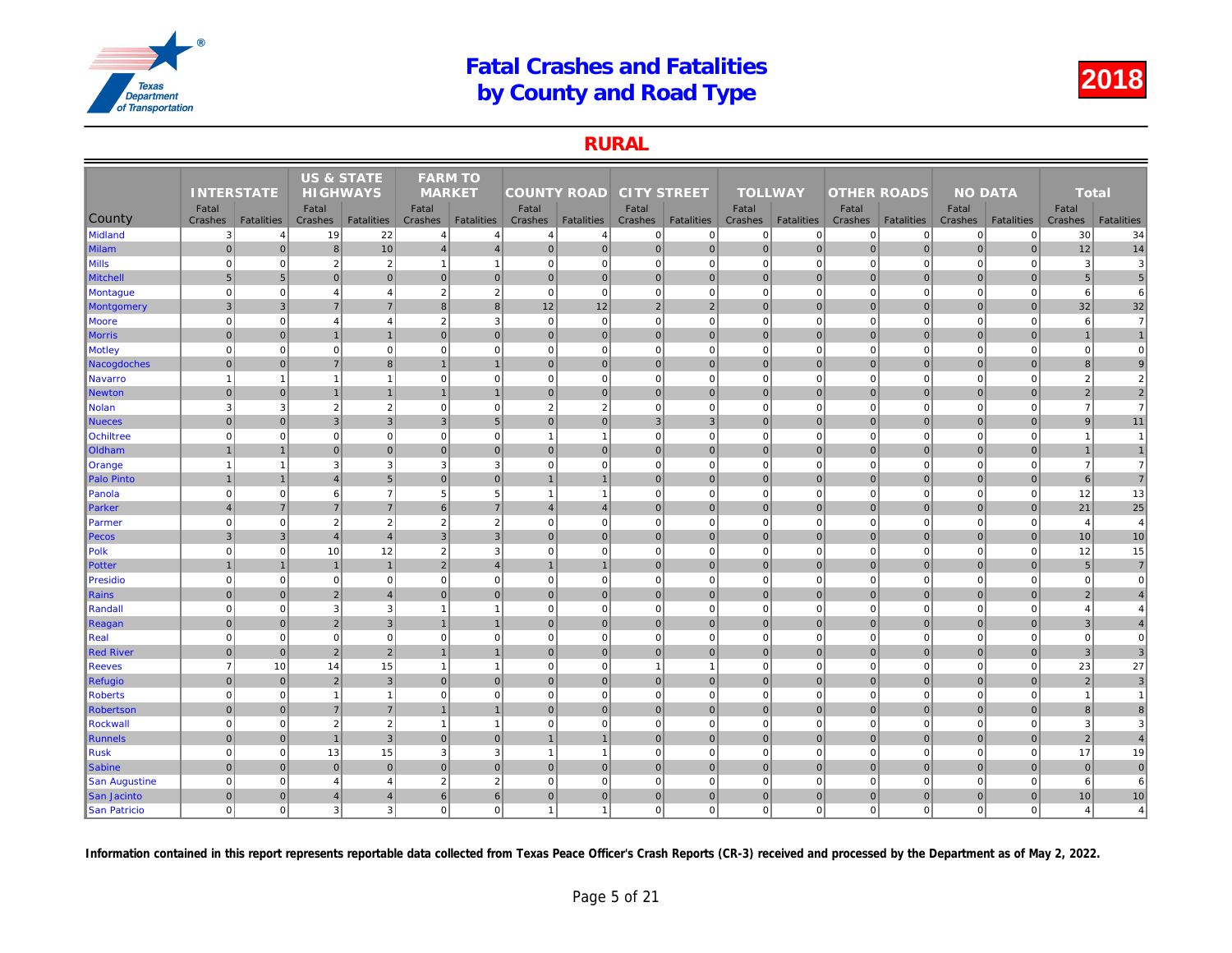### RURAL

|                   |                   |                   | <b>US &amp; STATE</b> |                   | <b>FARM TO</b>           |                   |                    |                   |                    |                   |                |                   |                    |                   |     |
|-------------------|-------------------|-------------------|-----------------------|-------------------|--------------------------|-------------------|--------------------|-------------------|--------------------|-------------------|----------------|-------------------|--------------------|-------------------|-----|
|                   | <b>INTERSTATE</b> |                   | <b>HIGHWAYS</b>       |                   | <b>MARKET</b>            |                   | <b>COUNTY ROAD</b> |                   | <b>CITY STREET</b> |                   | <b>TOLLWAY</b> |                   | <b>OTHER ROADS</b> |                   |     |
|                   | Fatal             |                   | Fatal                 |                   | Fatal                    |                   | Fatal              |                   | Fatal              |                   | Fatal          |                   | Fatal              |                   |     |
| County            | Crashes           | <b>Fatalities</b> | Crashes               | <b>Fatalities</b> | Crashes                  | <b>Fatalities</b> | Crashes            | <b>Fatalities</b> | Crashes            | <b>Fatalities</b> | Crashes        | <b>Fatalities</b> | Crashes            | <b>Fatalities</b> | Cra |
| Midland           | $\mathbf{3}$      | $\overline{4}$    | 19                    | 22                | $\overline{4}$           | $\overline{4}$    | $\overline{4}$     | $\overline{4}$    | $\mathbf{0}$       | $\overline{0}$    | 0              | $\Omega$          | 0                  | $\mathbf{0}$      |     |
| <b>Milam</b>      | $\overline{0}$    | $\Omega$          | $\boldsymbol{8}$      | 10                | $\overline{4}$           | $\overline{4}$    | 0                  | $\mathbf 0$       | 0                  | $\overline{0}$    | $\mathbf 0$    | $\overline{0}$    | 0                  | 0                 |     |
| <b>Mills</b>      | $\Omega$          | $\mathbf 0$       | $\overline{2}$        | $\overline{2}$    | $\overline{1}$           | $\overline{1}$    | $\mathbf{0}$       | $\mathbf 0$       | $\mathbf{0}$       | $\mathbf 0$       | $\mathbf 0$    | $\mathbf 0$       | $\mathbf 0$        | $\mathbf 0$       |     |
| <b>Mitchell</b>   | $5\phantom{.0}$   | 5                 | $\overline{0}$        | $\overline{0}$    | $\mathbf{0}$             | $\mathbf 0$       | $\overline{0}$     | $\overline{0}$    | $\overline{0}$     | $\overline{0}$    | $\mathbf 0$    | $\Omega$          | $\mathbf 0$        | $\overline{0}$    |     |
| Montague          | $\mathbf 0$       | $\Omega$          | $\overline{4}$        | $\overline{4}$    | $\overline{2}$           | $\overline{2}$    | $\overline{0}$     | $\mathbf 0$       | $\mathbf{0}$       | $\mathbf{0}$      | $\mathbf 0$    | $\mathbf 0$       | $\mathbf 0$        | $\mathbf 0$       |     |
| <b>Montgomery</b> | $\mathbf{3}$      | 3                 | $\overline{7}$        | $\overline{7}$    | 8                        | 8                 | 12                 | 12                | $\overline{2}$     | $\overline{2}$    | $\mathbf 0$    | $\Omega$          | $\mathbf 0$        | $\overline{0}$    |     |
| Moore             | $\mathbf 0$       | $\mathbf 0$       | $\overline{4}$        | $\overline{4}$    | $\overline{2}$           | 3                 | $\overline{0}$     | $\overline{0}$    | $\mathbf{0}$       | $\overline{0}$    | $\mathbf 0$    | $\mathbf 0$       | $\mathbf 0$        | $\overline{0}$    |     |
| <b>Morris</b>     | $\mathbf 0$       | $\mathbf 0$       | $\overline{1}$        | $\mathbf{1}$      | $\mathbf{0}$             | $\mathbf{0}$      | $\overline{0}$     | $\overline{0}$    | $\overline{0}$     | $\overline{0}$    | $\mathbf 0$    | $\mathbf{0}$      | $\mathbf 0$        | $\mathbf{0}$      |     |
| <b>Motley</b>     | $\mathbf 0$       | $\Omega$          | $\Omega$              | $\overline{0}$    | $\mathbf 0$              | $\mathbf 0$       | 0                  | $\Omega$          | $\overline{0}$     | $\overline{0}$    | $\mathbf 0$    | $\mathbf 0$       | $\mathbf 0$        | $\Omega$          |     |
| Nacogdoches       | $\mathbf 0$       | $\Omega$          | $\overline{7}$        | 8 <sup>1</sup>    |                          | $\mathbf{1}$      | 0                  | $\overline{0}$    | $\overline{0}$     | $\overline{0}$    | $\mathbf{0}$   | $\overline{0}$    | $\mathbf 0$        | $\overline{0}$    |     |
| Navarro           | $\mathbf{1}$      | $\mathbf{1}$      | $\overline{1}$        | $\mathbf{1}$      | $\mathbf 0$              | $\mathbf 0$       | $\overline{0}$     | $\Omega$          | $\mathbf{0}$       | $\overline{0}$    | $\mathbf 0$    | $\mathbf 0$       | $\mathbf 0$        | $\Omega$          |     |
| Newton            | $\mathbf 0$       | $\overline{0}$    | $\overline{1}$        | $\mathbf{1}$      |                          | $\mathbf{1}$      | $\overline{0}$     | $\overline{0}$    | $\overline{0}$     | $\overline{0}$    | $\mathbf 0$    | $\mathbf{0}$      | $\mathbf 0$        | $\mathbf 0$       |     |
| Nolan             | 3                 | 3                 | $\overline{2}$        | $\overline{2}$    | $\mathbf 0$              | $\mathbf 0$       | $\overline{2}$     | $\overline{2}$    | $\overline{0}$     | $\mathbf{0}$      | $\mathbf 0$    | $\mathbf 0$       | $\mathbf 0$        | $\overline{0}$    |     |
| Nueces            | $\Omega$          | $\Omega$          | 3                     | $\mathbf{3}$      | 3                        | $5\phantom{.0}$   | $\overline{0}$     | $\overline{0}$    | 3                  | 3                 | $\mathbf 0$    | $\overline{0}$    | $\mathbf 0$        | $\overline{0}$    |     |
| <b>Ochiltree</b>  | $\mathbf 0$       | $\Omega$          | $\Omega$              | $\mathbf{0}$      | $\mathbf 0$              | $\mathbf 0$       | $\mathbf{1}$       |                   | $\overline{0}$     | $\overline{0}$    | $\mathbf 0$    | $\Omega$          | $\mathbf 0$        | $\Omega$          |     |
| Oldham            | $\mathbf{1}$      | $\overline{1}$    | $\overline{0}$        | $\overline{0}$    | $\mathbf 0$              | $\mathbf 0$       | 0                  | $\mathbf 0$       | $\overline{0}$     | $\overline{0}$    | $\mathbf 0$    | $\overline{0}$    | $\pmb{0}$          | $\overline{0}$    |     |
| Orange            | $\overline{1}$    | $\mathbf{1}$      | 3                     | 3                 | 3                        | 3                 | 0                  | $\Omega$          | $\overline{0}$     | $\overline{0}$    | $\mathbf 0$    | $\mathbf 0$       | $\mathbf 0$        | $\overline{0}$    |     |
| Palo Pinto        | $\overline{1}$    | $\overline{1}$    | $\overline{4}$        | $5\overline{)}$   | $\mathbf{0}$             | $\mathbf{0}$      | $\overline{1}$     |                   | $\overline{0}$     | $\overline{0}$    | $\mathbf 0$    | $\overline{0}$    | $\mathbf 0$        | $\overline{0}$    |     |
| Panola            | $\mathbf 0$       | $\Omega$          | 6                     | $\overline{7}$    | 5                        | 5                 | $\mathbf{1}$       |                   | $\overline{0}$     | $\overline{0}$    | $\mathbf 0$    | $\mathbf 0$       | $\mathbf 0$        | $\mathbf 0$       |     |
| Parker            | $\overline{4}$    | $\overline{7}$    | $\overline{7}$        | $\overline{7}$    | 6                        | $\overline{7}$    | 4                  | $\overline{4}$    | $\overline{0}$     | $\overline{0}$    | $\mathbf 0$    | $\mathbf{0}$      | $\mathbf 0$        | $\overline{0}$    |     |
| Parmer            | $\mathbf 0$       | $\mathbf 0$       | $\overline{2}$        | $\overline{2}$    | $\overline{2}$           | $\overline{2}$    | 0                  | $\mathbf 0$       | $\overline{0}$     | $\mathbf{0}$      | $\mathbf 0$    | $\Omega$          | $\mathbf 0$        | $\mathbf 0$       |     |
| Pecos             | $\overline{3}$    | 3                 | $\overline{4}$        | $\overline{4}$    | 3                        | $\mathbf{3}$      | $\overline{0}$     | $\overline{0}$    | $\overline{0}$     | $\mathbf 0$       | $\mathbf 0$    | $\mathbf{0}$      | $\mathbf 0$        | $\overline{0}$    |     |
| Polk              | $\overline{0}$    | $\Omega$          | 10                    | 12                | $\overline{2}$           | 3                 | $\Omega$           | $\Omega$          | $\overline{0}$     | $\mathbf 0$       | $\mathbf 0$    | $\Omega$          | $\overline{0}$     | $\Omega$          |     |
| Potter            | $\overline{1}$    | $\overline{1}$    | $\overline{1}$        | $\mathbf{1}$      | 2                        | $\overline{4}$    | $\mathbf{1}$       | $\overline{1}$    | $\overline{0}$     | $\overline{0}$    | $\mathbf 0$    | $\overline{0}$    | $\mathbf 0$        | $\overline{0}$    |     |
| Presidio          | $\overline{0}$    | $\mathbf 0$       | $\Omega$              | $\overline{0}$    | $\mathbf 0$              | $\mathbf 0$       | 0                  | $\Omega$          | $\mathbf{0}$       | $\mathbf 0$       | $\mathbf 0$    | $\Omega$          | $\mathbf 0$        | $\mathbf 0$       |     |
| Rains             | $\mathbf 0$       | $\overline{0}$    | $\overline{2}$        | $\overline{4}$    | $\mathbf{0}$             | $\mathbf{0}$      | $\overline{0}$     | $\overline{0}$    | $\overline{0}$     | $\overline{0}$    | $\mathbf 0$    | $\Omega$          | $\mathbf 0$        | $\overline{0}$    |     |
| Randall           | $\mathbf 0$       | $\Omega$          | 3                     | 3                 | $\overline{\phantom{a}}$ | $\overline{1}$    | $\overline{0}$     | $\Omega$          | $\mathbf{0}$       | $\mathbf{0}$      | $\mathbf 0$    | $\mathbf 0$       | $\mathbf 0$        | $\mathbf 0$       |     |
| Reagan            | $\mathbf 0$       | $\overline{0}$    | $\overline{2}$        | $\overline{3}$    |                          | $\overline{1}$    | 0                  | $\mathbf 0$       | $\overline{0}$     | $\overline{0}$    | $\mathbf 0$    | $\Omega$          | $\mathbf 0$        | $\overline{0}$    |     |
| Real              | $\mathbf 0$       | $\mathbf 0$       | $\mathbf 0$           | $\mathbf{0}$      | $\mathbf 0$              | $\mathbf 0$       | 0                  | $\mathbf 0$       | $\mathbf{0}$       | $\mathbf 0$       | $\mathbf 0$    | $\mathbf 0$       | $\mathbf 0$        | $\mathbf 0$       |     |
| Red River         | $\pmb{0}$         | $\overline{0}$    | $\overline{2}$        | $\overline{2}$    | $\overline{1}$           | $\mathbf{1}$      | $\overline{0}$     | $\mathbf 0$       | $\pmb{0}$          | $\overline{0}$    | $\mathbf 0$    | $\mathbf{0}$      | $\pmb{0}$          | $\mathbf 0$       |     |
| <b>Reeves</b>     | $\overline{7}$    | 10                | 14                    | 15                | -1                       | $\overline{1}$    | $\overline{0}$     | $\Omega$          | $\mathbf{1}$       | $\mathbf{1}$      | $\mathbf 0$    | $\mathbf 0$       | $\mathbf 0$        | $\mathbf 0$       |     |
| Refugio           | $\mathbf 0$       | $\Omega$          | $\overline{2}$        | $\mathbf{3}$      | $\mathbf{0}$             | $\mathbf{0}$      | 0                  | $\overline{0}$    | 0                  | $\overline{0}$    | $\mathbf{0}$   | $\overline{0}$    | $\mathbf 0$        | $\overline{0}$    |     |
| <b>Roberts</b>    | $\mathbf 0$       | $\mathbf 0$       | $\overline{1}$        | $\mathbf{1}$      | $\mathbf 0$              | $\mathbf 0$       | $\overline{0}$     | $\Omega$          | $\mathbf{0}$       | $\overline{0}$    | $\mathbf 0$    | $\mathbf 0$       | $\mathbf 0$        | $\mathbf 0$       |     |
| Robertson         | $\mathbf 0$       | $\overline{0}$    | $\overline{7}$        | $\sqrt{7}$        |                          | $\mathbf{1}$      | $\overline{0}$     | $\mathbf 0$       | $\overline{0}$     | $\overline{0}$    | $\mathbf 0$    | $\mathbf{0}$      | $\pmb{0}$          | $\mathbf 0$       |     |
| Rockwall          | $\mathbf 0$       | $\mathbf 0$       | $\overline{2}$        | $\overline{2}$    | -1                       | $\overline{1}$    | $\overline{0}$     | $\Omega$          | $\overline{0}$     | $\mathbf{0}$      | $\mathbf 0$    | $\mathbf 0$       | $\mathbf 0$        | $\mathbf{0}$      |     |
| Runnels           | $\mathbf{0}$      | $\mathbf{0}$      | $\overline{1}$        | $\overline{3}$    | $\mathbf{0}$             | $\mathbf{0}$      | $\mathbf{1}$       | $\overline{1}$    | $\overline{0}$     | $\overline{0}$    | $\mathbf 0$    | $\overline{0}$    | $\mathbf 0$        | $\overline{0}$    |     |
| <b>Rusk</b>       | $\mathbf 0$       | $\mathbf 0$       | 13                    | 15                | 3                        | 3                 | $\overline{1}$     | $\overline{1}$    | $\mathbf{0}$       | $\overline{0}$    | $\mathbf 0$    | $\mathbf 0$       | $\mathbf 0$        | $\Omega$          |     |
| <b>Sabine</b>     | $\mathbf 0$       | $\overline{0}$    | $\pmb{0}$             | $\mathbf 0$       | $\mathbf 0$              | $\mathbf 0$       | $\overline{0}$     | $\overline{0}$    | $\overline{0}$     | $\overline{0}$    | $\mathbf 0$    | $\overline{0}$    | $\pmb{0}$          | $\overline{0}$    |     |
| San Augustine     | $\mathbf 0$       | $\mathbf 0$       | $\overline{4}$        | $\overline{4}$    | $\overline{2}$           | $\overline{2}$    | $\overline{0}$     | $\Omega$          | $\overline{0}$     | $\mathbf 0$       | $\mathbf 0$    | $\mathbf 0$       | $\mathbf 0$        | $\overline{0}$    |     |
| San Jacinto       | $\mathbf 0$       | $\mathbf{0}$      | $\overline{4}$        | $\overline{4}$    | 6                        | $6\phantom{1}$    | $\overline{0}$     | $\overline{0}$    | $\overline{0}$     | $\overline{0}$    | $\mathbf 0$    | $\overline{0}$    | $\mathbf 0$        | $\mathbf{0}$      |     |
| San Patricio      | $\mathbf 0$       | $\Omega$          | 3                     | $\mathbf{3}$      | $\mathbf 0$              | $\mathbf 0$       | $\mathbf{1}$       |                   | $\overline{0}$     | $\overline{0}$    | $\mathbf 0$    | $\mathbf 0$       | $\mathbf 0$        | $\mathbf{0}$      |     |
|                   |                   |                   |                       |                   |                          |                   |                    |                   |                    |                   |                |                   |                    |                   |     |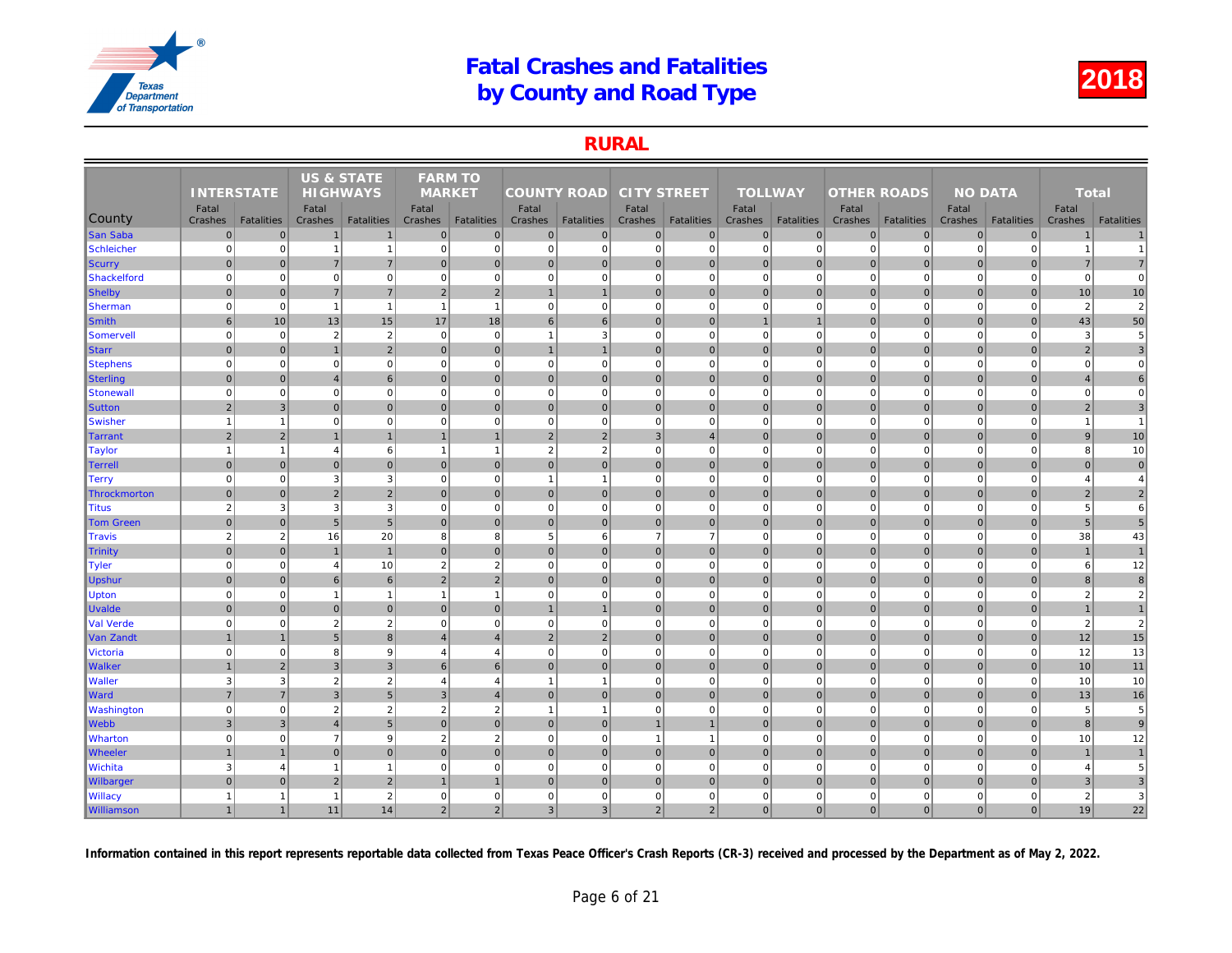### RURAL

|                     |                   |                   | <b>US &amp; STATE</b> |                   | <b>FARM TO</b>          |                   |                    |                         |                    |                   |                         |                   |                    |                   |     |
|---------------------|-------------------|-------------------|-----------------------|-------------------|-------------------------|-------------------|--------------------|-------------------------|--------------------|-------------------|-------------------------|-------------------|--------------------|-------------------|-----|
|                     | <b>INTERSTATE</b> |                   | <b>HIGHWAYS</b>       |                   | <b>MARKET</b>           |                   | <b>COUNTY ROAD</b> |                         | <b>CITY STREET</b> |                   | <b>TOLLWAY</b>          |                   | <b>OTHER ROADS</b> |                   |     |
| <b>County</b>       | Fatal<br>Crashes  | <b>Fatalities</b> | Fatal<br>Crashes      | <b>Fatalities</b> | Fatal<br><b>Crashes</b> | <b>Fatalities</b> | Fatal<br>Crashes   | <b>Fatalities</b>       | Fatal<br>Crashes   | <b>Fatalities</b> | Fatal<br><b>Crashes</b> | <b>Fatalities</b> | Fatal<br>Crashes   | <b>Fatalities</b> | Cra |
| <b>San Saba</b>     | $\pmb{0}$         | $\mathbf 0$       | $\overline{1}$        | $\mathbf 1$       | $\mathbf 0$             | $\pmb{0}$         | $\overline{0}$     | $\overline{0}$          | $\overline{0}$     | $\overline{0}$    | $\mathbf 0$             | $\overline{0}$    | $\mathbf 0$        | $\overline{0}$    |     |
| Schleicher          | $\mathbf 0$       | $\Omega$          | $\overline{1}$        | $\mathbf{1}$      | $\mathbf 0$             | $\mathbf 0$       | $\overline{0}$     | $\mathbf 0$             | $\mathbf{0}$       | $\overline{0}$    | $\mathbf 0$             | $\mathbf 0$       | $\mathbf 0$        | $\Omega$          |     |
| Scurry              | $\mathbf{0}$      | $\overline{0}$    | $\overline{7}$        | $\overline{7}$    | $\mathbf{0}$            | $\mathbf{0}$      | $\overline{0}$     | $\overline{0}$          | $\overline{0}$     | $\overline{0}$    | $\mathbf{0}$            | $\Omega$          | $\mathbf{0}$       | $\overline{0}$    |     |
| Shackelford         | $\mathbf 0$       | $\mathbf 0$       | $\mathbf 0$           | $\overline{0}$    | $\mathbf 0$             | $\mathbf 0$       | 0                  | $\mathbf 0$             | $\overline{0}$     | $\overline{0}$    | $\mathbf 0$             | $\mathbf 0$       | $\mathbf 0$        | $\mathbf 0$       |     |
| <b>Shelby</b>       | $\mathbf{0}$      | $\overline{0}$    | $\overline{7}$        | $\overline{7}$    | 2                       | $\overline{2}$    | $\mathbf{1}$       | $\overline{1}$          | $\overline{0}$     | $\overline{0}$    | $\mathbf{0}$            | $\mathbf{0}$      | $\mathbf 0$        | $\overline{0}$    |     |
| <b>Sherman</b>      | $\mathbf 0$       | $\mathbf 0$       | $\overline{1}$        | $\mathbf{1}$      | $\overline{1}$          | $\overline{1}$    | $\overline{0}$     | $\mathbf 0$             | $\mathbf{0}$       | $\mathbf 0$       | $\mathbf 0$             | $\mathbf 0$       | $\mathbf 0$        | $\mathbf 0$       |     |
| <b>Smith</b>        | $6\phantom{1}$    | 10                | 13                    | 15                | 17                      | 18                | 6                  | 6                       | 0                  | $\overline{0}$    | $\mathbf{1}$            | $\mathbf{1}$      | 0                  | $\overline{0}$    |     |
| Somervell           | $\Omega$          | $\mathbf 0$       | $\overline{2}$        | $\sqrt{2}$        | $\mathbf 0$             | $\mathbf 0$       | $\mathbf{1}$       | 3                       | $\mathbf{0}$       | $\mathbf 0$       | $\mathbf 0$             | $\mathbf 0$       | $\mathbf 0$        | $\Omega$          |     |
| <b>Starr</b>        | $\mathbf 0$       | $\overline{0}$    | $\overline{1}$        | $\overline{2}$    | $\mathbf 0$             | $\mathbf 0$       | $\overline{1}$     |                         | $\overline{0}$     | $\overline{0}$    | $\mathbf 0$             | $\mathbf{0}$      | $\mathbf 0$        | $\mathbf 0$       |     |
| <b>Stephens</b>     | $\mathbf 0$       | $\mathbf 0$       | $\mathbf 0$           | $\mathbf{0}$      | $\mathbf 0$             | $\mathbf 0$       | $\overline{0}$     | $\mathbf 0$             | $\mathbf{0}$       | $\mathbf{0}$      | $\mathbf 0$             | $\mathbf 0$       | $\mathbf 0$        | $\mathbf 0$       |     |
| <b>Sterling</b>     | $\overline{0}$    | $\Omega$          | $\overline{4}$        | $6 \overline{6}$  | $\Omega$                | $\mathbf{0}$      | $\Omega$           | $\overline{0}$          | $\overline{0}$     | $\overline{0}$    | $\mathbf{0}$            | $\Omega$          | $\mathbf{0}$       | $\Omega$          |     |
| Stonewall           | $\mathbf 0$       | $\mathbf 0$       | $\mathbf 0$           | $\mathbf{0}$      | $\mathbf 0$             | $\mathbf 0$       | 0                  | $\mathbf 0$             | $\mathbf{0}$       | $\mathbf{0}$      | $\mathbf 0$             | $\mathbf 0$       | $\mathbf 0$        | $\mathbf 0$       |     |
| <b>Sutton</b>       | $\sqrt{2}$        | $\mathbf{3}$      | $\overline{0}$        | $\overline{0}$    | $\mathbf{0}$            | $\mathbf{0}$      | 0                  | $\mathbf 0$             | $\overline{0}$     | $\overline{0}$    | $\mathbf 0$             | $\overline{0}$    | $\mathbf 0$        | $\mathbf 0$       |     |
| Swisher             | $\overline{1}$    | $\mathbf{1}$      | $\Omega$              | $\mathbf{0}$      | $\mathbf 0$             | $\mathbf 0$       | 0                  | $\Omega$                | $\overline{0}$     | $\overline{0}$    | $\mathbf 0$             | $\Omega$          | $\overline{0}$     | $\overline{0}$    |     |
| Tarrant             | $\overline{2}$    | $\overline{2}$    | $\overline{1}$        | $\mathbf{1}$      |                         | $\overline{1}$    | 2                  | $\overline{2}$          | 3                  | $\overline{4}$    | $\mathbf 0$             | $\overline{0}$    | $\mathbf 0$        | $\overline{0}$    |     |
| <b>Taylor</b>       | $\overline{1}$    | 1                 | $\overline{4}$        | $6 \overline{6}$  |                         | $\overline{1}$    | $\overline{2}$     | $\overline{2}$          | $\overline{0}$     | $\overline{0}$    | $\mathbf 0$             | $\mathbf 0$       | $\overline{0}$     | $\Omega$          |     |
| <b>Terrell</b>      | $\overline{0}$    | $\overline{0}$    | $\mathbf{0}$          | $\overline{0}$    | $\mathbf{0}$            | $\mathbf{0}$      | $\overline{0}$     | $\mathbf{0}$            | $\overline{0}$     | $\overline{0}$    | $\mathbf{0}$            | $\overline{0}$    | $\mathbf{0}$       | $\overline{0}$    |     |
| <b>Terry</b>        | $\mathbf 0$       | $\mathbf 0$       | 3                     | $\mathbf{3}$      | $\mathbf 0$             | $\mathbf 0$       | $\mathbf{1}$       | -1                      | $\mathbf{0}$       | $\overline{0}$    | $\mathbf 0$             | $\mathbf 0$       | $\mathbf 0$        | $\mathbf 0$       |     |
| <b>Throckmorton</b> | $\Omega$          | $\overline{0}$    | $\overline{2}$        | $\overline{2}$    | $\mathbf{0}$            | $\mathbf{0}$      | 0                  | $\overline{0}$          | $\overline{0}$     | $\overline{0}$    | $\mathbf 0$             | $\mathbf{0}$      | $\mathbf 0$        | $\overline{0}$    |     |
| <b>Titus</b>        | $\overline{2}$    | 3                 | 3                     | 3                 | $\Omega$                | $\mathbf 0$       | $\overline{0}$     | $\mathbf 0$             | $\mathbf{0}$       | $\mathbf 0$       | $\mathbf 0$             | $\mathbf 0$       | $\mathbf 0$        | $\mathbf 0$       |     |
| <b>Tom Green</b>    | $\mathbf 0$       | $\Omega$          | 5                     | 5 <sup>1</sup>    | $\mathbf{0}$            | $\mathbf{0}$      | 0                  | $\overline{0}$          | 0                  | $\overline{0}$    | $\mathbf{0}$            | $\overline{0}$    | $\mathbf 0$        | $\overline{0}$    |     |
| <b>Travis</b>       | $\overline{2}$    | 2                 | 16                    | 20                | 8                       | 8                 | $5\overline{5}$    | 6                       | $\overline{7}$     | $\overline{7}$    | $\mathbf 0$             | $\mathbf 0$       | $\mathbf 0$        | $\mathbf 0$       |     |
| Trinity             | $\mathbf 0$       | $\overline{0}$    | $\overline{1}$        | $\mathbf{1}$      | $\mathbf{0}$            | $\mathbf 0$       | 0                  | $\overline{0}$          | $\overline{0}$     | $\overline{0}$    | $\mathbf 0$             | $\mathbf{0}$      | $\mathbf 0$        | $\mathbf 0$       |     |
| <b>Tyler</b>        | $\mathbf 0$       | $\mathbf 0$       | $\overline{4}$        | 10                | $\overline{2}$          | $\overline{2}$    | 0                  | $\mathbf 0$             | $\mathbf{0}$       | $\overline{0}$    | $\mathbf 0$             | $\mathbf 0$       | $\mathbf 0$        | $\mathbf 0$       |     |
| Upshur              | $\Omega$          | $\Omega$          | 6                     | $6 \overline{6}$  | 2                       | $\overline{2}$    | $\Omega$           | $\overline{0}$          | $\overline{0}$     | $\overline{0}$    | $\mathbf{0}$            | $\Omega$          | $\mathbf{0}$       | $\Omega$          |     |
| <b>Upton</b>        | $\mathbf 0$       | $\Omega$          | $\overline{1}$        | $\mathbf{1}$      | $\overline{1}$          | $\overline{1}$    | $\overline{0}$     | $\mathbf 0$             | $\mathbf{0}$       | $\overline{0}$    | $\mathbf 0$             | $\mathbf 0$       | $\mathbf 0$        | $\mathbf 0$       |     |
| <b>Uvalde</b>       | $\mathbf 0$       | $\pmb{0}$         | $\overline{0}$        | $\overline{0}$    | $\mathbf 0$             | $\overline{0}$    | $\mathbf{1}$       | $\overline{1}$          | $\overline{0}$     | $\overline{0}$    | $\mathbf 0$             | $\overline{0}$    | $\mathbf 0$        | $\overline{0}$    |     |
| Val Verde           | $\mathbf 0$       | $\mathbf 0$       | $\overline{2}$        | 2                 | $\mathbf 0$             | $\mathbf 0$       | 0                  | $\Omega$                | $\overline{0}$     | $\overline{0}$    | $\mathbf 0$             | $\Omega$          | $\overline{0}$     | $\overline{0}$    |     |
| Van Zandt           | $\overline{1}$    | $\overline{1}$    | 5                     | $\boldsymbol{8}$  | $\overline{A}$          | $\overline{4}$    | 2 <sup>2</sup>     | $\overline{2}$          | $\overline{0}$     | $\overline{0}$    | $\mathbf 0$             | $\overline{0}$    | $\mathbf 0$        | $\overline{0}$    |     |
| <b>Victoria</b>     | $\Omega$          | $\Omega$          | 8                     | 9                 | $\overline{4}$          | $\overline{4}$    | $\overline{0}$     | $\Omega$                | $\mathbf{0}$       | $\overline{0}$    | $\mathbf 0$             | $\Omega$          | $\mathbf 0$        | $\mathbf 0$       |     |
| <b>Walker</b>       | $\mathbf{1}$      | $\overline{2}$    | 3                     | $\mathbf{3}$      | 6                       | 6                 | $\overline{0}$     | $\mathbf 0$             | $\overline{0}$     | $\overline{0}$    | $\mathbf{0}$            | $\mathbf{0}$      | $\mathbf{0}$       | $\overline{0}$    |     |
| <b>Waller</b>       | 3                 | 3                 | $\overline{2}$        | $\sqrt{2}$        | $\overline{4}$          | $\overline{4}$    | $\mathbf{1}$       | $\overline{\mathbf{1}}$ | $\mathbf{0}$       | $\mathbf{0}$      | $\mathbf 0$             | $\mathbf 0$       | $\mathbf 0$        | $\mathbf 0$       |     |
| <b>Ward</b>         | $\overline{7}$    | $\overline{7}$    | 3                     | $5\overline{)}$   | 3                       | $\overline{4}$    | 0                  | $\mathbf 0$             | $\overline{0}$     | $\overline{0}$    | $\mathbf 0$             | $\Omega$          | $\mathbf 0$        | $\mathbf 0$       |     |
| <b>Washington</b>   | $\mathbf 0$       | $\pmb{0}$         | $\overline{2}$        | $\overline{2}$    | $\overline{2}$          | $\overline{2}$    | $\mathbf{1}$       | -1                      | $\mathbf{0}$       | $\overline{0}$    | $\mathbf 0$             | $\mathbf 0$       | $\mathbf 0$        | $\mathbf 0$       |     |
| <b>Webb</b>         | $\mathbf{3}$      | 3                 | $\overline{4}$        | 5 <sup>1</sup>    | $\mathbf{0}$            | $\mathbf{0}$      | 0                  | $\mathbf 0$             | $\mathbf{1}$       | $\vert$ 1         | $\mathbf{0}$            | $\overline{0}$    | $\mathbf 0$        | $\overline{0}$    |     |
| <b>Wharton</b>      | $\mathbf 0$       | $\mathbf 0$       | $\overline{7}$        | 9                 | $\overline{2}$          | $\overline{2}$    | 0                  | $\Omega$                | $\overline{1}$     | $\mathbf{1}$      | $\mathbf 0$             | $\mathbf 0$       | $\mathbf 0$        | $\Omega$          |     |
| <b>Wheeler</b>      |                   |                   | $\mathbf{0}$          | $\mathbf 0$       | $\Omega$                | $\mathbf 0$       | $\overline{0}$     | $\overline{0}$          | $\overline{0}$     | $\overline{0}$    | $\mathbf 0$             | $\mathbf{0}$      | $\mathbf 0$        | $\mathbf 0$       |     |
| Wichita             | 3                 | $\overline{4}$    | $\overline{1}$        | $\mathbf{1}$      | $\mathbf 0$             | $\mathbf 0$       | 0                  | $\mathbf 0$             | $\overline{0}$     | $\mathbf{0}$      | $\mathbf 0$             | $\mathbf 0$       | $\mathbf 0$        | $\mathbf 0$       |     |
| <b>Wilbarger</b>    | $\Omega$          | $\Omega$          | $\overline{2}$        | $\sqrt{2}$        |                         |                   | $\overline{0}$     | $\overline{0}$          | $\overline{0}$     | $\mathbf{0}$      | $\mathbf 0$             | $\overline{0}$    | $\mathbf 0$        | $\Omega$          |     |
| <b>Willacy</b>      | $\mathbf{1}$      | 1                 | $\overline{1}$        | $\overline{2}$    | $\mathbf 0$             | $\mathbf 0$       | $\mathbf{0}$       | $\mathbf 0$             | $\mathbf{0}$       | $\mathbf{0}$      | $\mathbf 0$             | $\mathbf 0$       | $\mathbf 0$        | $\Omega$          |     |
| <b>Williamson</b>   | $\overline{1}$    | $\mathbf{1}$      | 11                    | 14                | $\overline{2}$          | $\overline{2}$    | 3 <sup>2</sup>     | 3                       | 2                  | $\overline{2}$    | $\mathbf{0}$            | 0                 | 0                  | $\mathbf{0}$      |     |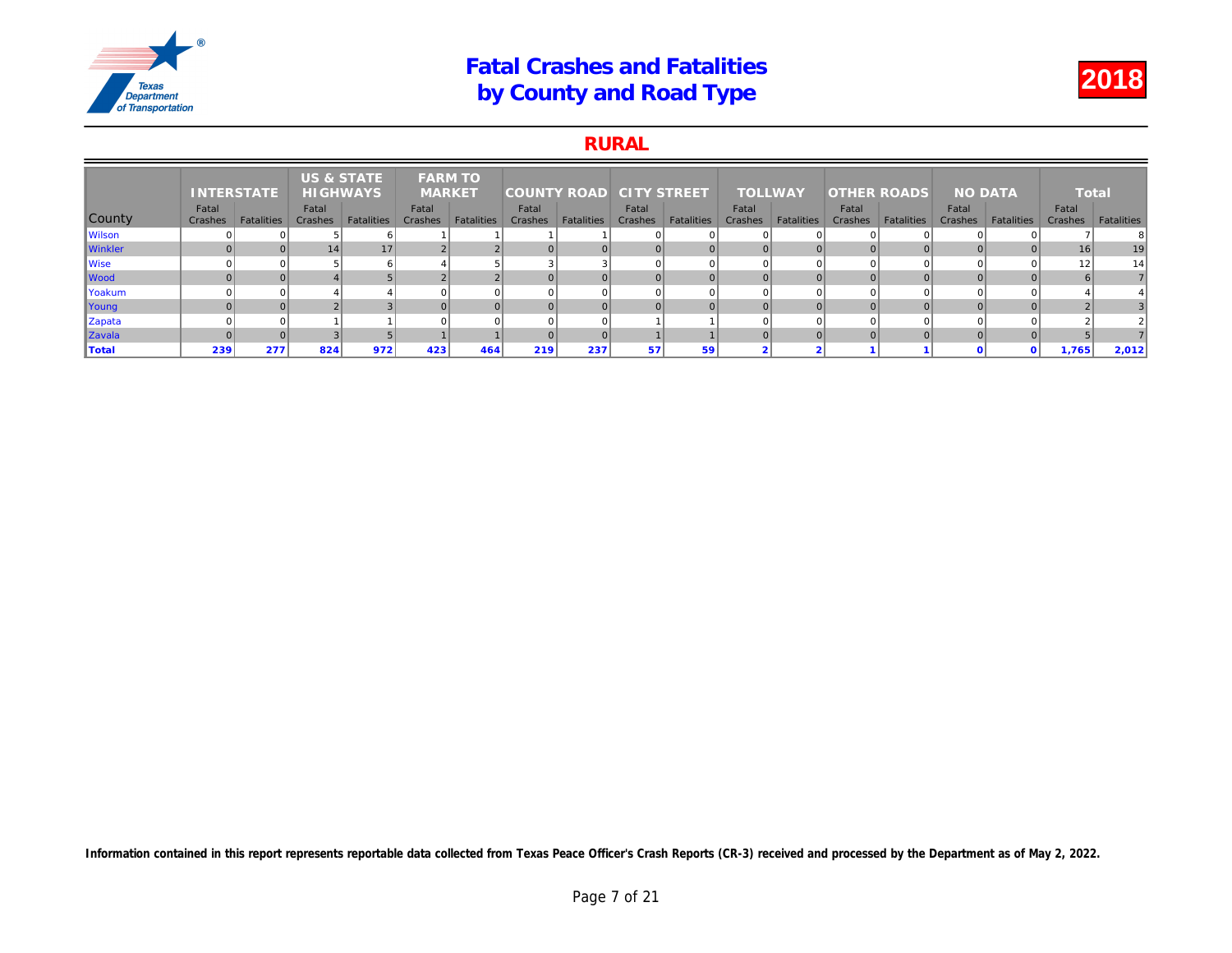### RURAL

|                | <b>INTERSTATE</b> |            | <b>US &amp; STATE</b><br><b>HIGHWAYS</b> |                   | <b>FARM TO</b><br><b>MARKET</b> |                   | <b>COUNTY ROAD</b> |                   | <b>CITY STREET</b> |                   | <b>TOLLWAY</b>   |                   | <b>OTHER ROADS</b> |                   |     |
|----------------|-------------------|------------|------------------------------------------|-------------------|---------------------------------|-------------------|--------------------|-------------------|--------------------|-------------------|------------------|-------------------|--------------------|-------------------|-----|
| County         | Fatal<br>Crashes  | Fatalities | Fatal<br>Crashes                         | <b>Fatalities</b> | Fatal<br>Crashes                | <b>Fatalities</b> | Fatal<br>Crashes   | <b>Fatalities</b> | Fatal<br>Crashes   | <b>Fatalities</b> | Fatal<br>Crashes | <b>Fatalities</b> | Fatal<br>Crashes   | <b>Fatalities</b> | Cra |
| <b>Wilson</b>  |                   |            |                                          |                   |                                 |                   |                    |                   |                    |                   |                  |                   |                    |                   |     |
| <b>Winkler</b> |                   |            | 14                                       | 17                |                                 |                   |                    |                   |                    |                   | $\overline{0}$   |                   |                    |                   |     |
| Wise           |                   |            |                                          |                   |                                 |                   |                    |                   |                    |                   | $\Omega$         |                   |                    |                   |     |
| <b>Wood</b>    |                   |            |                                          |                   |                                 |                   |                    |                   |                    |                   | $\Omega$         |                   |                    |                   |     |
| Yoakum         |                   |            |                                          |                   |                                 |                   |                    |                   |                    |                   | $\Omega$         |                   |                    |                   |     |
| Young          |                   |            |                                          |                   |                                 |                   |                    |                   |                    |                   | $\overline{0}$   |                   |                    |                   |     |
| Zapata         |                   |            |                                          |                   |                                 |                   |                    |                   |                    |                   | $\Omega$         |                   |                    |                   |     |
| Zavala         |                   |            |                                          |                   |                                 |                   |                    |                   |                    |                   | $\Omega$         |                   |                    |                   |     |
| Total          | 239               | 277        | 824                                      | 972               | 423                             | 464               | 219                | 237               | 57                 | 59                | $\sim$           |                   |                    |                   |     |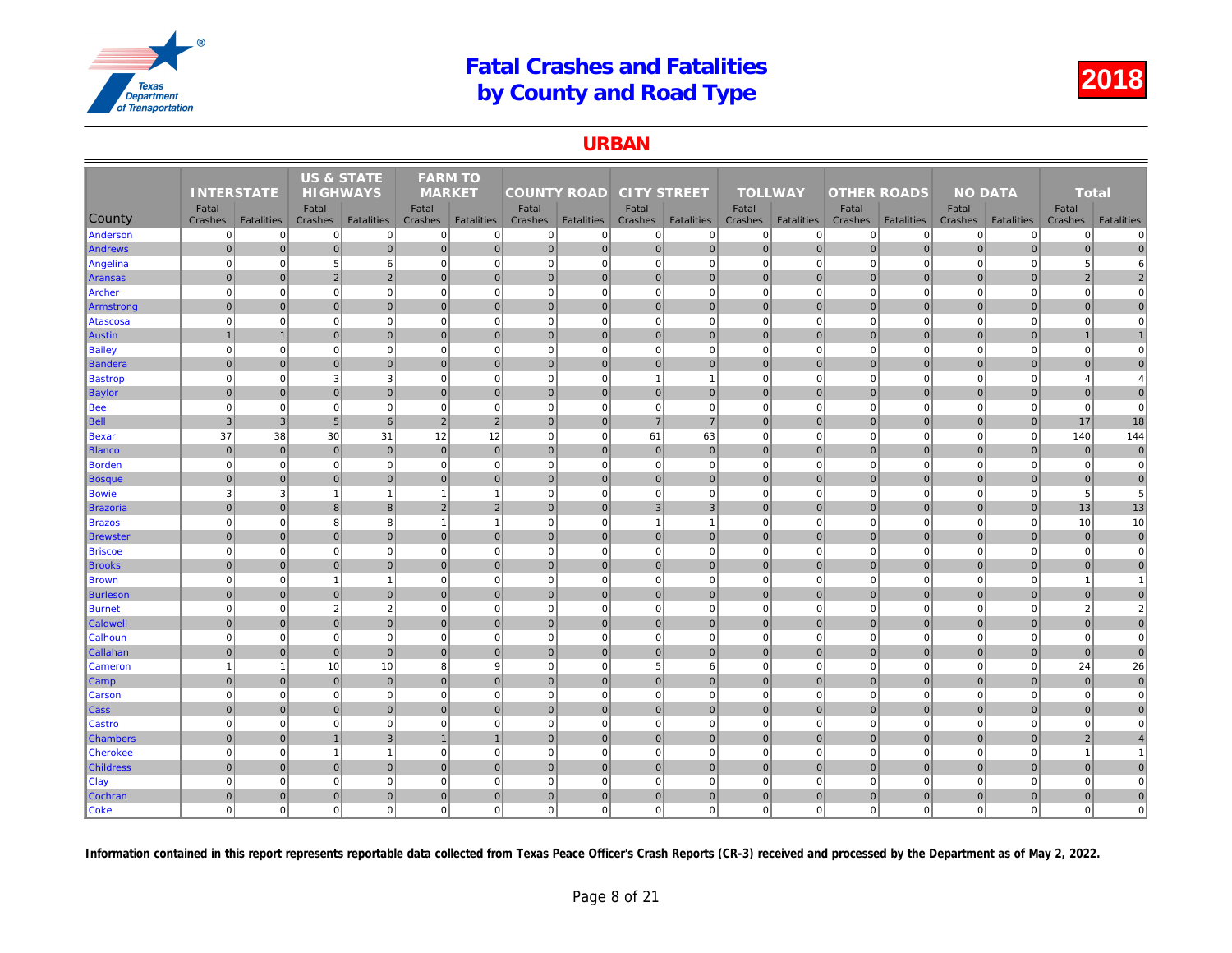### URBAN

| <b>TOLLWAY</b><br><b>INTERSTATE</b><br><b>HIGHWAYS</b><br><b>MARKET</b><br><b>COUNTY ROAD</b><br><b>CITY STREET</b><br><b>OTHER ROADS</b><br>Fatal<br>Fatal<br>Fatal<br>Fatal<br>Fatal<br>Fatal<br>Fatal<br>County<br>Cra<br><b>Fatalities</b><br><b>Fatalities</b><br><b>Fatalities</b><br><b>Fatalities</b><br>Crashes<br><b>Fatalities</b><br>Crashes<br>Crashes<br><b>Fatalities</b><br>Crashes<br>Crashes<br><b>Fatalities</b><br>Crashes<br>Crashes<br>$\mathbf 0$<br>Anderson<br>$\Omega$<br>$\overline{0}$<br> 0 <br>$\overline{0}$<br>$\mathbf{0}$<br>$\mathbf 0$<br>$\overline{0}$<br>$\mathbf 0$<br>$\mathbf 0$<br>$\mathbf{0}$<br>$\mathbf 0$<br>$\mathbf 0$<br>$\Omega$<br>$\overline{0}$<br> 0 <br>$\overline{0}$<br>$\overline{0}$<br>$\pmb{0}$<br>$\overline{0}$<br>$\overline{0}$<br>$\mathbf 0$<br>$\overline{0}$<br>$\pmb{0}$<br>$\overline{0}$<br>$\mathbf 0$<br>$\overline{0}$<br>$\mathbf 0$<br><b>Andrews</b><br>$\Omega$<br>$\mathbf 0$<br>$\overline{0}$<br>$\mathbf 0$<br>$\mathbf 0$<br>$\mathbf 0$<br>$\overline{0}$<br>6<br>$\mathbf 0$<br>$\mathbf 0$<br>$\mathbf{0}$<br>$\mathbf 0$<br>$\mathbf 0$<br>Angelina<br>5<br>$\overline{0}$<br>$\overline{2}$<br>$\mathbf{0}$<br>$\overline{0}$<br> 0 <br>$\overline{0}$<br>$\overline{2}$<br>$\Omega$<br>$\mathbf 0$<br>$\overline{0}$<br>$\mathbf{0}$<br>$\overline{0}$<br>$\mathbf 0$<br>$\mathbf 0$<br>Aransas<br>$\Omega$<br>$\overline{0}$<br>$\mathbf 0$<br>$\mathbf 0$<br>$\mathbf 0$<br>$\overline{0}$<br>$\mathbf 0$<br>$\overline{0}$<br>$\mathbf 0$<br>$\mathbf 0$<br>$\mathbf 0$<br>$\mathbf 0$<br>$\Omega$<br>$\Omega$<br>Archer<br>$\overline{0}$<br>$\mathbf{0}$<br>$\overline{0}$<br>$\overline{0}$<br>$\mathbf 0$<br>$\overline{0}$<br>$\pmb{0}$<br>$\overline{0}$<br>$\mathbf{0}$<br>$\mathbf 0$<br>$\overline{0}$<br>$\mathbf 0$<br>$\mathbf 0$<br>$\mathbf{0}$<br>Armstrong<br>$\mathbf 0$<br>$\overline{0}$<br>$\mathbf 0$<br> 0 <br>$\mathbf 0$<br>$\mathbf 0$<br>$\mathbf 0$<br>$\overline{0}$<br>$\mathbf 0$<br>$\mathbf 0$<br>$\mathbf{0}$<br>$\mathbf 0$<br>$\mathbf 0$<br>$\mathbf 0$<br>Atascosa<br>$\overline{0}$<br>$\mathbf 0$<br>$\overline{1}$<br>$\mathbf 0$<br>$\mathbf{0}$<br>$\mathbf 0$<br>$\overline{0}$<br>$\mathbf 0$<br> 0 <br>$\overline{0}$<br>$\overline{0}$<br>$\mathbf 0$<br>$\overline{0}$<br>Austin<br>$\mathbf 0$<br>$\mathbf 0$<br>$\mathbf 0$<br>$\Omega$<br>$\Omega$<br>$\Omega$<br>$\Omega$<br>$\mathbf 0$<br>$\mathbf 0$<br>$\Omega$<br>$\mathbf 0$<br>$\Omega$<br>$\Omega$<br><b>Bailey</b><br>$\Omega$ |
|-------------------------------------------------------------------------------------------------------------------------------------------------------------------------------------------------------------------------------------------------------------------------------------------------------------------------------------------------------------------------------------------------------------------------------------------------------------------------------------------------------------------------------------------------------------------------------------------------------------------------------------------------------------------------------------------------------------------------------------------------------------------------------------------------------------------------------------------------------------------------------------------------------------------------------------------------------------------------------------------------------------------------------------------------------------------------------------------------------------------------------------------------------------------------------------------------------------------------------------------------------------------------------------------------------------------------------------------------------------------------------------------------------------------------------------------------------------------------------------------------------------------------------------------------------------------------------------------------------------------------------------------------------------------------------------------------------------------------------------------------------------------------------------------------------------------------------------------------------------------------------------------------------------------------------------------------------------------------------------------------------------------------------------------------------------------------------------------------------------------------------------------------------------------------------------------------------------------------------------------------------------------------------------------------------------------------------------------------------------------------------------------------------------------------------------------------------------------------------------------------------------------------------------------|
|                                                                                                                                                                                                                                                                                                                                                                                                                                                                                                                                                                                                                                                                                                                                                                                                                                                                                                                                                                                                                                                                                                                                                                                                                                                                                                                                                                                                                                                                                                                                                                                                                                                                                                                                                                                                                                                                                                                                                                                                                                                                                                                                                                                                                                                                                                                                                                                                                                                                                                                                           |
|                                                                                                                                                                                                                                                                                                                                                                                                                                                                                                                                                                                                                                                                                                                                                                                                                                                                                                                                                                                                                                                                                                                                                                                                                                                                                                                                                                                                                                                                                                                                                                                                                                                                                                                                                                                                                                                                                                                                                                                                                                                                                                                                                                                                                                                                                                                                                                                                                                                                                                                                           |
|                                                                                                                                                                                                                                                                                                                                                                                                                                                                                                                                                                                                                                                                                                                                                                                                                                                                                                                                                                                                                                                                                                                                                                                                                                                                                                                                                                                                                                                                                                                                                                                                                                                                                                                                                                                                                                                                                                                                                                                                                                                                                                                                                                                                                                                                                                                                                                                                                                                                                                                                           |
|                                                                                                                                                                                                                                                                                                                                                                                                                                                                                                                                                                                                                                                                                                                                                                                                                                                                                                                                                                                                                                                                                                                                                                                                                                                                                                                                                                                                                                                                                                                                                                                                                                                                                                                                                                                                                                                                                                                                                                                                                                                                                                                                                                                                                                                                                                                                                                                                                                                                                                                                           |
|                                                                                                                                                                                                                                                                                                                                                                                                                                                                                                                                                                                                                                                                                                                                                                                                                                                                                                                                                                                                                                                                                                                                                                                                                                                                                                                                                                                                                                                                                                                                                                                                                                                                                                                                                                                                                                                                                                                                                                                                                                                                                                                                                                                                                                                                                                                                                                                                                                                                                                                                           |
|                                                                                                                                                                                                                                                                                                                                                                                                                                                                                                                                                                                                                                                                                                                                                                                                                                                                                                                                                                                                                                                                                                                                                                                                                                                                                                                                                                                                                                                                                                                                                                                                                                                                                                                                                                                                                                                                                                                                                                                                                                                                                                                                                                                                                                                                                                                                                                                                                                                                                                                                           |
|                                                                                                                                                                                                                                                                                                                                                                                                                                                                                                                                                                                                                                                                                                                                                                                                                                                                                                                                                                                                                                                                                                                                                                                                                                                                                                                                                                                                                                                                                                                                                                                                                                                                                                                                                                                                                                                                                                                                                                                                                                                                                                                                                                                                                                                                                                                                                                                                                                                                                                                                           |
|                                                                                                                                                                                                                                                                                                                                                                                                                                                                                                                                                                                                                                                                                                                                                                                                                                                                                                                                                                                                                                                                                                                                                                                                                                                                                                                                                                                                                                                                                                                                                                                                                                                                                                                                                                                                                                                                                                                                                                                                                                                                                                                                                                                                                                                                                                                                                                                                                                                                                                                                           |
|                                                                                                                                                                                                                                                                                                                                                                                                                                                                                                                                                                                                                                                                                                                                                                                                                                                                                                                                                                                                                                                                                                                                                                                                                                                                                                                                                                                                                                                                                                                                                                                                                                                                                                                                                                                                                                                                                                                                                                                                                                                                                                                                                                                                                                                                                                                                                                                                                                                                                                                                           |
|                                                                                                                                                                                                                                                                                                                                                                                                                                                                                                                                                                                                                                                                                                                                                                                                                                                                                                                                                                                                                                                                                                                                                                                                                                                                                                                                                                                                                                                                                                                                                                                                                                                                                                                                                                                                                                                                                                                                                                                                                                                                                                                                                                                                                                                                                                                                                                                                                                                                                                                                           |
|                                                                                                                                                                                                                                                                                                                                                                                                                                                                                                                                                                                                                                                                                                                                                                                                                                                                                                                                                                                                                                                                                                                                                                                                                                                                                                                                                                                                                                                                                                                                                                                                                                                                                                                                                                                                                                                                                                                                                                                                                                                                                                                                                                                                                                                                                                                                                                                                                                                                                                                                           |
|                                                                                                                                                                                                                                                                                                                                                                                                                                                                                                                                                                                                                                                                                                                                                                                                                                                                                                                                                                                                                                                                                                                                                                                                                                                                                                                                                                                                                                                                                                                                                                                                                                                                                                                                                                                                                                                                                                                                                                                                                                                                                                                                                                                                                                                                                                                                                                                                                                                                                                                                           |
| $\overline{0}$<br>$\mathbf 0$<br>$\overline{0}$<br> 0 <br>$\overline{0}$<br> 0 <br> 0 <br>$\mathbf 0$<br> 0 <br>$\overline{0}$<br>$\mathbf 0$<br>$\overline{0}$<br>$\mathbf 0$<br>$\pmb{0}$<br>Bandera                                                                                                                                                                                                                                                                                                                                                                                                                                                                                                                                                                                                                                                                                                                                                                                                                                                                                                                                                                                                                                                                                                                                                                                                                                                                                                                                                                                                                                                                                                                                                                                                                                                                                                                                                                                                                                                                                                                                                                                                                                                                                                                                                                                                                                                                                                                                    |
| $\overline{0}$<br>$\mathbf{3}$<br>$\mathbf 0$<br>$\mathbf 0$<br>$\mathbf{0}$<br>3<br>$\mathbf 0$<br>$\overline{0}$<br>$\mathbf 0$<br>$\mathbf 0$<br>$\mathbf 0$<br><b>Bastrop</b><br>$\Omega$<br>$\mathbf{1}$<br>$\mathbf{1}$                                                                                                                                                                                                                                                                                                                                                                                                                                                                                                                                                                                                                                                                                                                                                                                                                                                                                                                                                                                                                                                                                                                                                                                                                                                                                                                                                                                                                                                                                                                                                                                                                                                                                                                                                                                                                                                                                                                                                                                                                                                                                                                                                                                                                                                                                                             |
| $\overline{0}$<br>$\mathbf{0}$<br>$\overline{0}$<br> 0 <br>$\mathbf{0}$<br>$\Omega$<br>$\overline{0}$<br>$\mathbf{0}$<br>$\mathbf{0}$<br>$\mathbf{0}$<br>$\overline{0}$<br>$\Omega$<br>$\mathbf 0$<br>$\mathbf{0}$<br><b>Baylor</b>                                                                                                                                                                                                                                                                                                                                                                                                                                                                                                                                                                                                                                                                                                                                                                                                                                                                                                                                                                                                                                                                                                                                                                                                                                                                                                                                                                                                                                                                                                                                                                                                                                                                                                                                                                                                                                                                                                                                                                                                                                                                                                                                                                                                                                                                                                       |
| $\mathbf 0$<br>$\mathbf{0}$<br>$\mathbf 0$<br>$\mathbf 0$<br>$\overline{0}$<br>$\mathbf 0$<br>$\mathbf{0}$<br>$\mathbf 0$<br>$\mathbf 0$<br>$\mathbf 0$<br>$\mathbf 0$<br><b>Bee</b><br>$\mathbf 0$<br>$\mathbf 0$<br>$\Omega$                                                                                                                                                                                                                                                                                                                                                                                                                                                                                                                                                                                                                                                                                                                                                                                                                                                                                                                                                                                                                                                                                                                                                                                                                                                                                                                                                                                                                                                                                                                                                                                                                                                                                                                                                                                                                                                                                                                                                                                                                                                                                                                                                                                                                                                                                                            |
| 3 <sup>1</sup><br>6<br>$\overline{2}$<br>$\overline{7}$<br>$\mathbf{0}$<br>$\overline{3}$<br>$5\overline{5}$<br>2<br>$\overline{0}$<br>$\overline{7}$<br>$\overline{0}$<br>$\mathbf{0}$<br>$\Omega$<br><b>Bell</b><br>$\mathbf{0}$                                                                                                                                                                                                                                                                                                                                                                                                                                                                                                                                                                                                                                                                                                                                                                                                                                                                                                                                                                                                                                                                                                                                                                                                                                                                                                                                                                                                                                                                                                                                                                                                                                                                                                                                                                                                                                                                                                                                                                                                                                                                                                                                                                                                                                                                                                        |
| 37<br>12<br>12<br>63<br>38<br>30<br>31<br>$\overline{0}$<br>$\overline{0}$<br>61<br>$\mathbf 0$<br>$\mathbf 0$<br>$\mathbf 0$<br>$\mathbf 0$<br>Bexar                                                                                                                                                                                                                                                                                                                                                                                                                                                                                                                                                                                                                                                                                                                                                                                                                                                                                                                                                                                                                                                                                                                                                                                                                                                                                                                                                                                                                                                                                                                                                                                                                                                                                                                                                                                                                                                                                                                                                                                                                                                                                                                                                                                                                                                                                                                                                                                     |
| $\mathbf{0}$<br>$\mathbf 0$<br>$\overline{0}$<br>$\mathbf{0}$<br>$\mathbf{0}$<br>$\overline{0}$<br>$\pmb{0}$<br>$\overline{0}$<br>$\mathbf{0}$<br>$\overline{0}$<br>$\mathbf 0$<br>$\overline{0}$<br>$\mathbf 0$<br>$\overline{0}$<br><b>Blanco</b>                                                                                                                                                                                                                                                                                                                                                                                                                                                                                                                                                                                                                                                                                                                                                                                                                                                                                                                                                                                                                                                                                                                                                                                                                                                                                                                                                                                                                                                                                                                                                                                                                                                                                                                                                                                                                                                                                                                                                                                                                                                                                                                                                                                                                                                                                       |
| $\mathbf 0$<br>$\mathbf{0}$<br>$\mathbf 0$<br>$\overline{0}$<br>$\mathbf 0$<br>$\mathbf 0$<br>$\overline{0}$<br>$\mathbf 0$<br>$\mathbf{0}$<br>$\mathbf 0$<br>$\mathbf 0$<br>$\mathbf 0$<br>$\mathbf 0$<br>Borden<br>0                                                                                                                                                                                                                                                                                                                                                                                                                                                                                                                                                                                                                                                                                                                                                                                                                                                                                                                                                                                                                                                                                                                                                                                                                                                                                                                                                                                                                                                                                                                                                                                                                                                                                                                                                                                                                                                                                                                                                                                                                                                                                                                                                                                                                                                                                                                    |
| $\overline{0}$<br>$\overline{0}$<br>$\mathbf{0}$<br> 0 <br>$\Omega$<br>$\mathbf{0}$<br>$\Omega$<br> 0 <br>$\Omega$<br>$\mathbf{0}$<br>$\Omega$<br>$\mathbf{0}$<br>$\mathbf{0}$<br>$\overline{0}$<br><b>Bosque</b>                                                                                                                                                                                                                                                                                                                                                                                                                                                                                                                                                                                                                                                                                                                                                                                                                                                                                                                                                                                                                                                                                                                                                                                                                                                                                                                                                                                                                                                                                                                                                                                                                                                                                                                                                                                                                                                                                                                                                                                                                                                                                                                                                                                                                                                                                                                         |
| 3<br>3<br>$\mathbf{1}$<br>$\overline{0}$<br>$\mathbf 0$<br>$\mathbf 0$<br>$\overline{0}$<br>$\mathbf 0$<br>$\mathbf 0$<br>$\mathbf 0$<br>$\mathbf 0$<br><b>Bowie</b><br>$\overline{1}$<br>$\overline{1}$<br>$\mathbf{1}$                                                                                                                                                                                                                                                                                                                                                                                                                                                                                                                                                                                                                                                                                                                                                                                                                                                                                                                                                                                                                                                                                                                                                                                                                                                                                                                                                                                                                                                                                                                                                                                                                                                                                                                                                                                                                                                                                                                                                                                                                                                                                                                                                                                                                                                                                                                  |
| $\overline{2}$<br>3 <sup>2</sup><br>$\Omega$<br>8<br>8<br>$\overline{2}$<br>$\overline{0}$<br>3<br>$\Omega$<br>$\mathbf 0$<br>$\overline{0}$<br><b>Brazoria</b><br>$\mathbf 0$<br>$\mathbf{0}$<br>$\mathbf{0}$                                                                                                                                                                                                                                                                                                                                                                                                                                                                                                                                                                                                                                                                                                                                                                                                                                                                                                                                                                                                                                                                                                                                                                                                                                                                                                                                                                                                                                                                                                                                                                                                                                                                                                                                                                                                                                                                                                                                                                                                                                                                                                                                                                                                                                                                                                                            |
| $\overline{0}$<br>8<br> 0 <br>$\mathbf 0$<br>$\mathbf 0$<br>$\mathbf{0}$<br>8<br>$\mathbf{1}$<br>$\mathbf{1}$<br>$\mathbf 0$<br>$\mathbf 0$<br>$\Omega$<br>$\mathbf{1}$<br><b>Brazos</b><br>$\mathbf{1}$                                                                                                                                                                                                                                                                                                                                                                                                                                                                                                                                                                                                                                                                                                                                                                                                                                                                                                                                                                                                                                                                                                                                                                                                                                                                                                                                                                                                                                                                                                                                                                                                                                                                                                                                                                                                                                                                                                                                                                                                                                                                                                                                                                                                                                                                                                                                  |
| $\overline{0}$<br> 0 <br>$\Omega$<br>$\overline{0}$<br>$\mathbf{0}$<br>$\Omega$<br>$\mathbf{0}$<br>$\overline{0}$<br>$\mathbf{0}$<br>$\overline{0}$<br>$\mathbf{0}$<br>$\mathbf 0$<br>$\Omega$<br>$\overline{0}$<br>Brewster                                                                                                                                                                                                                                                                                                                                                                                                                                                                                                                                                                                                                                                                                                                                                                                                                                                                                                                                                                                                                                                                                                                                                                                                                                                                                                                                                                                                                                                                                                                                                                                                                                                                                                                                                                                                                                                                                                                                                                                                                                                                                                                                                                                                                                                                                                              |
| $\mathbf 0$<br>$\mathbf 0$<br>$\mathbf 0$<br>$\mathbf{0}$<br>$\mathbf 0$<br>$\mathbf 0$<br>$\mathbf 0$<br>$\mathbf{0}$<br>$\mathbf 0$<br>$\pmb{0}$<br>$\mathbf{0}$<br>$\mathbf 0$<br>$\mathbf 0$<br>$\mathbf 0$<br><b>Briscoe</b>                                                                                                                                                                                                                                                                                                                                                                                                                                                                                                                                                                                                                                                                                                                                                                                                                                                                                                                                                                                                                                                                                                                                                                                                                                                                                                                                                                                                                                                                                                                                                                                                                                                                                                                                                                                                                                                                                                                                                                                                                                                                                                                                                                                                                                                                                                         |
| $\overline{0}$<br>$\overline{0}$<br>$\mathbf 0$<br> 0 <br> 0 <br>$\overline{0}$<br>$\overline{0}$<br> 0 <br>$\mathbf 0$<br>$\overline{0}$<br>$\mathbf{0}$<br>$\overline{0}$<br>$\mathbf 0$<br>$\mathbf 0$<br><b>Brooks</b>                                                                                                                                                                                                                                                                                                                                                                                                                                                                                                                                                                                                                                                                                                                                                                                                                                                                                                                                                                                                                                                                                                                                                                                                                                                                                                                                                                                                                                                                                                                                                                                                                                                                                                                                                                                                                                                                                                                                                                                                                                                                                                                                                                                                                                                                                                                |
| $\overline{0}$<br>$\mathbf{0}$<br>$\mathbf 0$<br>$\mathbf 0$<br> 0 <br>$\pmb{0}$<br>$\mathbf{0}$<br>$\mathbf 0$<br>$\mathbf 0$<br>$\mathbf 0$<br>$\pmb{0}$<br><b>Brown</b><br>$\Omega$<br>$\overline{1}$<br>$\overline{1}$                                                                                                                                                                                                                                                                                                                                                                                                                                                                                                                                                                                                                                                                                                                                                                                                                                                                                                                                                                                                                                                                                                                                                                                                                                                                                                                                                                                                                                                                                                                                                                                                                                                                                                                                                                                                                                                                                                                                                                                                                                                                                                                                                                                                                                                                                                                |
| $\overline{0}$<br>$\overline{0}$<br>$\mathbf{0}$<br>$\overline{0}$<br> 0 <br>$\mathbf{0}$<br>$\mathbf 0$<br>$\mathbf{0}$<br>$\Omega$<br>$\mathbf{0}$<br>$\Omega$<br>$\mathbf 0$<br>$\overline{0}$<br>$\overline{0}$<br>Burleson                                                                                                                                                                                                                                                                                                                                                                                                                                                                                                                                                                                                                                                                                                                                                                                                                                                                                                                                                                                                                                                                                                                                                                                                                                                                                                                                                                                                                                                                                                                                                                                                                                                                                                                                                                                                                                                                                                                                                                                                                                                                                                                                                                                                                                                                                                           |
| $\overline{2}$<br>$\overline{2}$<br>$\mathbf 0$<br>$\mathbf 0$<br>$\mathbf 0$<br>$\mathbf 0$<br>$\overline{0}$<br>$\mathbf 0$<br>$\overline{0}$<br>$\mathbf 0$<br>$\mathbf 0$<br>$\mathbf 0$<br>$\mathbf 0$<br>$\mathbf 0$<br><b>Burnet</b>                                                                                                                                                                                                                                                                                                                                                                                                                                                                                                                                                                                                                                                                                                                                                                                                                                                                                                                                                                                                                                                                                                                                                                                                                                                                                                                                                                                                                                                                                                                                                                                                                                                                                                                                                                                                                                                                                                                                                                                                                                                                                                                                                                                                                                                                                               |
| $\overline{0}$<br><b>Caldwell</b><br>$\overline{0}$<br>$\Omega$<br>$\mathbf{0}$<br>$\mathbf{0}$<br>$\mathbf{0}$<br>$\overline{0}$<br>$\mathbf 0$<br>$\mathbf 0$<br>$\overline{0}$<br>$\mathbf{0}$<br>$\overline{0}$<br>$\mathbf 0$<br>$\overline{0}$                                                                                                                                                                                                                                                                                                                                                                                                                                                                                                                                                                                                                                                                                                                                                                                                                                                                                                                                                                                                                                                                                                                                                                                                                                                                                                                                                                                                                                                                                                                                                                                                                                                                                                                                                                                                                                                                                                                                                                                                                                                                                                                                                                                                                                                                                      |
| $\overline{0}$<br>$\mathbf 0$<br>$\mathbf 0$<br>$\mathbf 0$<br>$\overline{0}$<br>$\mathbf 0$<br>$\overline{0}$<br>$\mathbf 0$<br>Calhoun<br>$\overline{0}$<br>$\mathbf 0$<br>$\mathbf 0$<br>$\Omega$<br>$\mathbf 0$<br>$\mathbf 0$                                                                                                                                                                                                                                                                                                                                                                                                                                                                                                                                                                                                                                                                                                                                                                                                                                                                                                                                                                                                                                                                                                                                                                                                                                                                                                                                                                                                                                                                                                                                                                                                                                                                                                                                                                                                                                                                                                                                                                                                                                                                                                                                                                                                                                                                                                        |
| $\overline{0}$<br>$\overline{0}$<br>$\mathbf{0}$<br>$\mathbf 0$<br>$\overline{0}$<br> 0 <br>$\mathbf{0}$<br>$\overline{0}$<br>$\mathbf 0$<br>$\Omega$<br>$\mathbf 0$<br>$\mathbf 0$<br>$\overline{0}$<br>$\overline{0}$<br><b>Callahan</b>                                                                                                                                                                                                                                                                                                                                                                                                                                                                                                                                                                                                                                                                                                                                                                                                                                                                                                                                                                                                                                                                                                                                                                                                                                                                                                                                                                                                                                                                                                                                                                                                                                                                                                                                                                                                                                                                                                                                                                                                                                                                                                                                                                                                                                                                                                |
| 8<br>$\overline{9}$<br>5<br>$\Omega$<br>10<br>10<br>$\overline{0}$<br>$6 \overline{6}$<br>$\Omega$<br>$\Omega$<br>$\mathbf{1}$<br>$\Omega$<br>$\Omega$<br>Cameron                                                                                                                                                                                                                                                                                                                                                                                                                                                                                                                                                                                                                                                                                                                                                                                                                                                                                                                                                                                                                                                                                                                                                                                                                                                                                                                                                                                                                                                                                                                                                                                                                                                                                                                                                                                                                                                                                                                                                                                                                                                                                                                                                                                                                                                                                                                                                                         |
| $\overline{0}$<br>$\mathbf 0$<br>$\overline{0}$<br>$\mathbf 0$<br>$\overline{0}$<br>$\mathbf{0}$<br> 0 <br> 0 <br>$\overline{0}$<br>$\mathbf{0}$<br>$\overline{0}$<br>$\mathbf 0$<br>$\pmb{0}$<br>$\mathbf 0$<br> Camp                                                                                                                                                                                                                                                                                                                                                                                                                                                                                                                                                                                                                                                                                                                                                                                                                                                                                                                                                                                                                                                                                                                                                                                                                                                                                                                                                                                                                                                                                                                                                                                                                                                                                                                                                                                                                                                                                                                                                                                                                                                                                                                                                                                                                                                                                                                    |
| $\mathbf 0$<br>$\mathbf 0$<br>$\mathbf 0$<br>$\overline{0}$<br>$\mathbf 0$<br>$\mathbf 0$<br>$\overline{0}$<br>$\mathbf 0$<br>$\mathbf 0$<br>$\Omega$<br>$\mathbf 0$<br>$\mathbf{0}$<br>$\mathbf 0$<br>$\Omega$<br>Carson                                                                                                                                                                                                                                                                                                                                                                                                                                                                                                                                                                                                                                                                                                                                                                                                                                                                                                                                                                                                                                                                                                                                                                                                                                                                                                                                                                                                                                                                                                                                                                                                                                                                                                                                                                                                                                                                                                                                                                                                                                                                                                                                                                                                                                                                                                                 |
| $\overline{0}$<br>$\mathbf 0$<br>$\overline{0}$<br>$\pmb{0}$<br>$\mathbf 0$<br>$\overline{0}$<br>$\overline{0}$<br>$\mathbf 0$<br>$\mathbf{0}$<br>$\mathbf 0$<br>$\overline{0}$<br>$\mathbf{0}$<br>$\Omega$<br>$\overline{0}$<br><b>Cass</b>                                                                                                                                                                                                                                                                                                                                                                                                                                                                                                                                                                                                                                                                                                                                                                                                                                                                                                                                                                                                                                                                                                                                                                                                                                                                                                                                                                                                                                                                                                                                                                                                                                                                                                                                                                                                                                                                                                                                                                                                                                                                                                                                                                                                                                                                                              |
| $\mathbf 0$<br>$\Omega$<br>$\overline{0}$<br>$\mathbf 0$<br>$\overline{0}$<br>$\mathbf 0$<br>$\mathbf 0$<br>$\mathbf{0}$<br>$\Omega$<br>$\mathbf 0$<br>$\mathbf{0}$<br>$\mathbf 0$<br>$\mathbf 0$<br>$\mathbf 0$<br>Castro                                                                                                                                                                                                                                                                                                                                                                                                                                                                                                                                                                                                                                                                                                                                                                                                                                                                                                                                                                                                                                                                                                                                                                                                                                                                                                                                                                                                                                                                                                                                                                                                                                                                                                                                                                                                                                                                                                                                                                                                                                                                                                                                                                                                                                                                                                                |
| $\mathbf{3}$<br> 0 <br>$\mathbf{0}$<br>$\overline{0}$<br>$\overline{0}$<br>$\overline{0}$<br>$\mathbf 0$<br>$\overline{0}$<br>$\mathbf 0$<br>$\overline{0}$<br>$\mathbf{1}$<br>$\overline{0}$<br><b>Chambers</b><br>$\overline{1}$                                                                                                                                                                                                                                                                                                                                                                                                                                                                                                                                                                                                                                                                                                                                                                                                                                                                                                                                                                                                                                                                                                                                                                                                                                                                                                                                                                                                                                                                                                                                                                                                                                                                                                                                                                                                                                                                                                                                                                                                                                                                                                                                                                                                                                                                                                        |
| $\mathbf 0$<br>$\mathbf 0$<br>$\mathbf 0$<br><b>Cherokee</b><br>$\mathbf{0}$<br>$\mathbf 0$<br>$\mathbf{0}$<br>$\Omega$<br>$\mathbf 0$<br>$\mathbf{0}$<br>$\mathbf 0$<br>$\mathbf 0$<br>$\Omega$<br>$\overline{1}$<br>$\overline{1}$                                                                                                                                                                                                                                                                                                                                                                                                                                                                                                                                                                                                                                                                                                                                                                                                                                                                                                                                                                                                                                                                                                                                                                                                                                                                                                                                                                                                                                                                                                                                                                                                                                                                                                                                                                                                                                                                                                                                                                                                                                                                                                                                                                                                                                                                                                      |
| $\overline{0}$<br>$\pmb{0}$<br>$\mathbf 0$<br>$\overline{0}$<br>$\mathbf 0$<br>$\mathbf 0$<br>$\overline{0}$<br>$\overline{0}$<br>$\mathbf 0$<br>$\overline{0}$<br>$\mathbf 0$<br>$\mathbf{0}$<br>$\mathbf 0$<br>$\mathbf 0$<br><b>Childress</b>                                                                                                                                                                                                                                                                                                                                                                                                                                                                                                                                                                                                                                                                                                                                                                                                                                                                                                                                                                                                                                                                                                                                                                                                                                                                                                                                                                                                                                                                                                                                                                                                                                                                                                                                                                                                                                                                                                                                                                                                                                                                                                                                                                                                                                                                                          |
| $\mathbf 0$<br>$\mathbf 0$<br>$\mathbf 0$<br>Clay<br>$\Omega$<br>$\overline{0}$<br>$\mathbf 0$<br>$\overline{0}$<br>$\mathbf 0$<br>$\mathbf{0}$<br>$\mathbf 0$<br>$\mathbf{0}$<br>$\mathbf 0$<br>$\mathbf 0$<br>$\Omega$                                                                                                                                                                                                                                                                                                                                                                                                                                                                                                                                                                                                                                                                                                                                                                                                                                                                                                                                                                                                                                                                                                                                                                                                                                                                                                                                                                                                                                                                                                                                                                                                                                                                                                                                                                                                                                                                                                                                                                                                                                                                                                                                                                                                                                                                                                                  |
| 0 <br>$\overline{0}$<br>$\overline{0}$<br>$\overline{0}$<br>$\mathbf{0}$<br>$\mathbf{0}$<br> 0 <br>$\mathbf 0$<br>$\mathbf{0}$<br>$\mathbf{0}$<br>$\Omega$<br>$\mathbf 0$<br>$\overline{0}$<br>$\mathbf{0}$<br>Cochran                                                                                                                                                                                                                                                                                                                                                                                                                                                                                                                                                                                                                                                                                                                                                                                                                                                                                                                                                                                                                                                                                                                                                                                                                                                                                                                                                                                                                                                                                                                                                                                                                                                                                                                                                                                                                                                                                                                                                                                                                                                                                                                                                                                                                                                                                                                    |
| $\Omega$<br>$\mathbf 0$<br>$\mathbf 0$<br>$\mathbf 0$<br>$\mathbf 0$<br>$\overline{0}$<br>$\pmb{0}$<br>$\mathbf 0$<br>$\mathbf 0$<br>$\mathbf 0$<br>$\mathbf 0$<br><b>Coke</b><br>$\overline{0}$<br>$\Omega$<br>$\mathbf{0}$                                                                                                                                                                                                                                                                                                                                                                                                                                                                                                                                                                                                                                                                                                                                                                                                                                                                                                                                                                                                                                                                                                                                                                                                                                                                                                                                                                                                                                                                                                                                                                                                                                                                                                                                                                                                                                                                                                                                                                                                                                                                                                                                                                                                                                                                                                              |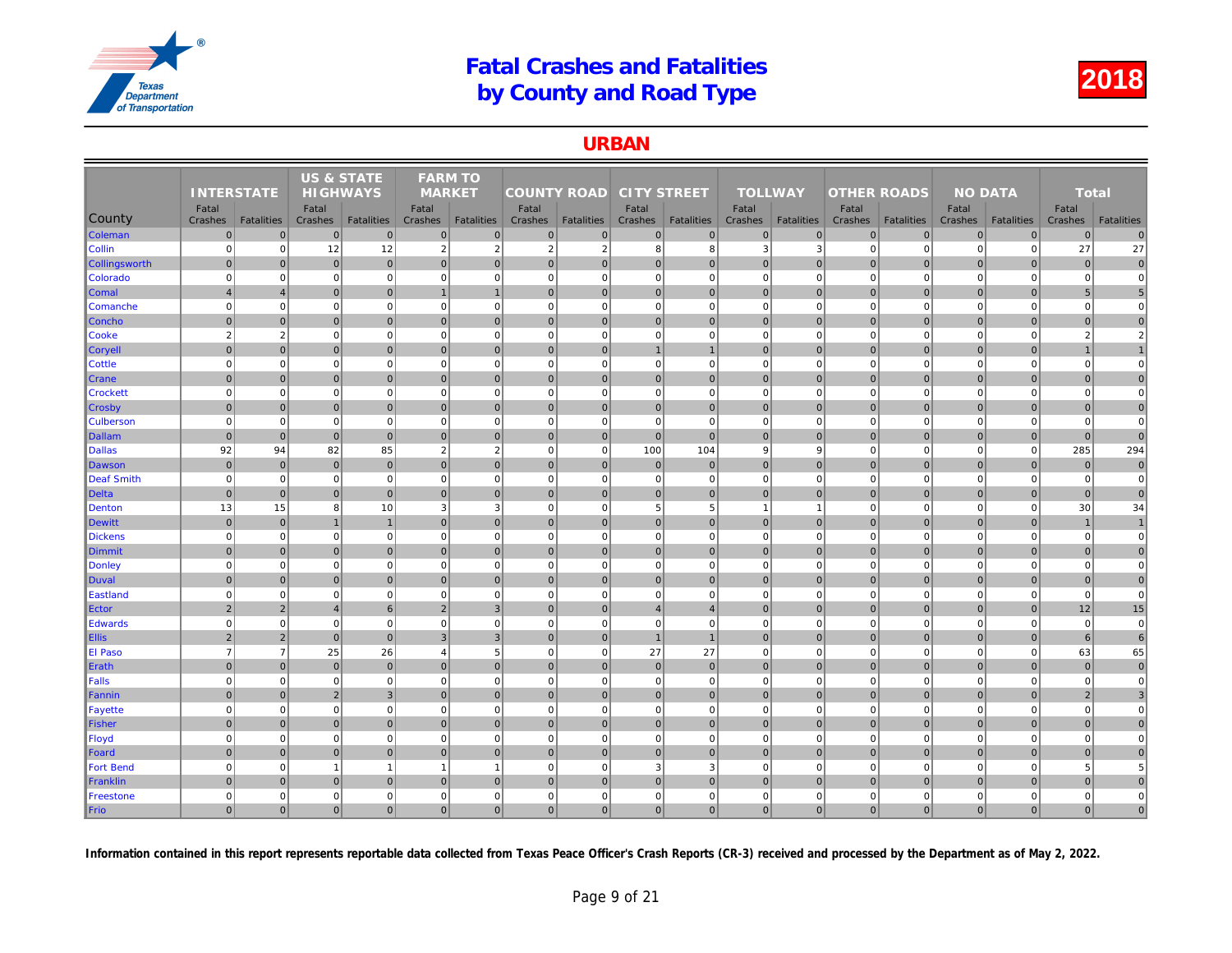### URBAN

|                            |                   |                   | <b>US &amp; STATE</b>    |                   | <b>FARM TO</b> |                   |                    |                   |                    |                   |                |                   |                    |                   |     |
|----------------------------|-------------------|-------------------|--------------------------|-------------------|----------------|-------------------|--------------------|-------------------|--------------------|-------------------|----------------|-------------------|--------------------|-------------------|-----|
|                            | <b>INTERSTATE</b> |                   | <b>HIGHWAYS</b>          |                   | <b>MARKET</b>  |                   | <b>COUNTY ROAD</b> |                   | <b>CITY STREET</b> |                   | <b>TOLLWAY</b> |                   | <b>OTHER ROADS</b> |                   |     |
|                            | Fatal             |                   | Fatal                    |                   | Fatal          |                   | Fatal              |                   | Fatal              |                   | Fatal          |                   | Fatal              |                   |     |
| County                     | Crashes           | <b>Fatalities</b> | Crashes                  | <b>Fatalities</b> | Crashes        | <b>Fatalities</b> | Crashes            | <b>Fatalities</b> | Crashes            | <b>Fatalities</b> | Crashes        | <b>Fatalities</b> | Crashes            | <b>Fatalities</b> | Cra |
| Coleman                    | $\mathbf 0$       | $\Omega$          | $\mathbf 0$              | $\overline{0}$    | $\mathbf{0}$   | $\mathbf 0$       | $\overline{0}$     | $\overline{0}$    | $\overline{0}$     | $\overline{0}$    | $\mathbf 0$    | $\overline{0}$    | $\mathbf 0$        | $\overline{0}$    |     |
| <b>Collin</b>              | $\mathbf 0$       | $\Omega$          | 12                       | 12                | $\overline{2}$ | $\overline{2}$    | $\overline{2}$     | $\overline{2}$    | 8                  | 8                 | 3              | 3                 | $\mathbf 0$        | $\Omega$          |     |
| <b>Collingsworth</b>       | $\mathbf 0$       | $\overline{0}$    | $\mathbf 0$              | $\overline{0}$    | $\mathbf 0$    | $\mathbf{0}$      | $\overline{0}$     | $\overline{0}$    | $\overline{0}$     | $\overline{0}$    | $\mathbf 0$    | $\Omega$          | $\mathbf 0$        | $\overline{0}$    |     |
| Colorado                   | $\mathbf 0$       | $\mathbf 0$       | $\overline{0}$           | $\overline{0}$    | $\mathbf 0$    | $\mathbf 0$       | 0                  | $\overline{0}$    | $\overline{0}$     | $\overline{0}$    | $\mathbf 0$    | $\Omega$          | $\mathbf 0$        | $\mathbf 0$       |     |
| <b>Comal</b>               | $\overline{4}$    | $\overline{4}$    | $\mathbf 0$              | $\overline{0}$    |                | $\mathbf{1}$      | 0                  | $\overline{0}$    | $\overline{0}$     | $\mathbf 0$       | $\mathbf 0$    | $\mathbf{0}$      | $\mathbf 0$        | $\overline{0}$    |     |
| <b>Comanche</b>            | $\mathbf 0$       | $\Omega$          | $\Omega$                 | $\mathbf{0}$      | $\mathbf 0$    | $\mathbf 0$       | $\overline{0}$     | $\Omega$          | $\overline{0}$     | $\Omega$          | $\mathbf 0$    | $\Omega$          | $\mathbf 0$        | $\Omega$          |     |
| <b>Concho</b>              | $\overline{0}$    | $\mathbf{0}$      | $\overline{0}$           | $\overline{0}$    | $\mathbf{0}$   | $\overline{0}$    | 0                  | $\mathbf 0$       | $\overline{0}$     | $\overline{0}$    | $\mathbf{0}$   | $\overline{0}$    | 0                  | $\overline{0}$    |     |
| <b>Cooke</b>               | $\overline{2}$    | $\sqrt{2}$        | $\mathbf 0$              | $\mathbf{0}$      | $\mathbf 0$    | $\mathbf 0$       | 0                  | $\mathbf 0$       | $\mathbf{0}$       | $\mathbf 0$       | $\mathbf 0$    | $\mathbf 0$       | $\mathbf 0$        | $\mathbf 0$       |     |
| <b>Coryell</b>             | $\Omega$          | $\Omega$          | $\mathbf{0}$             | $\overline{0}$    | $\mathbf{0}$   | $\mathbf{0}$      | 0                  | $\overline{0}$    | $\overline{1}$     | $\mathbf{1}$      | $\mathbf{0}$   | $\Omega$          | $\mathbf 0$        | $\overline{0}$    |     |
| <b>Cottle</b>              | $\Omega$          | $\mathbf 0$       | $\mathbf 0$              | $\mathbf{0}$      | $\mathbf 0$    | $\mathbf 0$       | $\mathbf{0}$       | $\mathbf 0$       | $\mathbf{0}$       | $\mathbf{0}$      | $\mathbf 0$    | $\Omega$          | $\mathbf 0$        | $\mathbf 0$       |     |
| <b>Crane</b>               | $\mathbf{0}$      | $\Omega$          | $\mathbf{0}$             | $\overline{0}$    | $\Omega$       | $\mathbf{0}$      | $\overline{0}$     | $\overline{0}$    | $\overline{0}$     | $\overline{0}$    | $\mathbf{0}$   | $\Omega$          | $\mathbf{0}$       | $\Omega$          |     |
| <b>Crockett</b>            | $\mathbf 0$       | $\mathbf 0$       | $\mathbf 0$              | $\overline{0}$    | $\mathbf 0$    | $\mathbf 0$       | 0                  | $\overline{0}$    | $\overline{0}$     | $\overline{0}$    | $\mathbf 0$    | $\mathbf 0$       | $\mathbf 0$        | $\Omega$          |     |
| ∥Crosby                    | $\mathbf 0$       | $\mathbf 0$       | $\pmb{0}$                | $\overline{0}$    | $\mathbf 0$    | $\mathbf 0$       | 0                  | $\overline{0}$    | $\overline{0}$     | $\overline{0}$    | $\mathbf 0$    | $\mathbf{0}$      | $\mathbf 0$        | $\mathbf 0$       |     |
| <b>Culberson</b>           | $\mathbf 0$       | $\mathbf 0$       | $\Omega$                 | $\overline{0}$    | $\mathbf 0$    | $\mathbf 0$       | 0                  | $\Omega$          | $\overline{0}$     | $\Omega$          | $\mathbf 0$    | $\mathbf 0$       | $\mathbf 0$        | $\Omega$          |     |
| Dallam                     | $\mathbf 0$       | $\mathbf{0}$      | $\mathbf 0$              | $\overline{0}$    | $\mathbf{0}$   | $\mathbf{0}$      | 0                  | $\overline{0}$    | $\overline{0}$     | $\overline{0}$    | $\mathbf{0}$   | $\overline{0}$    | $\mathbf 0$        | $\overline{0}$    |     |
| <b>Dallas</b>              | 92                | 94                | 82                       | 85                | $\overline{2}$ | $\overline{2}$    | 0                  | $\overline{0}$    | 100                | 104               | 9              | 9                 | $\mathbf 0$        | $\Omega$          |     |
| Dawson                     | $\mathbf{0}$      | $\Omega$          | $\mathbf 0$              | $\overline{0}$    | $\Omega$       | $\Omega$          | $\overline{0}$     | $\mathbf{0}$      | $\overline{0}$     | $\overline{0}$    | $\mathbf{0}$   | $\Omega$          | $\mathbf{0}$       | $\Omega$          |     |
| Deaf Smith                 | $\mathbf 0$       | $\mathbf 0$       | $\mathbf 0$              | $\overline{0}$    | $\mathbf 0$    | $\mathbf 0$       | 0                  | $\mathbf 0$       | $\mathbf{0}$       | $\mathbf{0}$      | $\mathbf 0$    | $\mathbf 0$       | $\mathbf 0$        | $\mathbf 0$       |     |
| Delta                      | $\mathbf{0}$      | $\mathbf{0}$      | $\mathbf{0}$             | $\overline{0}$    | $\mathbf{0}$   | $\mathbf{0}$      | $\Omega$           | $\overline{0}$    | $\overline{0}$     | $\mathbf{0}$      | $\mathbf{0}$   | $\Omega$          | $\mathbf{0}$       | $\Omega$          |     |
| Denton                     | 13                | 15                | 8                        | 10                | 3              | 3                 | $\overline{0}$     | $\mathbf 0$       | $5\overline{)}$    | 5                 | $\overline{1}$ | $\overline{1}$    | $\mathbf 0$        | $\Omega$          |     |
| Dewitt                     | $\mathbf 0$       | $\Omega$          | $\overline{1}$           | $\mathbf{1}$      | $\mathbf{0}$   | $\mathbf{0}$      | 0                  | $\mathbf 0$       | 0                  | $\overline{0}$    | $\mathbf{0}$   | $\overline{0}$    | $\mathbf 0$        | $\overline{0}$    |     |
| <b>Dickens</b>             | $\mathbf 0$       | $\mathbf 0$       | $\mathbf 0$              | $\overline{0}$    | $\mathbf 0$    | $\mathbf 0$       | 0                  | $\mathbf 0$       | $\overline{0}$     | $\overline{0}$    | $\mathbf 0$    | $\mathbf 0$       | $\mathbf 0$        | $\overline{0}$    |     |
| Dimmit                     | $\mathbf 0$       | $\overline{0}$    | $\mathbf 0$              | $\overline{0}$    | $\mathbf{0}$   | $\mathbf{0}$      | 0                  | $\overline{0}$    | $\overline{0}$     | $\overline{0}$    | $\mathbf{0}$   | $\mathbf{0}$      | $\mathbf 0$        | $\overline{0}$    |     |
| Donley                     | $\mathbf 0$       | $\mathbf 0$       | $\Omega$                 | $\mathbf{0}$      | $\mathbf 0$    | $\mathbf 0$       | $\Omega$           | $\Omega$          | $\mathbf{0}$       | $\mathbf{0}$      | $\mathbf 0$    | $\mathbf 0$       | $\mathbf 0$        | $\mathbf 0$       |     |
| Duval                      | $\mathbf{0}$      | $\Omega$          | $\mathbf 0$              | $\overline{0}$    | $\mathbf{0}$   | $\mathbf{0}$      | $\overline{0}$     | $\mathbf 0$       | $\overline{0}$     | $\overline{0}$    | $\mathbf{0}$   | $\Omega$          | $\mathbf 0$        | $\overline{0}$    |     |
| Eastland                   | $\mathbf 0$       | $\mathbf 0$       | $\mathbf 0$              | $\mathbf{0}$      | $\mathbf 0$    | $\mathbf 0$       | 0                  | $\mathbf 0$       | $\overline{0}$     | $\mathbf 0$       | $\mathbf 0$    | $\mathbf 0$       | $\mathbf 0$        | $\mathbf 0$       |     |
| Ector                      | $\overline{2}$    | $\overline{2}$    | $\overline{4}$           | $6 \overline{6}$  | $\overline{2}$ | $\overline{3}$    | 0                  | $\overline{0}$    | $\overline{4}$     | $\overline{4}$    | $\mathbf{0}$   | $\Omega$          | $\mathbf 0$        | $\overline{0}$    |     |
| Edwards                    | $\Omega$          | $\pmb{0}$         | $\Omega$                 | $\overline{0}$    | $\mathbf 0$    | $\mathbf 0$       | 0                  | $\Omega$          | $\mathbf{0}$       | $\mathbf 0$       | $\mathbf 0$    | $\mathbf 0$       | $\mathbf 0$        | $\mathbf 0$       |     |
| <b>Ellis</b>               | $\overline{2}$    | $\overline{2}$    | $\mathbf{0}$             | $\overline{0}$    | 3              | $\overline{3}$    | $\vert$ 0          | $\overline{0}$    | $\overline{1}$     | $\mathbf{1}$      | $\mathbf{0}$   | $\Omega$          | $\mathbf{0}$       | $\overline{0}$    |     |
| <b>El Paso</b>             | $\overline{7}$    | $\overline{7}$    | 25                       | 26                | $\overline{4}$ | 5                 | 0                  | $\mathbf 0$       | 27                 | 27                | $\mathbf 0$    | $\mathbf 0$       | $\mathbf 0$        | $\mathbf 0$       |     |
| Erath                      | $\mathbf 0$       | $\overline{0}$    | $\mathbf 0$              | $\pmb{0}$         | $\mathbf{0}$   | $\mathbf{0}$      | $\overline{0}$     | $\overline{0}$    | $\overline{0}$     | $\overline{0}$    | $\mathbf{0}$   | $\Omega$          | $\mathbf 0$        | $\overline{0}$    |     |
| Falls                      | $\mathbf 0$       | $\mathbf 0$       | $\mathbf 0$              | $\mathbf{0}$      | $\mathbf 0$    | $\mathbf 0$       | 0                  | $\mathbf 0$       | $\overline{0}$     | $\overline{0}$    | $\mathbf 0$    | $\mathbf 0$       | $\mathbf 0$        | $\overline{0}$    |     |
| Fannin                     | $\Omega$          | $\overline{0}$    | $\overline{2}$           | $\mathbf{3}$      | $\mathbf{0}$   | $\mathbf 0$       | 0                  | $\overline{0}$    | $\overline{0}$     | $\mathbf 0$       | $\mathbf 0$    | $\mathbf{0}$      | $\mathbf 0$        | $\overline{0}$    |     |
| <b>Fayette</b>             | $\mathbf 0$       | $\mathbf 0$       | $\mathbf 0$              | $\mathbf{0}$      | $\mathbf 0$    | $\mathbf 0$       | 0                  | $\mathbf 0$       | $\overline{0}$     | $\overline{0}$    | $\mathbf 0$    | $\Omega$          | $\mathbf 0$        | $\Omega$          |     |
| Fisher                     | $\overline{0}$    | $\mathbf 0$       | $\overline{0}$           | $\overline{0}$    | $\mathbf 0$    | $\overline{0}$    | 0                  | $\mathbf 0$       | $\overline{0}$     | $\overline{0}$    | $\mathbf 0$    | $\overline{0}$    | $\mathbf 0$        | $\overline{0}$    |     |
| Floyd                      | $\mathbf 0$       | $\mathbf 0$       | $\Omega$                 | $\mathbf{0}$      | $\mathbf 0$    | $\mathbf 0$       | 0                  | $\mathbf 0$       | $\mathbf{0}$       | $\mathbf 0$       | $\mathbf 0$    | $\Omega$          | $\mathbf 0$        | $\mathbf 0$       |     |
| Foard                      | $\mathbf{0}$      | $\overline{0}$    | $\mathbf{0}$             | $\overline{0}$    | $\mathbf{0}$   | $\mathbf{0}$      | 0                  | $\overline{0}$    | $\overline{0}$     | $\overline{0}$    | $\mathbf{0}$   | $\mathbf{0}$      | $\mathbf{0}$       | $\overline{0}$    |     |
| <b>Fort Bend</b>           | $\mathbf 0$       | $\mathbf 0$       | $\overline{\phantom{a}}$ | $\mathbf{1}$      |                | $\overline{1}$    | $\mathbf{0}$       | $\mathbf 0$       | $\mathbf{3}$       | 3                 | $\mathbf 0$    | $\Omega$          | $\mathbf 0$        | $\mathbf 0$       |     |
| Franklin                   | $\mathbf{0}$      | $\Omega$          | $\overline{0}$           | $\overline{0}$    | $\mathbf{0}$   | $\mathbf{0}$      | $\overline{0}$     | $\Omega$          | $\overline{0}$     | $\overline{0}$    | $\mathbf{0}$   | $\overline{0}$    | $\mathbf 0$        | $\Omega$          |     |
| Freestone                  | $\mathbf 0$       | 0                 | $\Omega$                 | $\overline{0}$    | $\mathbf 0$    | $\mathbf 0$       | 0                  | $\mathbf 0$       | $\mathbf{0}$       | $\mathbf 0$       | $\mathbf 0$    | $\mathbf 0$       | $\mathbf 0$        | $\mathbf 0$       |     |
|                            | $\overline{0}$    | $\Omega$          | $\overline{0}$           | $\overline{0}$    | $\mathbf{0}$   | $\overline{0}$    | $\overline{0}$     | $\Omega$          | $\overline{0}$     | $\overline{0}$    | $\mathbf{0}$   | $\overline{0}$    | $\mathbf{0}$       | $\Omega$          |     |
| $\blacktriangleright$ Frio |                   |                   |                          |                   |                |                   |                    |                   |                    |                   |                |                   |                    |                   |     |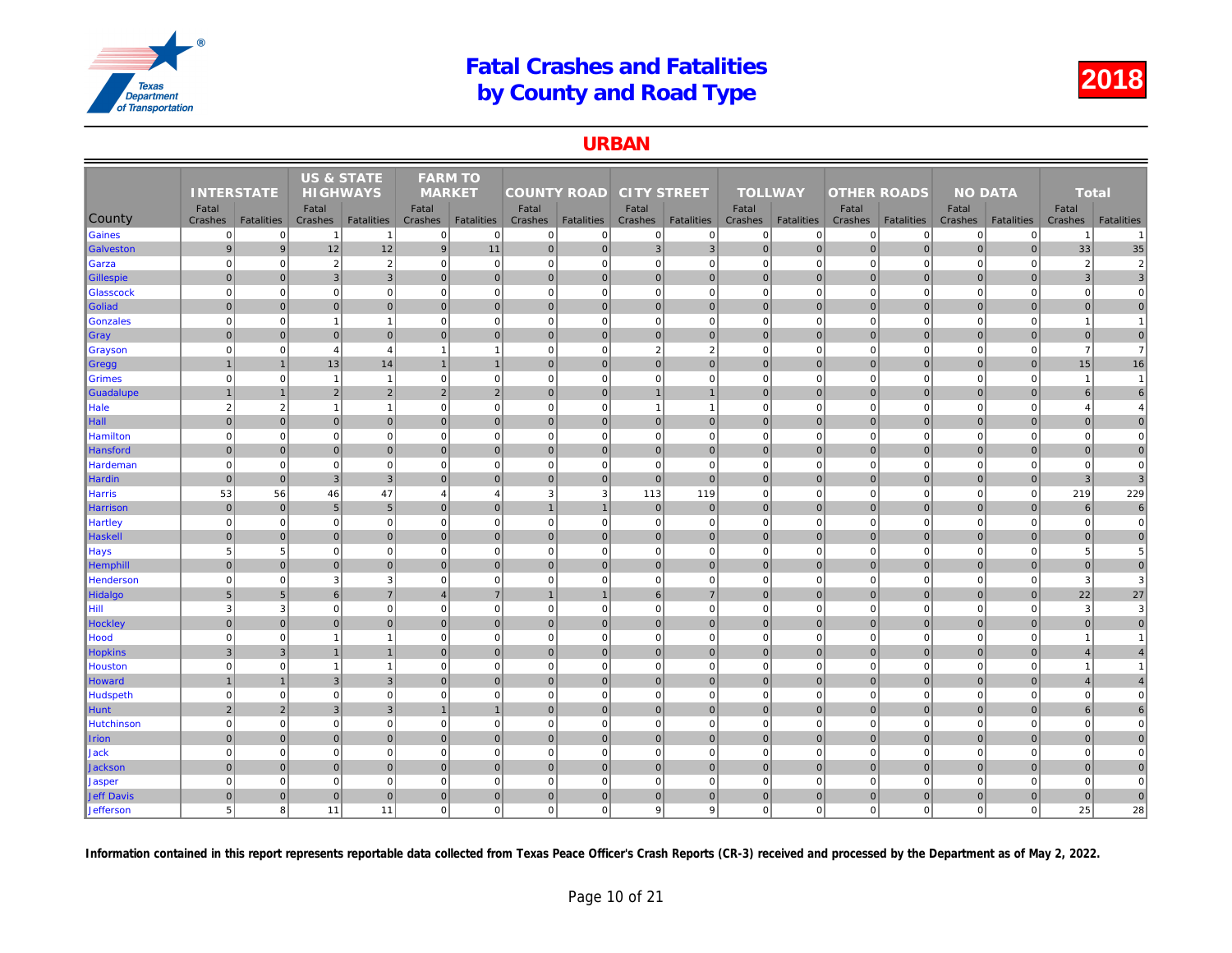### URBAN

|                   |                   |                   | <b>US &amp; STATE</b> |                   | <b>FARM TO</b> |                   |                    |                |                    |                   |                |                   |                    |                   |     |
|-------------------|-------------------|-------------------|-----------------------|-------------------|----------------|-------------------|--------------------|----------------|--------------------|-------------------|----------------|-------------------|--------------------|-------------------|-----|
|                   | <b>INTERSTATE</b> |                   | <b>HIGHWAYS</b>       |                   | <b>MARKET</b>  |                   | <b>COUNTY ROAD</b> |                | <b>CITY STREET</b> |                   | <b>TOLLWAY</b> |                   | <b>OTHER ROADS</b> |                   |     |
|                   | Fatal             |                   | Fatal                 |                   | Fatal          |                   | Fatal              |                | Fatal              |                   | Fatal          |                   | Fatal              |                   |     |
| County            | Crashes           | <b>Fatalities</b> | Crashes               | <b>Fatalities</b> | Crashes        | <b>Fatalities</b> | Crashes            | Fatalities     | Crashes            | <b>Fatalities</b> | Crashes        | <b>Fatalities</b> | Crashes            | <b>Fatalities</b> | Cra |
| Gaines            | $\overline{0}$    | $\Omega$          | $\overline{1}$        | $\mathbf{1}$      | $\mathbf 0$    | $\mathbf 0$       | 0                  | $\mathbf 0$    | $\mathbf{0}$       | $\mathbf{0}$      | $\mathbf 0$    | $\mathbf 0$       | $\mathbf 0$        | $\overline{0}$    |     |
| Galveston         | $9\,$             | 9                 | 12                    | 12                | 9              | 11                | 0                  | $\mathbf 0$    | 3                  | $\mathbf{3}$      | $\mathbf 0$    | $\overline{0}$    | $\mathbf 0$        | $\overline{0}$    |     |
| Garza             | $\mathbf 0$       | $\mathbf 0$       | $\overline{2}$        | $\overline{2}$    | $\mathbf 0$    | $\mathbf 0$       | 0                  | $\Omega$       | $\overline{0}$     | $\mathbf 0$       | $\mathbf 0$    | $\mathbf 0$       | $\mathbf 0$        | $\Omega$          |     |
| Gillespie         | $\mathbf 0$       | $\Omega$          | 3                     | $\mathbf{3}$      | $\mathbf{0}$   | $\mathbf{0}$      | 0                  | $\overline{0}$ | $\overline{0}$     | $\overline{0}$    | $\mathbf 0$    | $\overline{0}$    | $\mathbf 0$        | $\overline{0}$    |     |
| Glasscock         | $\mathbf 0$       | $\Omega$          | $\Omega$              | $\overline{0}$    | $\mathbf 0$    | $\mathbf 0$       | $\overline{0}$     | $\Omega$       | $\mathbf{0}$       | $\overline{0}$    | $\mathbf 0$    | $\mathbf 0$       | $\mathbf 0$        | $\Omega$          |     |
| Goliad            | $\mathbf 0$       | $\overline{0}$    | $\mathbf{0}$          | $\overline{0}$    | $\mathbf{0}$   | $\mathbf 0$       | $\overline{0}$     | $\mathbf 0$    | $\overline{0}$     | $\overline{0}$    | $\mathbf 0$    | $\mathbf{0}$      | $\mathbf 0$        | $\overline{0}$    |     |
| Gonzales          | $\mathbf 0$       | $\mathbf 0$       | -1                    | $\mathbf{1}$      | $\mathbf 0$    | $\mathbf 0$       | 0                  | $\mathbf 0$    | $\overline{0}$     | $\overline{0}$    | $\mathbf 0$    | $\mathbf 0$       | $\mathbf 0$        | $\mathbf 0$       |     |
| ∥Gray             | $\mathbf 0$       | $\overline{0}$    | $\mathbf 0$           | $\overline{0}$    | $\mathbf 0$    | $\mathbf 0$       | 0                  | $\mathbf 0$    | $\overline{0}$     | $\overline{0}$    | $\mathbf 0$    | $\mathbf 0$       | $\mathbf 0$        | $\overline{0}$    |     |
| <b>Grayson</b>    | $\mathbf 0$       | $\Omega$          | $\boldsymbol{\Delta}$ | $\overline{4}$    |                | $\overline{1}$    | $\mathbf{0}$       | $\mathbf 0$    | $\overline{2}$     | $\overline{2}$    | $\mathbf 0$    | $\Omega$          | $\mathbf 0$        | $\Omega$          |     |
| ∥Gregg            | $\mathbf{1}$      | $\mathbf{1}$      | 13                    | 14                | $\mathbf{1}$   | $\overline{1}$    | 0                  | $\mathbf 0$    | $\overline{0}$     | $\overline{0}$    | $\mathbf 0$    | $\overline{0}$    | $\mathbf 0$        | $\overline{0}$    |     |
| <b>Grimes</b>     | $\mathbf 0$       | $\mathbf 0$       | $\overline{1}$        | $\mathbf{1}$      | $\mathbf 0$    | $\mathbf 0$       | 0                  | $\mathbf 0$    | $\mathbf{0}$       | $\mathbf 0$       | $\mathbf 0$    | $\mathbf 0$       | $\mathbf 0$        | $\mathbf 0$       |     |
| Guadalupe         | $\overline{1}$    |                   | $\overline{2}$        | $\overline{2}$    | $\overline{2}$ | $\overline{2}$    | 0                  | $\overline{0}$ | $\overline{1}$     | $\mathbf{1}$      | $\mathbf{0}$   | $\mathbf{0}$      | $\mathbf 0$        | $\overline{0}$    |     |
| Hale              | $\overline{2}$    | $\overline{2}$    | $\overline{1}$        | $\mathbf{1}$      | $\mathbf 0$    | $\mathbf 0$       | 0                  | $\mathbf 0$    | $\overline{1}$     | $\mathbf{1}$      | $\mathbf 0$    | $\mathbf 0$       | $\mathbf 0$        | $\mathbf 0$       |     |
| Hall              | $\mathbf{0}$      | $\Omega$          | $\mathbf{0}$          | $\overline{0}$    | $\Omega$       | $\mathbf{0}$      | $\overline{0}$     | $\mathbf{0}$   | $\overline{0}$     | $\overline{0}$    | $\mathbf{0}$   | $\Omega$          | $\mathbf{0}$       | $\Omega$          |     |
| <b>Hamilton</b>   | $\mathbf 0$       | $\mathbf 0$       | $\mathbf 0$           | $\overline{0}$    | $\mathbf 0$    | $\mathbf 0$       | $\circ$            | $\mathbf 0$    | $\overline{0}$     | $\overline{0}$    | $\mathbf 0$    | $\mathbf 0$       | $\mathbf 0$        | $\mathbf 0$       |     |
| Hansford          | $\mathbf{0}$      | $\overline{0}$    | $\mathbf 0$           | $\overline{0}$    | $\mathbf{0}$   | $\mathbf{0}$      | 0                  | $\overline{0}$ | $\overline{0}$     | $\overline{0}$    | $\mathbf{0}$   | $\mathbf{0}$      | $\mathbf 0$        | $\overline{0}$    |     |
| Hardeman          | $\mathbf 0$       | $\mathbf 0$       | $\mathbf 0$           | $\overline{0}$    | $\mathbf 0$    | $\mathbf 0$       | $\mathbf{0}$       | $\mathbf 0$    | $\mathbf{0}$       | $\mathbf 0$       | $\mathbf 0$    | $\mathbf 0$       | $\mathbf 0$        | $\mathbf{0}$      |     |
| <b>Hardin</b>     | $\mathbf{0}$      | $\mathbf{0}$      | 3 <sup>′</sup>        | $\overline{3}$    | $\Omega$       | $\mathbf{0}$      | 0                  | $\mathbf{0}$   | $\overline{0}$     | $\overline{0}$    | $\mathbf{0}$   | $\Omega$          | $\mathbf{0}$       | $\overline{0}$    |     |
| Harris            | 53                | 56                | 46                    | 47                | $\overline{4}$ | $\overline{4}$    | 3                  | 3              | 113                | 119               | $\mathbf 0$    | $\mathbf 0$       | $\mathbf 0$        | $\mathbf 0$       |     |
| Harrison          | $\mathbf 0$       | $\overline{0}$    | 5                     | $5\overline{)}$   | $\mathbf{0}$   | $\mathbf{0}$      |                    |                | $\overline{0}$     | $\mathbf 0$       | $\mathbf{0}$   | $\Omega$          | $\mathbf 0$        | $\overline{0}$    |     |
| Hartley           | $\mathbf 0$       | $\mathbf 0$       | $\mathbf 0$           | $\mathbf{0}$      | $\mathbf 0$    | $\mathbf 0$       | 0                  | $\mathbf 0$    | $\overline{0}$     | $\mathbf{0}$      | $\mathbf 0$    | $\mathbf 0$       | $\mathbf 0$        | $\mathbf 0$       |     |
| Haskell           | $\mathbf{0}$      | $\Omega$          | $\Omega$              | $\overline{0}$    | $\mathbf{0}$   | $\mathbf{0}$      | $\overline{0}$     | $\overline{0}$ | $\overline{0}$     | $\overline{0}$    | $\mathbf{0}$   | $\Omega$          | $\mathbf 0$        | $\Omega$          |     |
| <b>Hays</b>       | 5                 | 5                 | $\mathbf 0$           | $\mathbf{0}$      | $\mathbf 0$    | $\mathbf 0$       | $\mathbf 0$        | $\overline{0}$ | $\mathbf{0}$       | $\mathbf{0}$      | $\mathbf 0$    | $\mathbf 0$       | $\mathbf 0$        | $\mathbf 0$       |     |
| <b>Hemphill</b>   | $\mathbf 0$       | $\pmb{0}$         | $\overline{0}$        | $\overline{0}$    | $\mathbf 0$    | $\overline{0}$    | 0                  | $\mathbf 0$    | $\overline{0}$     | $\overline{0}$    | $\mathbf 0$    | $\overline{0}$    | $\mathbf 0$        | $\overline{0}$    |     |
| Henderson         | $\mathbf 0$       | $\pmb{0}$         | 3                     | 3                 | $\mathbf 0$    | $\mathbf 0$       | 0                  | $\mathbf 0$    | $\mathbf{0}$       | $\overline{0}$    | $\mathbf 0$    | $\mathbf 0$       | $\mathbf 0$        | $\mathbf 0$       |     |
| Hidalgo           | $5\phantom{.0}$   | 5                 | 6                     | $\overline{7}$    | $\overline{4}$ | $\overline{7}$    | $\overline{1}$     | $\overline{1}$ | 6                  | $\overline{7}$    | $\mathbf{0}$   | $\Omega$          | $\mathbf 0$        | $\Omega$          |     |
| l Hill I          | 3                 | 3                 | $\mathbf 0$           | $\mathbf 0$       | $\mathbf 0$    | $\mathbf 0$       | $\overline{0}$     | $\mathbf 0$    | $\overline{0}$     | $\overline{0}$    | $\mathbf 0$    | $\mathbf 0$       | $\mathbf 0$        | $\mathbf 0$       |     |
| <b>Hockley</b>    | $\mathbf{0}$      | $\Omega$          | $\Omega$              | $\overline{0}$    | $\mathbf{0}$   | $\mathbf{0}$      | $\overline{0}$     | $\mathbf 0$    | $\overline{0}$     | $\overline{0}$    | $\mathbf{0}$   | $\Omega$          | $\mathbf 0$        | $\overline{0}$    |     |
| Hood              | $\mathbf 0$       | $\mathbf 0$       | $\overline{1}$        | $\mathbf{1}$      | $\mathbf 0$    | $\mathbf 0$       | 0                  | $\mathbf 0$    | $\overline{0}$     | $\overline{0}$    | $\mathbf 0$    | $\mathbf 0$       | $\mathbf 0$        | $\mathbf 0$       |     |
| <b>Hopkins</b>    | $\overline{3}$    | $\mathbf{3}$      | $\overline{1}$        | $\mathbf{1}$      | $\mathbf{0}$   | $\mathbf{0}$      | 0                  | $\overline{0}$ | $\overline{0}$     | $\overline{0}$    | $\mathbf 0$    | $\mathbf{0}$      | $\mathbf 0$        | $\overline{0}$    |     |
| <b>Houston</b>    | $\Omega$          | $\Omega$          | $\overline{1}$        | $\mathbf{1}$      | $\Omega$       | $\Omega$          | $\Omega$           | $\Omega$       | $\overline{0}$     | $\Omega$          | $\Omega$       | $\Omega$          | $\Omega$           | $\Omega$          |     |
| Howard            | $\overline{1}$    | $\overline{1}$    | 3                     | $\overline{3}$    | $\mathbf{0}$   | $\overline{0}$    | 0                  | $\mathbf 0$    | 0                  | $\overline{0}$    | $\mathbf{0}$   | $\overline{0}$    | $\mathbf 0$        | $\overline{0}$    |     |
| Hudspeth          | $\overline{0}$    | $\mathbf 0$       | $\Omega$              | $\mathbf{0}$      | $\mathbf 0$    | $\mathbf 0$       | 0                  | $\mathbf 0$    | $\mathbf{0}$       | $\mathbf 0$       | $\mathbf 0$    | $\Omega$          | $\mathbf 0$        | $\Omega$          |     |
| Hunt              | $\overline{2}$    | $\overline{2}$    | 3                     | 3                 |                | $\mathbf{1}$      | 0                  | $\overline{0}$ | $\overline{0}$     | $\overline{0}$    | $\mathbf 0$    | $\mathbf{0}$      | $\mathbf 0$        | $\overline{0}$    |     |
| Hutchinson        | $\mathbf 0$       | $\mathbf 0$       | $\Omega$              | $\mathbf{0}$      | $\mathbf 0$    | $\mathbf 0$       | $\Omega$           | $\Omega$       | $\mathbf{0}$       | $\mathbf{0}$      | $\mathbf 0$    | $\mathbf 0$       | $\mathbf 0$        | $\mathbf 0$       |     |
| Irion             | $\mathbf 0$       | $\Omega$          | $\mathbf 0$           | $\overline{0}$    | $\Omega$       | $\mathbf{0}$      | $\overline{0}$     | $\overline{0}$ | $\overline{0}$     | $\overline{0}$    | $\mathbf 0$    | $\overline{0}$    | $\mathbf 0$        | $\overline{0}$    |     |
| <b>Jack</b>       | $\overline{0}$    | $\mathbf 0$       | $\overline{0}$        | $\mathbf{0}$      | $\mathbf 0$    | $\mathbf 0$       | 0                  | $\mathbf 0$    | $\mathbf{0}$       | $\mathbf{0}$      | $\mathbf 0$    | $\mathbf 0$       | $\mathbf 0$        | $\mathbf 0$       |     |
| <b>Jackson</b>    | $\mathbf 0$       | $\overline{0}$    | $\mathbf{0}$          | $\overline{0}$    | $\mathbf 0$    | $\mathbf 0$       | $\overline{0}$     | $\overline{0}$ | $\overline{0}$     | $\overline{0}$    | $\mathbf 0$    | $\mathbf{0}$      | $\mathbf 0$        | $\mathbf 0$       |     |
| <b>Jasper</b>     | $\mathbf 0$       | $\mathbf 0$       | $\Omega$              | $\overline{0}$    | $\mathbf 0$    | $\mathbf 0$       | $\mathbf{0}$       | $\Omega$       | $\overline{0}$     | $\mathbf{0}$      | $\mathbf 0$    | $\mathbf 0$       | $\mathbf 0$        | $\mathbf 0$       |     |
| <b>Jeff Davis</b> | $\mathbf 0$       | $\mathbf{0}$      | $\mathbf 0$           | $\overline{0}$    | $\mathbf{0}$   | $\mathbf{0}$      | $\overline{0}$     | $\overline{0}$ | $\overline{0}$     | $\overline{0}$    | $\mathbf 0$    | $\overline{0}$    | $\mathbf 0$        | $\overline{0}$    |     |
| Jefferson         | 5                 | 8                 | 11                    | 11                | $\mathbf 0$    | $\mathbf 0$       | 0                  | $\Omega$       | 9                  | 9                 | $\mathbf 0$    | $\mathbf 0$       | $\mathbf 0$        | $\mathbf{0}$      |     |
|                   |                   |                   |                       |                   |                |                   |                    |                |                    |                   |                |                   |                    |                   |     |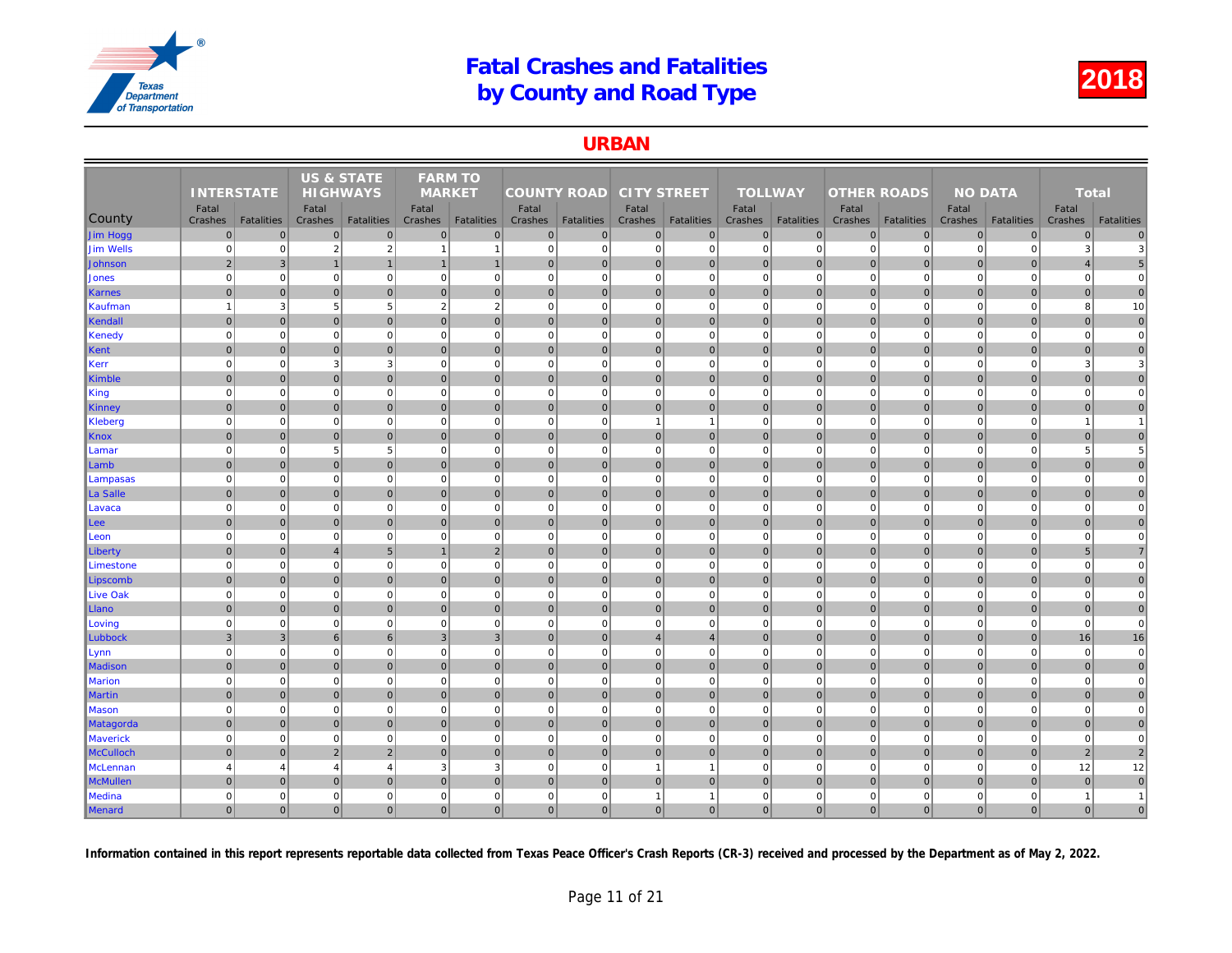### URBAN

|                  |                   |                   | <b>US &amp; STATE</b> |                   | <b>FARM TO</b> |                   |                    |                   |                    |                   |                |                   |                    |                   |     |
|------------------|-------------------|-------------------|-----------------------|-------------------|----------------|-------------------|--------------------|-------------------|--------------------|-------------------|----------------|-------------------|--------------------|-------------------|-----|
|                  | <b>INTERSTATE</b> |                   | <b>HIGHWAYS</b>       |                   | <b>MARKET</b>  |                   | <b>COUNTY ROAD</b> |                   | <b>CITY STREET</b> |                   | <b>TOLLWAY</b> |                   | <b>OTHER ROADS</b> |                   |     |
|                  | Fatal             |                   | Fatal                 |                   | Fatal          |                   | Fatal              |                   | Fatal              |                   | Fatal          |                   | Fatal              |                   |     |
| County           | Crashes           | <b>Fatalities</b> | Crashes               | <b>Fatalities</b> | Crashes        | <b>Fatalities</b> | Crashes            | <b>Fatalities</b> | Crashes            | <b>Fatalities</b> | Crashes        | <b>Fatalities</b> | Crashes            | <b>Fatalities</b> | Cra |
| Jim Hogg         | $\pmb{0}$         | $\mathbf 0$       | $\mathbf 0$           | $\overline{0}$    | $\mathbf{0}$   | $\mathbf 0$       | $\overline{0}$     | $\overline{0}$    | $\overline{0}$     | $\overline{0}$    | $\mathbf 0$    | $\overline{0}$    | $\mathbf 0$        | $\overline{0}$    |     |
| Jim Wells        | $\mathbf 0$       | $\Omega$          | $\overline{2}$        | $\overline{2}$    | -1             | $\overline{1}$    | $\overline{0}$     | $\mathbf 0$       | $\overline{0}$     | $\mathbf{0}$      | $\mathbf 0$    | $\Omega$          | $\mathbf 0$        | $\Omega$          |     |
| Johnson          | $\overline{2}$    | 3                 | $\mathbf 1$           | $\mathbf{1}$      | $\mathbf{1}$   | $\mathbf{1}$      | $\overline{0}$     | $\overline{0}$    | $\overline{0}$     | $\overline{0}$    | $\mathbf 0$    | $\Omega$          | $\mathbf 0$        | $\overline{0}$    |     |
| <b>Jones</b>     | $\mathbf 0$       | $\mathbf 0$       | $\mathbf 0$           | $\overline{0}$    | $\mathbf 0$    | $\mathbf 0$       | 0                  | $\mathbf 0$       | $\overline{0}$     | $\overline{0}$    | $\mathbf 0$    | $\Omega$          | $\mathbf 0$        | $\overline{0}$    |     |
| Karnes           | $\mathbf 0$       | $\overline{0}$    | $\overline{0}$        | $\overline{0}$    | $\mathbf 0$    | $\mathbf 0$       | 0                  | $\overline{0}$    | $\overline{0}$     | $\mathbf 0$       | $\mathbf 0$    | $\mathbf{0}$      | $\mathbf 0$        | $\overline{0}$    |     |
| Kaufman          | $\overline{1}$    | 3                 | 5                     | $5\overline{)}$   | $\overline{2}$ | $\overline{2}$    | $\overline{0}$     | $\Omega$          | $\mathbf{0}$       | $\mathbf 0$       | $\mathbf 0$    | $\Omega$          | $\mathbf 0$        | $\mathbf 0$       |     |
| Kendall          | $\overline{0}$    | $\mathbf{0}$      | $\overline{0}$        | $\overline{0}$    | $\mathbf{0}$   | $\overline{0}$    | 0                  | $\mathbf 0$       | 0                  | $\overline{0}$    | $\mathbf{0}$   | $\overline{0}$    | 0                  | $\overline{0}$    |     |
| Kenedy           | $\mathbf 0$       | $\mathbf 0$       | $\mathbf 0$           | $\mathbf{0}$      | $\mathbf 0$    | $\mathbf 0$       | 0                  | $\mathbf 0$       | $\mathbf{0}$       | $\mathbf 0$       | $\mathbf 0$    | $\mathbf 0$       | $\mathbf 0$        | $\mathbf 0$       |     |
| Kent             | $\mathbf{0}$      | $\Omega$          | $\mathbf 0$           | $\overline{0}$    | $\mathbf{0}$   | $\mathbf{0}$      | 0                  | $\overline{0}$    | $\overline{0}$     | $\overline{0}$    | $\mathbf{0}$   | $\mathbf{0}$      | $\mathbf 0$        | $\overline{0}$    |     |
| Kerr             | $\mathbf 0$       | $\mathbf 0$       | 3                     | $\mathbf{3}$      | $\mathbf 0$    | $\mathbf 0$       | 0                  | $\mathbf 0$       | $\mathbf{0}$       | $\mathbf{0}$      | $\mathbf 0$    | $\mathbf 0$       | $\mathbf 0$        | $\mathbf 0$       |     |
| Kimble           | $\mathbf{0}$      | $\Omega$          | $\mathbf{0}$          | $\overline{0}$    | $\Omega$       | $\mathbf{0}$      | $\overline{0}$     | $\overline{0}$    | $\overline{0}$     | $\overline{0}$    | $\mathbf{0}$   | $\Omega$          | $\mathbf{0}$       | $\Omega$          |     |
| King             | $\mathbf 0$       | $\mathbf 0$       | $\overline{0}$        | $\overline{0}$    | $\mathbf 0$    | $\mathbf 0$       | 0                  | $\overline{0}$    | $\overline{0}$     | $\overline{0}$    | $\mathbf 0$    | $\mathbf 0$       | $\mathbf 0$        | $\Omega$          |     |
| <b>Kinney</b>    | $\mathbf 0$       | $\overline{0}$    | $\mathbf{0}$          | $\mathbf 0$       | $\mathbf 0$    | $\mathbf 0$       | 0                  | $\overline{0}$    | $\overline{0}$     | $\overline{0}$    | $\mathbf 0$    | $\mathbf{0}$      | $\pmb{0}$          | $\mathbf 0$       |     |
| Kleberg          | $\mathbf 0$       | $\mathbf 0$       | $\Omega$              | $\overline{0}$    | $\mathbf 0$    | $\mathbf 0$       | 0                  | $\Omega$          | $\mathbf{1}$       | $\mathbf{1}$      | $\mathbf 0$    | $\mathbf 0$       | $\mathbf 0$        | $\mathbf 0$       |     |
| Knox             | $\mathbf 0$       | $\Omega$          | $\mathbf 0$           | $\overline{0}$    | $\mathbf{0}$   | $\mathbf{0}$      | $\overline{0}$     | $\overline{0}$    | $\overline{0}$     | $\overline{0}$    | $\mathbf 0$    | $\overline{0}$    | $\mathbf 0$        | $\overline{0}$    |     |
| Lamar            | $\mathbf 0$       | $\Omega$          | 5                     | $5\overline{5}$   | $\mathbf 0$    | $\mathbf 0$       | 0                  | $\Omega$          | $\mathbf{0}$       | $\overline{0}$    | $\mathbf 0$    | $\mathbf 0$       | $\mathbf 0$        | $\Omega$          |     |
| Lamb             | $\mathbf{0}$      | $\Omega$          | $\Omega$              | $\overline{0}$    | $\Omega$       | $\Omega$          | $\overline{0}$     | $\Omega$          | $\overline{0}$     | $\overline{0}$    | $\mathbf{0}$   | $\Omega$          | $\mathbf{0}$       | $\overline{0}$    |     |
| Lampasas         | $\mathbf 0$       | $\mathbf 0$       | $\mathbf 0$           | $\overline{0}$    | $\mathbf 0$    | $\mathbf 0$       | 0                  | $\mathbf 0$       | $\overline{0}$     | $\overline{0}$    | $\mathbf 0$    | $\mathbf 0$       | $\mathbf 0$        | $\mathbf 0$       |     |
| La Salle         | $\Omega$          | $\Omega$          | $\mathbf 0$           | $\overline{0}$    | $\mathbf{0}$   | $\mathbf{0}$      | $\overline{0}$     | $\overline{0}$    | $\overline{0}$     | $\overline{0}$    | $\mathbf 0$    | $\Omega$          | $\mathbf 0$        | $\Omega$          |     |
| Lavaca           | $\mathbf 0$       | $\Omega$          | $\Omega$              | $\mathbf{0}$      | $\mathbf 0$    | $\mathbf 0$       | $\overline{0}$     | $\overline{0}$    | $\mathbf{0}$       | $\mathbf 0$       | $\mathbf 0$    | $\mathbf 0$       | $\mathbf 0$        | $\Omega$          |     |
| Lee              | $\overline{0}$    | $\mathbf{0}$      | $\overline{0}$        | $\overline{0}$    | $\mathbf{0}$   | $\overline{0}$    | 0                  | $\mathbf 0$       | 0                  | $\overline{0}$    | $\mathbf{0}$   | $\overline{0}$    | $\mathbf 0$        | $\overline{0}$    |     |
| Leon             | $\mathbf 0$       | $\mathbf 0$       | $\mathbf 0$           | $\mathbf{0}$      | $\mathbf 0$    | $\mathbf 0$       | 0                  | $\mathbf 0$       | $\overline{0}$     | $\overline{0}$    | $\mathbf 0$    | $\mathbf 0$       | $\mathbf 0$        | $\overline{0}$    |     |
| Liberty          | $\mathbf 0$       | $\mathbf{0}$      | $\overline{4}$        | 5 <sup>5</sup>    |                | $\overline{2}$    | 0                  | $\overline{0}$    | $\overline{0}$     | $\overline{0}$    | $\mathbf 0$    | $\mathbf{0}$      | $\mathbf 0$        | $\overline{0}$    |     |
| Limestone        | $\mathbf 0$       | $\mathbf 0$       | $\Omega$              | $\mathbf{0}$      | $\mathbf 0$    | $\mathbf 0$       | $\Omega$           | $\Omega$          | $\mathbf{0}$       | $\mathbf{0}$      | $\mathbf 0$    | $\mathbf 0$       | $\mathbf 0$        | $\mathbf 0$       |     |
| Lipscomb         | $\mathbf{0}$      | $\Omega$          | $\overline{0}$        | $\overline{0}$    | $\mathbf{0}$   | $\mathbf{0}$      | $\overline{0}$     | $\mathbf 0$       | $\overline{0}$     | $\overline{0}$    | $\mathbf 0$    | $\Omega$          | $\mathbf 0$        | $\overline{0}$    |     |
| Live Oak         | $\mathbf 0$       | $\mathbf 0$       | $\mathbf 0$           | $\mathbf{0}$      | $\mathbf 0$    | $\mathbf 0$       | 0                  | $\mathbf 0$       | $\overline{0}$     | $\mathbf{0}$      | $\mathbf 0$    | $\mathbf 0$       | $\mathbf 0$        | $\mathbf 0$       |     |
| Llano            | $\Omega$          | $\overline{0}$    | $\mathbf{0}$          | $\overline{0}$    | $\mathbf{0}$   | $\mathbf{0}$      | 0                  | $\overline{0}$    | $\overline{0}$     | $\overline{0}$    | $\mathbf{0}$   | $\overline{0}$    | $\mathbf 0$        | $\overline{0}$    |     |
| Loving           | $\Omega$          | $\mathbf 0$       | $\Omega$              | $\mathbf{0}$      | $\mathbf 0$    | $\mathbf 0$       | 0                  | $\Omega$          | $\mathbf{0}$       | $\mathbf{0}$      | $\mathbf 0$    | $\mathbf 0$       | $\mathbf 0$        | $\mathbf 0$       |     |
| Lubbock          | $\mathbf{3}$      | $\overline{3}$    | $6\phantom{1}6$       | $6 \overline{6}$  | $\overline{3}$ | $\overline{3}$    | $\vert$ 0          | $\Omega$          | $\overline{4}$     | $\overline{4}$    | $\mathbf{0}$   | $\Omega$          | $\mathbf{0}$       | $\overline{0}$    |     |
| Lynn             | $\mathbf 0$       | $\mathbf 0$       | $\mathbf 0$           | $\mathbf{0}$      | $\mathbf 0$    | $\mathbf 0$       | 0                  | $\mathbf 0$       | $\mathbf{0}$       | $\overline{0}$    | $\mathbf 0$    | $\mathbf 0$       | $\mathbf 0$        | $\mathbf 0$       |     |
| Madison          | $\mathbf 0$       | $\overline{0}$    | $\Omega$              | $\overline{0}$    | $\mathbf{0}$   | $\mathbf{0}$      | $\overline{0}$     | $\overline{0}$    | $\overline{0}$     | $\overline{0}$    | $\mathbf{0}$   | $\Omega$          | $\mathbf 0$        | $\overline{0}$    |     |
| <b>Marion</b>    | $\mathbf 0$       | $\mathbf 0$       | $\overline{0}$        | $\mathbf{0}$      | $\mathbf 0$    | $\mathbf 0$       | 0                  | $\overline{0}$    | $\overline{0}$     | $\overline{0}$    | $\mathbf 0$    | $\mathbf 0$       | $\mathbf 0$        | $\overline{0}$    |     |
| <b>Martin</b>    | $\mathbf{0}$      | $\overline{0}$    | $\mathbf 0$           | $\overline{0}$    | $\mathbf{0}$   | $\mathbf{0}$      | 0                  | $\overline{0}$    | $\overline{0}$     | $\overline{0}$    | $\mathbf 0$    | $\overline{0}$    | $\mathbf 0$        | $\overline{0}$    |     |
| <b>Mason</b>     | $\mathbf 0$       | $\mathbf 0$       | $\mathbf 0$           | $\mathbf{0}$      | $\mathbf 0$    | $\mathbf 0$       | 0                  | $\overline{0}$    | $\overline{0}$     | $\overline{0}$    | $\mathbf 0$    | $\Omega$          | $\mathbf 0$        | $\Omega$          |     |
| <b>Matagorda</b> | $\overline{0}$    | $\mathbf 0$       | $\overline{0}$        | $\overline{0}$    | $\mathbf 0$    | $\overline{0}$    | 0                  | $\mathbf 0$       | $\overline{0}$     | $\overline{0}$    | $\mathbf 0$    | $\overline{0}$    | $\mathbf 0$        | $\overline{0}$    |     |
| <b>Maverick</b>  | $\mathbf 0$       | $\mathbf 0$       | $\Omega$              | $\mathbf{0}$      | $\mathbf 0$    | $\mathbf 0$       | 0                  | $\mathbf 0$       | $\mathbf{0}$       | $\mathbf 0$       | $\mathbf 0$    | $\mathbf 0$       | $\mathbf 0$        | $\mathbf 0$       |     |
| <b>McCulloch</b> | $\mathbf{0}$      | $\overline{0}$    | $\overline{2}$        | $\overline{2}$    | $\mathbf{0}$   | $\mathbf{0}$      | 0                  | $\overline{0}$    | $\overline{0}$     | $\overline{0}$    | $\mathbf{0}$   | $\mathbf{0}$      | $\mathbf{0}$       | $\overline{0}$    |     |
| McLennan         | $\overline{4}$    | $\overline{4}$    | $\overline{4}$        | $\overline{4}$    | 3              | 3                 | $\overline{0}$     | $\mathbf 0$       | $\overline{1}$     | $\mathbf{1}$      | $\mathbf 0$    | $\Omega$          | $\mathbf 0$        | $\mathbf 0$       |     |
| <b>McMullen</b>  | $\mathbf{0}$      | $\Omega$          | $\Omega$              | $\overline{0}$    | $\Omega$       | $\mathbf{0}$      | $\overline{0}$     | $\mathbf{0}$      | $\overline{0}$     | $\overline{0}$    | $\mathbf{0}$   | $\overline{0}$    | $\mathbf 0$        | $\Omega$          |     |
| Medina           | $\mathbf 0$       | 0                 | $\Omega$              | $\mathbf 0$       | $\mathbf 0$    | $\mathbf 0$       | 0                  | $\mathbf 0$       | $\overline{1}$     | $\mathbf{1}$      | $\pmb{0}$      | $\mathbf 0$       | $\mathbf 0$        | $\mathbf 0$       |     |
| Menard           | $\overline{0}$    | $\Omega$          | $\overline{0}$        | $\overline{0}$    | $\mathbf{0}$   | $\overline{0}$    | 0                  | $\Omega$          | 0                  | $\overline{0}$    | $\mathbf{0}$   | $\overline{0}$    | $\mathbf{0}$       | $\overline{0}$    |     |
|                  |                   |                   |                       |                   |                |                   |                    |                   |                    |                   |                |                   |                    |                   |     |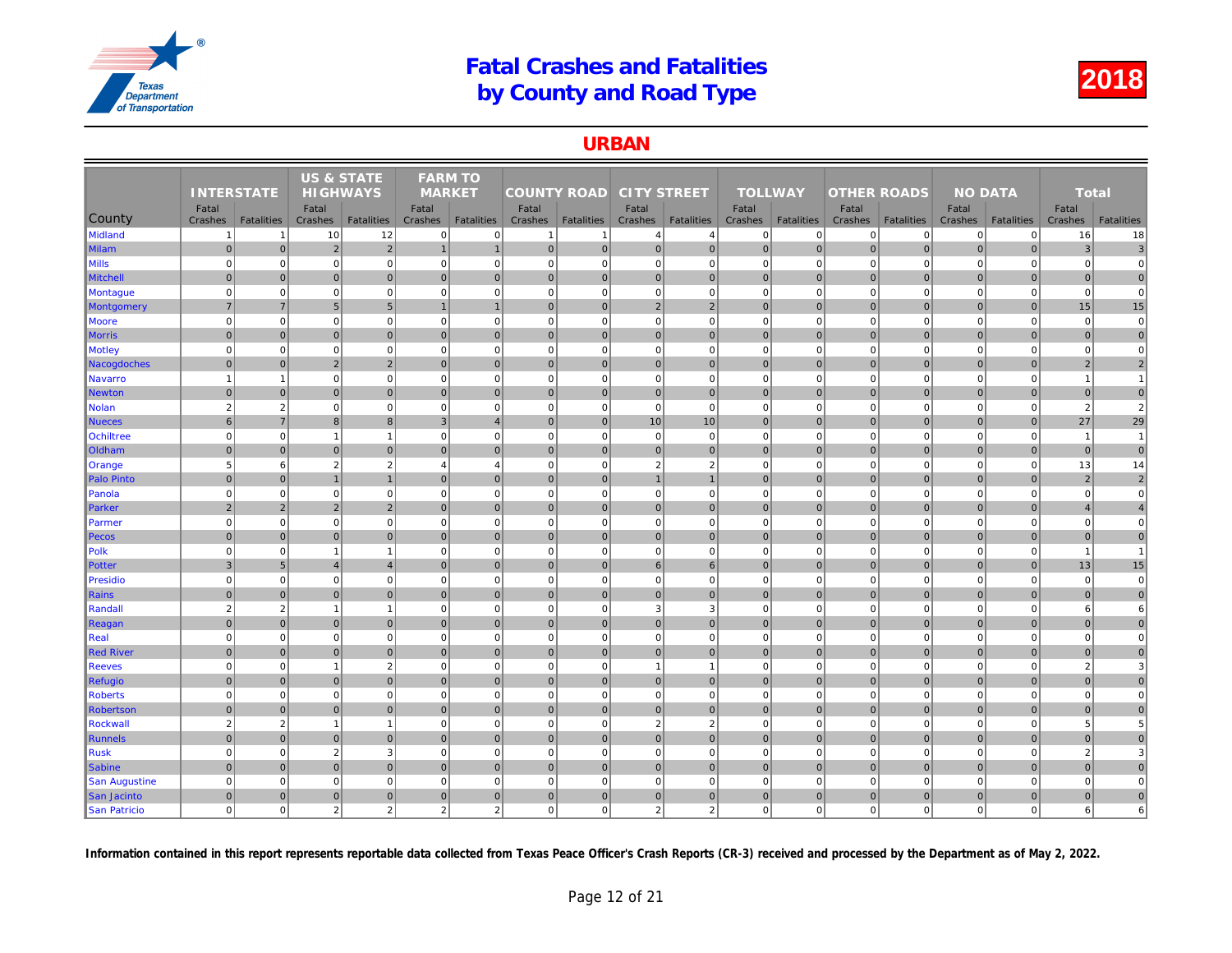#### URBAN

| <b>TOLLWAY</b><br><b>INTERSTATE</b><br><b>HIGHWAYS</b><br><b>MARKET</b><br><b>COUNTY ROAD</b><br><b>CITY STREET</b><br><b>OTHER ROADS</b>                                                                                              |                |
|----------------------------------------------------------------------------------------------------------------------------------------------------------------------------------------------------------------------------------------|----------------|
| Fatal<br>Fatal<br>Fatal<br>Fatal<br>Fatal<br>Fatal<br>Fatal                                                                                                                                                                            |                |
| County<br><b>Fatalities</b><br><b>Fatalities</b><br><b>Fatalities</b><br><b>Fatalities</b><br><b>Fatalities</b><br><b>Fatalities</b><br>Crashes<br><b>Fatalities</b><br>Crashes<br>Crashes<br>Crashes<br>Crashes<br>Crashes<br>Crashes | Cra            |
| <b>Midland</b><br>12<br>$\mathbf 0$<br>10<br>$\mathbf{0}$<br>$\mathbf 0$<br>$\mathbf 0$<br>$\overline{0}$<br>$\mathbf{1}$<br>$\overline{1}$<br>$\overline{4}$<br>1<br>$\overline{4}$                                                   | $\mathbf 0$    |
| $\overline{2}$<br> 0 <br> 0 <br>$\overline{0}$<br>$\sqrt{2}$<br>$\mathbf{1}$<br>$\mathbf 0$<br>$\mathbf 0$<br>$\overline{0}$<br>$\mathbf 0$<br><b>Milam</b><br>$\overline{0}$<br>$\mathbf{1}$<br>$\overline{0}$                        | $\pmb{0}$      |
| Vills<br>$\Omega$<br>$\mathbf 0$<br>$\mathbf 0$<br>$\overline{0}$<br>$\mathbf 0$<br>$\overline{0}$<br>$\mathbf 0$<br>$\mathbf 0$<br>$\overline{0}$<br>$\mathbf 0$<br>$\mathbf 0$<br>$\Omega$<br>$\mathbf 0$                            | $\mathbf 0$    |
| $\overline{0}$<br>$\overline{0}$<br> 0 <br> 0 <br>$\overline{0}$<br>$\mathbf{0}$<br>$\Omega$<br>$\mathbf{0}$<br>$\mathbf{0}$<br>$\overline{0}$<br>$\mathbf{0}$<br>$\overline{0}$<br>$\mathbf{0}$<br><b>Mitchell</b>                    | $\mathbf{0}$   |
| $\Omega$<br>$\overline{0}$<br>$\mathbf 0$<br>$\mathbf 0$<br>$\mathbf{0}$<br>$\pmb{0}$<br>$\overline{0}$<br>$\mathbf 0$<br>$\mathbf 0$<br>$\mathbf 0$<br>$\mathbf 0$<br>$\Omega$<br>$\mathbf 0$<br><b>Montague</b>                      | $\mathbf 0$    |
| $\overline{7}$<br>$5\overline{)}$<br>$\overline{0}$<br>2 <br>$\overline{2}$<br>$\mathbf{0}$<br>$\mathbf{0}$<br>$\overline{7}$<br>5<br>$\overline{1}$<br>$\Omega$<br>$\overline{0}$<br>Montgomery<br>$\overline{1}$                     | $\Omega$       |
| $\overline{0}$<br>$\mathbf 0$<br>$\mathbf 0$<br>$\overline{0}$<br>$\mathbf 0$<br>$\mathbf 0$<br>$\mathbf{0}$<br>$\mathbf 0$<br>$\mathbf 0$<br> 0 <br>$\mathbf{0}$<br>$\mathbf 0$<br>Moore<br>$\mathbf 0$                               | $\mathbf 0$    |
| $\overline{0}$<br>$\mathbf{0}$<br>$\Omega$<br>$\overline{0}$<br>$\mathbf{0}$<br>$\mathbf{0}$<br>$\mathbf{0}$<br>$\overline{0}$<br>$\mathbf 0$<br> 0 <br>$\overline{0}$<br>$\overline{0}$<br>$\mathbf 0$<br><b>Morris</b>               | $\overline{0}$ |
| $\mathbf 0$<br>$\mathbf 0$<br>$\mathbf 0$<br>$\Omega$<br>$\overline{0}$<br>$\mathbf 0$<br>$\Omega$<br>$\mathbf 0$<br>$\mathbf 0$<br>$\mathbf{0}$<br>$\mathbf 0$<br>$\Omega$<br><b>Motley</b><br>$\Omega$                               | 0              |
| $\overline{2}$<br>$\mathbf 0$<br>$\overline{0}$<br>2<br>$\overline{0}$<br>$\mathbf{0}$<br> 0 <br>$\mathbf 0$<br> 0 <br> 0 <br>$\mathbf{0}$<br> 0 <br>$\mathbf 0$<br>Nacogdoches                                                        | $\pmb{0}$      |
| $\mathbf 0$<br>$\mathbf 0$<br>$\mathbf 0$<br>$\mathbf{0}$<br>$\pmb{0}$<br>$\mathbf{0}$<br>$\mathbf 0$<br>$\mathbf 0$<br>$\overline{1}$<br>$\mathbf{1}$<br>$\mathbf 0$<br>$\mathbf 0$<br>$\mathbf 0$<br><b>Navarro</b>                  | $\mathbf 0$    |
| $\overline{0}$<br>$\mathbf{0}$<br>$\overline{0}$<br>$\mathbf{0}$<br>$\mathbf{0}$<br>$\overline{0}$<br>$\pmb{0}$<br>$\overline{0}$<br>$\mathbf{0}$<br>$\mathbf{0}$<br>$\mathbf 0$<br>$\overline{0}$<br>$\mathbf 0$<br><b>Newton</b>     | $\mathbf 0$    |
| $\overline{2}$<br>$\overline{2}$<br>$\mathbf 0$<br>$\mathbf 0$<br>$\mathbf{0}$<br>$\pmb{0}$<br>$\mathbf{0}$<br>$\mathbf 0$<br>$\mathbf 0$<br>$\mathbf 0$<br><b>Nolan</b><br>$\mathbf 0$<br>$\mathbf 0$<br>$\mathbf 0$                  | $\mathbf 0$    |
| 8<br>6<br>$\overline{7}$<br>3<br>10<br>10<br>$\mathbf{0}$<br>$\mathbf 0$<br>8<br>$\overline{A}$<br>$\Omega$<br>$\mathbf{0}$<br>$\overline{0}$<br><b>Nueces</b>                                                                         | $\mathbf{0}$   |
| <b>Ochiltree</b><br>$\mathbf 0$<br>$\overline{0}$<br>$\mathbf 0$<br>$\mathbf 0$<br>$\overline{0}$<br>$\Omega$<br>$\mathbf 0$<br>$\overline{0}$<br>$\mathbf 0$<br>$\mathbf 0$<br>$\mathbf 0$<br>$\overline{1}$<br>$\overline{1}$        | $\Omega$       |
| $\pmb{0}$<br>$\overline{0}$<br>$\mathbf 0$<br>$\overline{0}$<br>$\mathbf{0}$<br>$\mathbf 0$<br>$\overline{0}$<br>$\overline{0}$<br>$\mathbf 0$<br>$\overline{0}$<br>$\mathbf 0$<br>Oldham<br>$\mathbf 0$<br>$\mathbf 0$                | $\mathbf 0$    |
| 5<br>$6 \overline{6}$<br>2<br>$\overline{2}$<br>$\overline{4}$<br> 0 <br>$\overline{2}$<br>$\overline{2}$<br>$\mathbf 0$<br>$\mathbf 0$<br>$\mathbf 0$<br>$\overline{4}$<br>$\Omega$<br>Orange                                         | $\mathbf 0$    |
| $\mathbf{0}$<br>$\overline{0}$<br> 0 <br>$\mathbf{0}$<br>$\mathbf 0$<br>$\overline{0}$<br>$\Omega$<br>$\mathbf{0}$<br>$\overline{1}$<br> 0 <br><b>Palo Pinto</b><br>$\overline{1}$<br>$\mathbf{1}$                                     | $\mathbf 0$    |
| $\Omega$<br>$\mathbf 0$<br>$\mathbf 0$<br>$\mathbf 0$<br>$\overline{0}$<br>$\pmb{0}$<br>$\overline{0}$<br>$\mathbf 0$<br>$\mathbf 0$<br>$\mathbf 0$<br>$\overline{0}$<br>$\Omega$<br>$\Omega$<br>Panola                                | $\Omega$       |
| $\overline{2}$<br>$\overline{2}$<br>$\overline{2}$<br>$\overline{2}$<br>$\mathbf 0$<br>$\overline{0}$<br>$\pmb{0}$<br>$\overline{0}$<br>Parker<br>$\mathbf{0}$<br>$\mathbf 0$<br>$\mathbf{0}$<br>$\mathbf{0}$<br>$\mathbf 0$           | $\overline{0}$ |
| $\mathbf 0$<br>$\mathbf 0$<br>$\overline{0}$<br>$\mathbf 0$<br>$\overline{0}$<br>$\mathbf 0$<br> 0 <br>$\mathbf 0$<br>$\overline{0}$<br>$\mathbf 0$<br>$\mathbf 0$<br>$\mathbf 0$<br>$\Omega$<br>Parmer                                | $\Omega$       |
| $\overline{0}$<br> 0 <br>$\mathbf 0$<br>$\overline{0}$<br>$\overline{0}$<br>$\mathbf{0}$<br>$\mathbf 0$<br>$\overline{0}$<br>$\overline{0}$<br>$\mathbf 0$<br>$\mathbf 0$<br>$\mathbf 0$<br>$\overline{0}$<br>Pecos                    | $\overline{0}$ |
| $\mathbf 0$<br>$\Omega$<br>$\overline{0}$<br>$\mathbf 0$<br>$\mathbf 0$<br>$\overline{0}$<br>$\mathbf 0$<br>$\overline{0}$<br>$\mathbf 0$<br>$\mathbf 0$<br>Polk<br>$\Omega$<br>$\overline{1}$<br>$\overline{1}$                       | $\Omega$       |
| $\overline{4}$<br> 0 <br>6 <br>$\mathbf{3}$<br>5 <sup>5</sup><br>$\overline{0}$<br> 0 <br>$\mathbf{0}$<br>$6 \overline{6}$<br>$\mathbf{0}$<br>$\overline{0}$<br>$\mathbf{0}$<br>Potter<br>$\overline{4}$                               | $\pmb{0}$      |
| $\overline{0}$<br>$\mathbf 0$<br>$\mathbf 0$<br> 0 <br>$\mathbf 0$<br>$\mathbf 0$<br>$\mathbf 0$<br>$\overline{0}$<br>$\mathbf 0$<br>$\mathbf 0$<br>$\mathbf{0}$<br>$\mathbf 0$<br><b>Presidio</b><br>$\Omega$                         | $\mathbf 0$    |
| $\overline{0}$<br>$\Omega$<br>$\overline{0}$<br>$\mathbf{0}$<br>$\Omega$<br>$\mathbf{0}$<br>$\overline{0}$<br>$\mathbf{0}$<br> 0 <br>$\overline{0}$<br>$\mathbf{0}$<br>$\overline{0}$<br>$\mathbf{0}$<br><b>Rains</b>                  | $\mathbf{0}$   |
| $\overline{2}$<br>$\overline{2}$<br>$\mathbf 0$<br>3<br>3<br>$\mathbf 0$<br>$\overline{0}$<br>$\mathbf 0$<br>$\mathbf 0$<br>Randall<br>$\overline{1}$<br>$\mathbf 0$<br>$\Omega$<br>-1                                                 | $\mathbf 0$    |
| $\Omega$<br>$\Omega$<br>$\overline{0}$<br>$\Omega$<br>$\mathbf{0}$<br>$\Omega$<br> 0 <br>$\overline{0}$<br>$\mathbf{0}$<br>$\mathbf{0}$<br> 0 <br>$\Omega$<br>$\overline{0}$<br>Reagan                                                 | $\Omega$       |
| $\mathbf 0$<br>$\mathbf 0$<br>$\mathbf{0}$<br>$\overline{0}$<br>$\mathbf 0$<br>$\overline{0}$<br>$\mathbf 0$<br>$\mathbf 0$<br>$\mathbf 0$<br>$\mathbf 0$<br>Real<br>$\mathbf 0$<br>$\Omega$<br>$\overline{0}$                         | $\mathbf 0$    |
| $\overline{0}$<br> 0 <br>$\mathbf{0}$<br>$\overline{0}$<br>$\overline{0}$<br>$\mathbf 0$<br>$\mathbf{0}$<br>$\mathbf{0}$<br>$\overline{0}$<br>$\overline{0}$<br>$\overline{0}$<br>$\mathbf 0$<br><b>Red River</b><br>$\mathbf 0$       | $\overline{0}$ |
| $\overline{2}$<br>$\mathbf 0$<br>$\mathbf 0$<br>$\mathbf 0$<br>$\mathbf{0}$<br>$\mathbf 0$<br>$\mathbf{0}$<br>$\mathbf 0$<br>$\mathbf 0$<br><b>Reeves</b><br>$\Omega$<br>$\overline{1}$<br>$\mathbf{1}$<br>$\overline{1}$              | $\mathbf 0$    |
| $\overline{0}$<br>$\mathbf{0}$<br> 0 <br>$\mathbf{0}$<br>$\mathbf{0}$<br>$\overline{0}$<br> 0 <br>$\overline{0}$<br> 0 <br>$\mathbf{0}$<br>$\overline{0}$<br>$\overline{0}$<br>$\mathbf 0$<br><b>Refugio</b>                           | $\pmb{0}$      |
| $\mathbf 0$<br>$\overline{0}$<br>$\mathbf 0$<br>$\mathbf 0$<br>$\mathbf 0$<br>$\mathbf 0$<br>$\overline{0}$<br>$\pmb{0}$<br>$\overline{0}$<br>$\mathbf 0$<br>$\mathbf 0$<br>$\mathbf 0$<br><b>Roberts</b><br>$\mathbf 0$               | $\mathbf 0$    |
| $\pmb{0}$<br>$\overline{0}$<br>$\mathbf{0}$<br>$\overline{0}$<br>$\mathbf{0}$<br>$\mathbf 0$<br>$\overline{0}$<br>$\overline{0}$<br>$\mathbf{0}$<br>$\mathbf{0}$<br>$\mathbf 0$<br><b>Robertson</b><br>$\mathbf 0$<br>$\mathbf{0}$     | $\mathbf 0$    |
| $\overline{2}$<br>$\overline{2}$<br>$\mathbf 0$<br>$\overline{0}$<br>$\overline{2}$<br>$\overline{2}$<br>$\mathbf 0$<br>$\mathbf 0$<br>$\mathbf 0$<br><b>Rockwall</b><br>$\mathbf 0$<br>$\Omega$<br>$\overline{1}$<br>$\overline{1}$   | $\Omega$       |
| $\overline{0}$<br>$\overline{0}$<br>$\pmb{0}$<br>$\Omega$<br>$\mathbf 0$<br>$\mathbf{0}$<br>$\overline{0}$<br>$\mathbf 0$<br>$\overline{0}$<br>$\mathbf{0}$<br>$\overline{0}$<br>$\mathbf 0$<br><b>Runnels</b><br>$\Omega$             | $\mathbf 0$    |
| $\mathbf 0$<br>$\overline{0}$<br>2<br>$\mathbf{3}$<br>$\Omega$<br>$\mathbf 0$<br>$\overline{0}$<br>$\Omega$<br>$\pmb{0}$<br>$\overline{0}$<br>$\mathbf 0$<br>$\mathbf 0$<br>$\mathbf 0$<br><b>Rusk</b>                                 | $\Omega$       |
| $\overline{0}$<br> 0 <br>$\overline{0}$<br>$\mathbf 0$<br>$\overline{0}$<br>$\mathbf 0$<br>$\overline{0}$<br>$\overline{0}$<br>$\mathbf 0$<br>$\overline{0}$<br>$\pmb{0}$<br>Sabine<br>$\overline{0}$<br>$\mathbf 0$                   | $\pmb{0}$      |
| $\Omega$<br>$\overline{0}$<br>$\mathbf 0$<br>$\mathbf 0$<br>$\mathbf 0$<br>$\mathbf 0$<br><b>San Augustine</b><br>$\overline{0}$<br>$\mathbf 0$<br>$\Omega$<br>$\mathbf{0}$<br>$\mathbf{0}$<br>$\mathbf 0$<br>$\Omega$                 | $\mathbf 0$    |
| $\overline{0}$<br>$\mathbf{0}$<br>$\overline{0}$<br>$\overline{0}$<br>$\mathbf{0}$<br>$\Omega$<br> 0 <br>$\overline{0}$<br> 0 <br>$\mathbf 0$<br>San Jacinto<br>$\mathbf{0}$<br>$\Omega$<br>$\Omega$                                   | $\mathbf{0}$   |
| $\overline{2}$<br>$\overline{2}$<br>$\overline{2}$<br>$\Omega$<br>$\overline{0}$<br>2<br>2<br>$\overline{0}$<br>$\overline{2}$<br>$\mathbf 0$<br>$\mathbf 0$<br>$\mathbf 0$<br><b>San Patricio</b><br>$\Omega$                         | $\mathbf 0$    |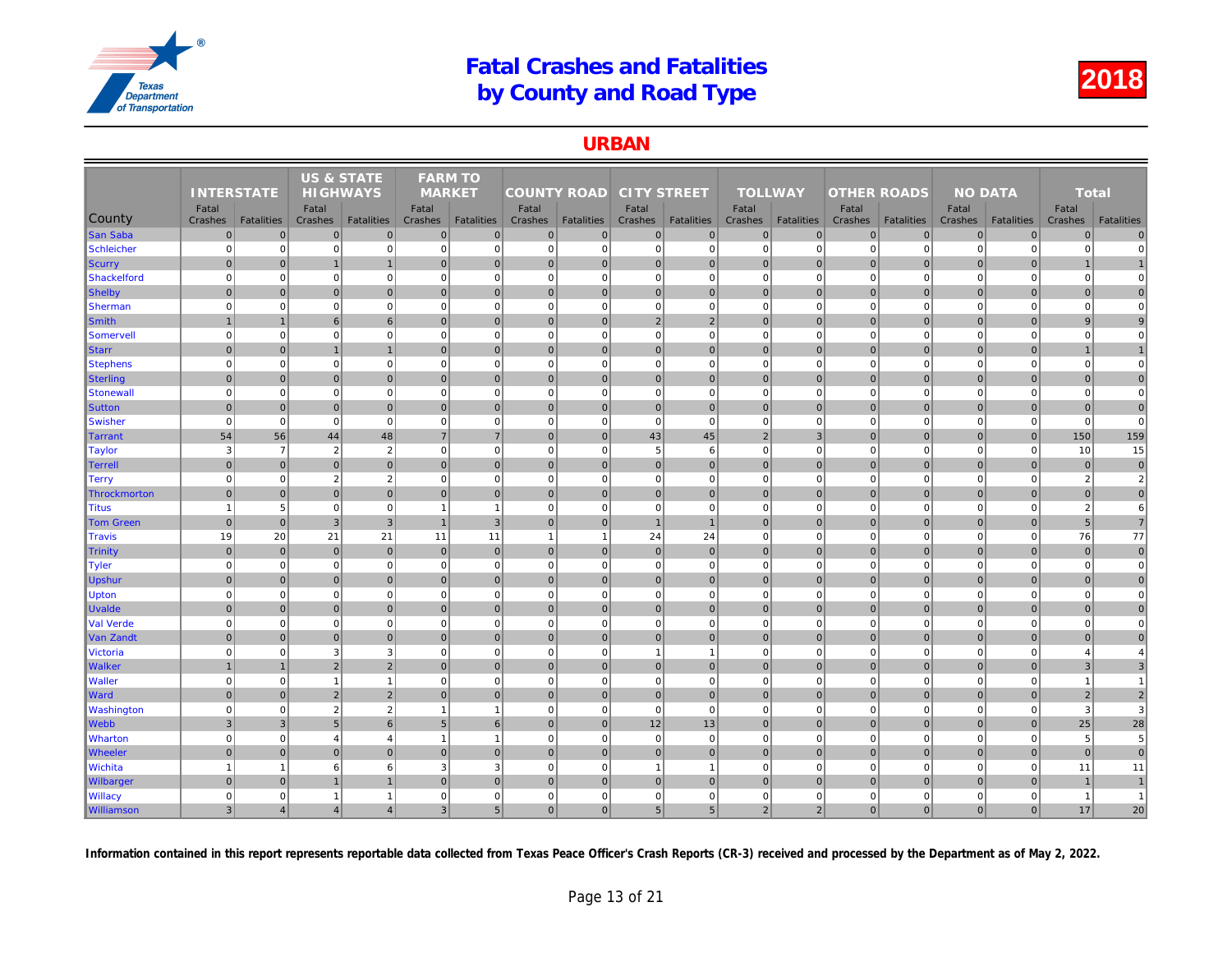### URBAN

|                   |                   |                   | <b>US &amp; STATE</b> |                   | <b>FARM TO</b>           |                   |                    |                   |                    |                   |                |                   |                    |                   |     |
|-------------------|-------------------|-------------------|-----------------------|-------------------|--------------------------|-------------------|--------------------|-------------------|--------------------|-------------------|----------------|-------------------|--------------------|-------------------|-----|
|                   | <b>INTERSTATE</b> |                   | <b>HIGHWAYS</b>       |                   | <b>MARKET</b>            |                   | <b>COUNTY ROAD</b> |                   | <b>CITY STREET</b> |                   | <b>TOLLWAY</b> |                   | <b>OTHER ROADS</b> |                   |     |
|                   | Fatal             |                   | Fatal                 |                   | Fatal                    |                   | Fatal              |                   | Fatal              |                   | Fatal          |                   | Fatal              |                   |     |
| County            | Crashes           | <b>Fatalities</b> | Crashes               | <b>Fatalities</b> | Crashes                  | <b>Fatalities</b> | Crashes            | <b>Fatalities</b> | Crashes            | <b>Fatalities</b> | Crashes        | <b>Fatalities</b> | Crashes            | <b>Fatalities</b> | Cra |
| <b>San Saba</b>   | $\mathbf 0$       | $\Omega$          | $\mathbf 0$           | $\overline{0}$    | $\mathbf{0}$             | $\mathbf 0$       | $\overline{0}$     | $\overline{0}$    | $\overline{0}$     | 0                 | $\mathbf{0}$   | $\mathbf{0}$      | $\mathbf 0$        | $\overline{0}$    |     |
| Schleicher        | $\mathbf 0$       | $\Omega$          | $\Omega$              | $\mathbf{0}$      | $\mathbf 0$              | $\mathbf 0$       | $\overline{0}$     | $\overline{0}$    | $\mathbf{0}$       | $\overline{0}$    | $\mathbf 0$    | $\Omega$          | $\mathbf 0$        | $\Omega$          |     |
| Scurry            | $\mathbf 0$       | $\Omega$          |                       | $\overline{1}$    | $\mathbf 0$              | $\mathbf 0$       | $\overline{0}$     | $\overline{0}$    | $\overline{0}$     | $\overline{0}$    | $\mathbf 0$    | $\Omega$          | $\mathbf 0$        | $\mathbf 0$       |     |
| Shackelford       | $\mathbf 0$       | $\mathbf 0$       | $\Omega$              | $\overline{0}$    | $\mathbf 0$              | $\mathbf 0$       | 0                  | $\mathbf 0$       | $\overline{0}$     | $\overline{0}$    | $\mathbf 0$    | $\mathbf 0$       | $\mathbf 0$        | $\mathbf 0$       |     |
| Shelby            | $\Omega$          | $\overline{0}$    | $\overline{0}$        | $\overline{0}$    | $\Omega$                 | $\mathbf{0}$      | $\overline{0}$     | $\overline{0}$    | $\overline{0}$     | $\overline{0}$    | $\mathbf{0}$   | $\Omega$          | $\mathbf{0}$       | $\overline{0}$    |     |
| <b>Sherman</b>    | $\mathbf 0$       | $\Omega$          | $\Omega$              | $\overline{0}$    | $\mathbf 0$              | $\mathbf 0$       | $\overline{0}$     | $\Omega$          | $\overline{0}$     | $\overline{0}$    | $\mathbf 0$    | $\mathbf 0$       | $\mathbf 0$        | $\Omega$          |     |
| Smith             | $\mathbf{1}$      | $\mathbf{1}$      | 6                     | $6 \overline{6}$  | $\mathbf{0}$             | $\overline{0}$    | 0                  | $\mathbf 0$       | $\overline{2}$     | $\overline{2}$    | $\mathbf{0}$   | $\overline{0}$    | $\mathbf 0$        | $\overline{0}$    |     |
| Somervell         | $\mathbf 0$       | $\mathbf 0$       | $\Omega$              | $\mathbf{0}$      | $\mathbf 0$              | $\mathbf 0$       | 0                  | $\mathbf 0$       | $\mathbf{0}$       | $\mathbf 0$       | $\mathbf 0$    | $\mathbf 0$       | $\mathbf 0$        | $\mathbf 0$       |     |
| <b>Starr</b>      | $\mathbf 0$       | $\Omega$          | $\overline{1}$        | $\overline{1}$    | $\mathbf{0}$             | $\mathbf{0}$      | 0                  | $\overline{0}$    | $\overline{0}$     | $\overline{0}$    | $\mathbf{0}$   | $\mathbf{0}$      | $\mathbf 0$        | $\overline{0}$    |     |
| <b>Stephens</b>   | $\mathbf 0$       | $\Omega$          | $\Omega$              | $\overline{0}$    | $\mathbf 0$              | $\mathbf 0$       | $\Omega$           | $\Omega$          | $\mathbf{0}$       | $\overline{0}$    | $\mathbf 0$    | $\Omega$          | $\Omega$           | $\mathbf 0$       |     |
| Sterling          | $\mathbf{0}$      | $\Omega$          | $\mathbf{0}$          | $\overline{0}$    | $\mathbf{0}$             | $\mathbf{0}$      | $\overline{0}$     | $\mathbf 0$       | $\overline{0}$     | $\overline{0}$    | $\mathbf{0}$   | $\Omega$          | $\mathbf 0$        | $\overline{0}$    |     |
| Stonewall         | $\mathbf 0$       | $\mathbf 0$       | $\mathbf 0$           | $\mathbf{0}$      | $\mathbf 0$              | $\mathbf 0$       | 0                  | $\mathbf 0$       | $\overline{0}$     | $\mathbf{0}$      | $\mathbf 0$    | $\mathbf 0$       | $\mathbf 0$        | $\mathbf 0$       |     |
| <b>Sutton</b>     | $\mathbf 0$       | $\pmb{0}$         | $\mathbf 0$           | $\overline{0}$    | $\mathbf 0$              | $\mathbf 0$       | 0                  | $\mathbf 0$       | $\overline{0}$     | $\overline{0}$    | $\mathbf 0$    | $\mathbf 0$       | $\mathbf 0$        | $\mathbf 0$       |     |
| <b>Swisher</b>    | $\mathbf 0$       | $\mathbf 0$       | $\mathbf 0$           | $\mathbf{0}$      | $\mathbf 0$              | $\mathbf 0$       | $\mathbf{0}$       | $\mathbf 0$       | $\overline{0}$     | $\mathbf 0$       | $\mathbf 0$    | $\mathbf 0$       | $\mathbf 0$        | $\mathbf 0$       |     |
| Tarrant           | 54                | 56                | 44                    | 48                | $\overline{7}$           | $\overline{7}$    | $\vert$ 0          | $\mathbf 0$       | 43                 | 45                | $\overline{2}$ | $\overline{3}$    | $\mathbf{0}$       | $\overline{0}$    |     |
| <b>Taylor</b>     | 3                 | $\overline{7}$    | $\overline{2}$        | $\sqrt{2}$        | $\mathbf 0$              | $\mathbf 0$       | $\overline{0}$     | $\mathbf 0$       | $5\phantom{.0}$    | 6                 | $\mathbf 0$    | $\mathbf 0$       | $\mathbf 0$        | $\mathbf 0$       |     |
| <b>Terrell</b>    | $\mathbf 0$       | $\overline{0}$    | $\mathbf{0}$          | $\overline{0}$    | $\mathbf{0}$             | $\mathbf{0}$      | $\overline{0}$     | $\overline{0}$    | $\overline{0}$     | $\overline{0}$    | $\mathbf{0}$   | $\Omega$          | $\mathbf 0$        | $\overline{0}$    |     |
| Terry             | $\mathbf 0$       | $\mathbf 0$       | $\overline{2}$        | 2                 | $\mathbf 0$              | $\mathbf 0$       | 0                  | $\overline{0}$    | $\overline{0}$     | $\overline{0}$    | $\mathbf 0$    | $\Omega$          | $\overline{0}$     | $\overline{0}$    |     |
| Throckmorton      | $\Omega$          | $\Omega$          | $\mathbf 0$           | $\overline{0}$    | $\mathbf{0}$             | $\mathbf{0}$      | $\overline{0}$     | $\overline{0}$    | $\overline{0}$     | $\mathbf 0$       | $\mathbf 0$    | $\Omega$          | $\mathbf 0$        | $\overline{0}$    |     |
| Titus             | $\overline{1}$    | 5                 | $\Omega$              | $\mathbf{0}$      | $\overline{\phantom{a}}$ | $\overline{1}$    | $\overline{0}$     | $\overline{0}$    | $\overline{0}$     | $\mathbf 0$       | $\mathbf 0$    | $\Omega$          | $\overline{0}$     | $\Omega$          |     |
| <b>Tom Green</b>  | $\mathbf{0}$      | $\overline{0}$    | $\overline{3}$        | $\overline{3}$    | $\overline{1}$           | $\overline{3}$    | 0                  | $\mathbf{0}$      | $\overline{1}$     | $\mathbf{1}$      | $\mathbf{0}$   | $\overline{0}$    | $\mathbf{0}$       | $\overline{0}$    |     |
| Travis            | 19                | 20                | 21                    | 21                | 11                       | 11                | $\mathbf{1}$       | $\overline{1}$    | 24                 | 24                | $\mathbf 0$    | $\mathbf 0$       | $\mathbf 0$        | $\mathbf 0$       |     |
| <b>Trinity</b>    | $\mathbf 0$       | $\Omega$          | $\mathbf 0$           | $\overline{0}$    | $\mathbf{0}$             | $\mathbf{0}$      | 0                  | $\overline{0}$    | $\overline{0}$     | $\overline{0}$    | $\mathbf{0}$   | $\overline{0}$    | $\mathbf 0$        | $\Omega$          |     |
| Tyler             | $\mathbf 0$       | $\mathbf 0$       | $\mathbf 0$           | $\mathbf 0$       | $\mathbf 0$              | $\mathbf 0$       | 0                  | $\mathbf 0$       | $\mathbf{0}$       | $\mathbf{0}$      | $\mathbf 0$    | $\mathbf 0$       | $\mathbf 0$        | $\mathbf 0$       |     |
| Upshur            | $\mathbf{0}$      | $\Omega$          | $\Omega$              | $\overline{0}$    | $\mathbf{0}$             | $\mathbf{0}$      | $\overline{0}$     | $\mathbf 0$       | $\overline{0}$     | $\overline{0}$    | $\mathbf{0}$   | $\Omega$          | $\mathbf{0}$       | $\Omega$          |     |
| <b>Upton</b>      | $\mathbf 0$       | $\Omega$          | $\mathbf 0$           | $\overline{0}$    | $\mathbf 0$              | $\mathbf 0$       | 0                  | $\mathbf 0$       | $\mathbf{0}$       | $\overline{0}$    | $\mathbf 0$    | $\Omega$          | $\Omega$           | $\Omega$          |     |
| <b>Uvalde</b>     | $\mathbf 0$       | $\overline{0}$    | $\mathbf{0}$          | $\mathbf 0$       | $\mathbf{0}$             | $\mathbf{0}$      | 0                  | $\overline{0}$    | $\overline{0}$     | $\overline{0}$    | $\mathbf 0$    | $\mathbf{0}$      | $\mathbf 0$        | $\mathbf 0$       |     |
| Val Verde         | $\Omega$          | $\Omega$          | $\Omega$              | $\overline{0}$    | $\mathbf 0$              | $\mathbf 0$       | $\Omega$           | $\Omega$          | $\overline{0}$     | $\Omega$          | $\mathbf 0$    | $\mathbf 0$       | $\mathbf 0$        | $\Omega$          |     |
| Van Zandt         | $\mathbf 0$       | $\Omega$          | $\mathbf 0$           | $\overline{0}$    | $\mathbf{0}$             | $\mathbf{0}$      | 0                  | $\overline{0}$    | 0                  | $\overline{0}$    | $\mathbf{0}$   | $\overline{0}$    | $\mathbf 0$        | $\overline{0}$    |     |
| <b>Victoria</b>   | $\mathbf 0$       | $\Omega$          | 3                     | 3                 | $\mathbf 0$              | $\mathbf 0$       | 0                  | $\Omega$          | $\mathbf{1}$       | $\mathbf{1}$      | $\mathbf 0$    | $\mathbf 0$       | $\mathbf 0$        | $\mathbf 0$       |     |
| <b>Walker</b>     |                   |                   | $\overline{2}$        | $\overline{2}$    | $\Omega$                 | $\mathbf{0}$      | $\overline{0}$     | $\overline{0}$    | $\overline{0}$     | $\overline{0}$    | $\Omega$       | $\Omega$          | $\mathbf{0}$       | $\overline{0}$    |     |
| <b>Waller</b>     | $\mathbf 0$       | $\mathbf 0$       | $\overline{1}$        | $\mathbf{1}$      | $\mathbf 0$              | $\mathbf 0$       | 0                  | $\mathbf 0$       | $\mathbf{0}$       | $\mathbf{0}$      | $\mathbf 0$    | $\mathbf 0$       | $\mathbf 0$        | $\mathbf 0$       |     |
| <b>Ward</b>       | $\Omega$          | $\overline{0}$    | $\overline{2}$        | $\overline{2}$    | $\Omega$                 | $\mathbf{0}$      | $\overline{0}$     | $\overline{0}$    | $\overline{0}$     | $\mathbf 0$       | $\mathbf 0$    | $\overline{0}$    | $\mathbf 0$        | $\overline{0}$    |     |
| <b>Washington</b> | $\mathbf 0$       | $\mathbf 0$       | $\overline{2}$        | $\overline{2}$    | $\overline{1}$           | $\overline{1}$    | 0                  | $\mathbf 0$       | $\overline{0}$     | $\mathbf{0}$      | $\mathbf 0$    | $\mathbf 0$       | $\mathbf 0$        | $\mathbf 0$       |     |
| Webb              | $\mathbf{3}$      | $\mathbf{3}$      | $5\phantom{.0}$       | $6 \overline{6}$  | $5\phantom{.0}$          | $6\phantom{1}$    | 0                  | $\mathbf 0$       | 12                 | 13                | $\mathbf 0$    | $\overline{0}$    | $\mathbf 0$        | $\overline{0}$    |     |
| <b>Wharton</b>    | $\mathbf 0$       | $\Omega$          | $\overline{4}$        | $\overline{4}$    | $\overline{1}$           | $\mathbf{1}$      | 0                  | $\Omega$          | $\mathbf{0}$       | $\mathbf 0$       | $\mathbf 0$    | $\Omega$          | $\mathbf 0$        | $\mathbf 0$       |     |
| <b>Wheeler</b>    | $\mathbf 0$       | $\overline{0}$    | $\overline{0}$        | $\overline{0}$    | $\mathbf{0}$             | $\mathbf{0}$      | 0                  | $\overline{0}$    | $\overline{0}$     | $\overline{0}$    | $\mathbf 0$    | $\mathbf{0}$      | $\mathbf 0$        | $\overline{0}$    |     |
| Wichita           | $\overline{1}$    |                   | 6                     | 6                 | 3                        | 3                 | $\overline{0}$     | $\Omega$          | $\overline{1}$     | $\mathbf{1}$      | $\mathbf 0$    | $\Omega$          | $\mathbf 0$        | $\mathbf 0$       |     |
| <b>Wilbarger</b>  | $\mathbf{0}$      | $\Omega$          | $\mathbf 1$           | $\mathbf{1}$      | $\Omega$                 | $\Omega$          | $\overline{0}$     | $\mathbf{0}$      | $\overline{0}$     | $\overline{0}$    | $\mathbf{0}$   | $\overline{0}$    | $\mathbf{0}$       | $\Omega$          |     |
| <b>Willacy</b>    | $\mathbf 0$       | 0                 | $\overline{1}$        | $\mathbf{1}$      | $\mathbf 0$              | $\mathbf 0$       | 0                  | $\mathbf 0$       | $\mathbf{0}$       | $\overline{0}$    | $\mathbf 0$    | $\mathbf 0$       | $\mathbf 0$        | $\mathbf 0$       |     |
| <b>Williamson</b> | $\overline{3}$    | 4                 | $\overline{4}$        | $\overline{4}$    | 3                        | 5 <sup>5</sup>    | $\overline{0}$     | $\Omega$          | 5 <sup>5</sup>     | 5 <sub>5</sub>    | $\overline{2}$ | $\overline{2}$    | $\mathbf{0}$       | $\overline{0}$    |     |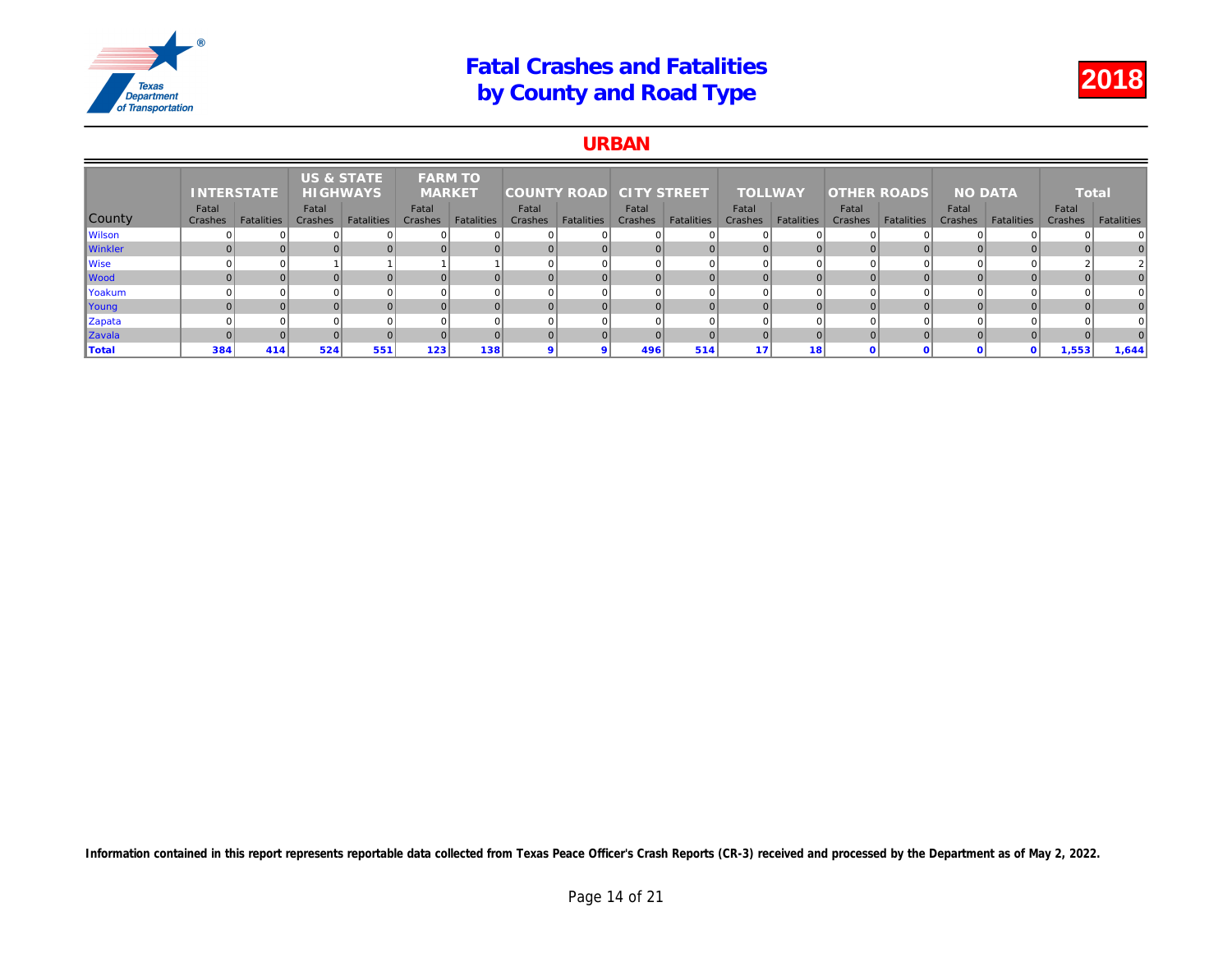### URBAN

|                | <b>INTERSTATE</b> |                   | <b>US &amp; STATE</b><br><b>HIGHWAYS</b> |                   | <b>FARM TO</b><br><b>MARKET</b> |                   | <b>COUNTY ROAD</b> |                   | <b>CITY STREET</b> |                   | <b>TOLLWAY</b>   |                   | <b>OTHER ROADS</b> |            |     |
|----------------|-------------------|-------------------|------------------------------------------|-------------------|---------------------------------|-------------------|--------------------|-------------------|--------------------|-------------------|------------------|-------------------|--------------------|------------|-----|
| County         | Fatal<br>Crashes  | <b>Fatalities</b> | Fatal<br>Crashes                         | <b>Fatalities</b> | Fatal<br>Crashes                | <b>Fatalities</b> | Fatal<br>Crashes   | <b>Fatalities</b> | Fatal<br>Crashes   | <b>Fatalities</b> | Fatal<br>Crashes | <b>Fatalities</b> | Fatal<br>Crashes   | Fatalities | Cra |
| <b>Wilson</b>  |                   |                   |                                          |                   |                                 |                   |                    |                   |                    |                   |                  |                   |                    |            |     |
| <b>Winkler</b> |                   |                   |                                          |                   |                                 |                   |                    |                   |                    |                   | $\Omega$         |                   |                    |            |     |
| <b>Wise</b>    |                   |                   |                                          |                   |                                 |                   |                    |                   |                    |                   | $\Omega$         |                   |                    |            |     |
| Wood           |                   |                   |                                          |                   |                                 |                   |                    |                   |                    |                   | $\Omega$         |                   |                    |            |     |
| Yoakum         |                   |                   |                                          |                   |                                 |                   |                    |                   |                    |                   | <sup>0</sup>     |                   |                    |            |     |
| Young          |                   |                   |                                          |                   |                                 |                   |                    |                   |                    |                   | $\Omega$         |                   |                    |            |     |
| Zapata         |                   |                   |                                          |                   |                                 |                   |                    |                   |                    |                   |                  |                   |                    |            |     |
| Zavala         |                   |                   |                                          |                   |                                 |                   |                    |                   |                    |                   | $\Omega$         |                   |                    |            |     |
| <b>Total</b>   | 384               | 414               | 524                                      | 551               | 123                             | 138               |                    |                   | 496                | 514               | 47               | 18                |                    |            |     |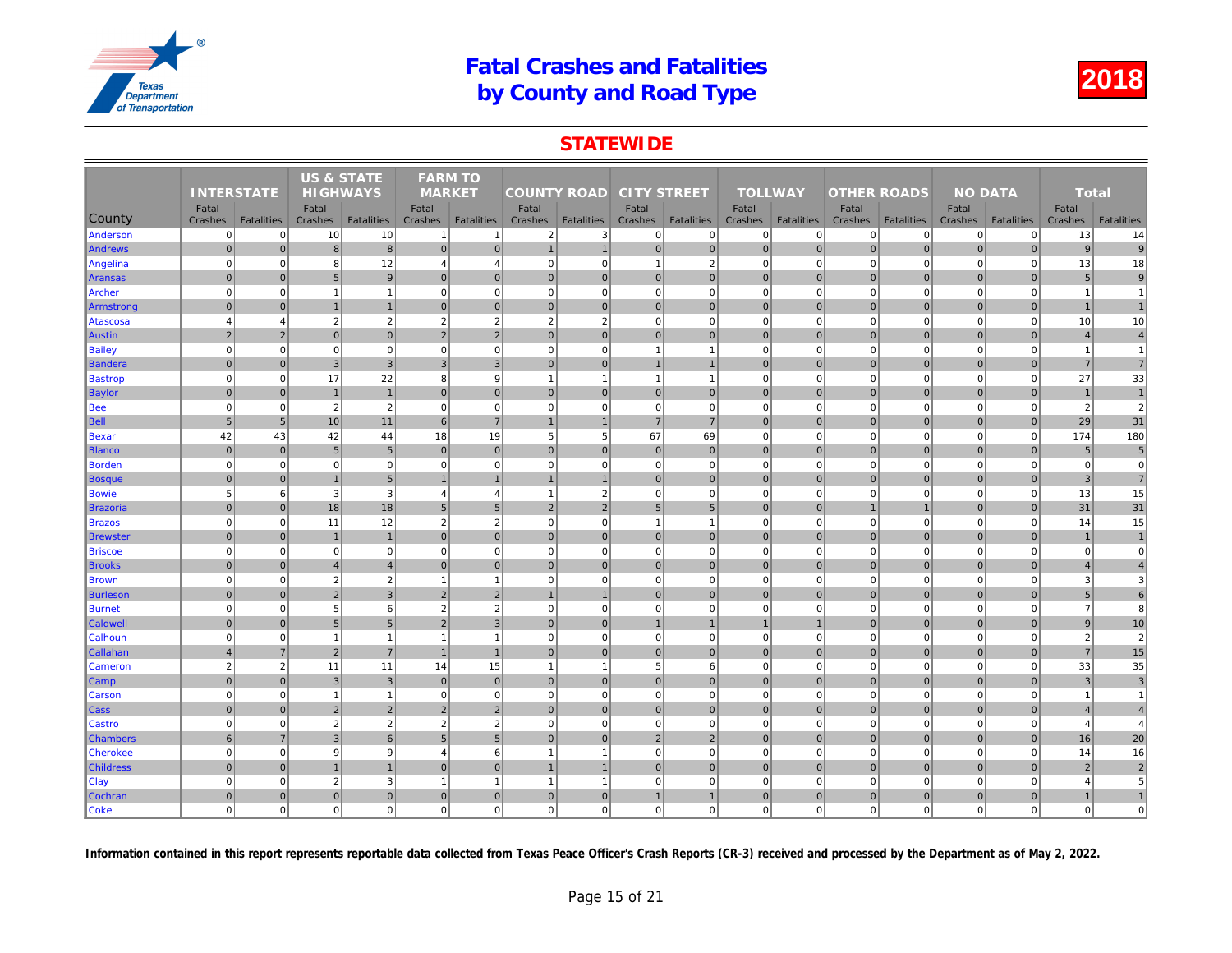## **STATEWIDE**

|                  |                   |                   | US & STATE      |                   | <b>FARM TO</b>  |                   |                    |                   |                    |                   |                |                   |                    |                   |     |
|------------------|-------------------|-------------------|-----------------|-------------------|-----------------|-------------------|--------------------|-------------------|--------------------|-------------------|----------------|-------------------|--------------------|-------------------|-----|
|                  | <b>INTERSTATE</b> |                   | <b>HIGHWAYS</b> |                   | <b>MARKET</b>   |                   | <b>COUNTY ROAD</b> |                   | <b>CITY STREET</b> |                   | <b>TOLLWAY</b> |                   | <b>OTHER ROADS</b> |                   |     |
|                  | Fatal             |                   | Fatal           |                   | Fatal           |                   | Fatal              |                   | Fatal              |                   | Fatal          |                   | Fatal              |                   |     |
| County           | Crashes           | <b>Fatalities</b> | Crashes         | <b>Fatalities</b> | Crashes         | <b>Fatalities</b> | Crashes            | <b>Fatalities</b> | Crashes            | <b>Fatalities</b> | Crashes        | <b>Fatalities</b> | Crashes            | <b>Fatalities</b> | Cra |
| Anderson         | $\mathbf 0$       | $\mathbf{0}$      | 10              | 10                | $\mathbf{1}$    | $\overline{1}$    | $\overline{2}$     | 3                 | $\mathbf 0$        | 0                 | $\mathbf 0$    | $\mathbf 0$       | $\mathbf 0$        | $\mathbf 0$       |     |
| <b>Andrews</b>   | $\overline{0}$    | $\overline{0}$    | $\bf8$          | 8                 | $\overline{0}$  | $\mathbf 0$       | $\mathbf{1}$       | $\overline{1}$    | 0                  | $\overline{0}$    | $\mathbf 0$    | $\overline{0}$    | $\mathbf 0$        | $\mathbf 0$       |     |
| Angelina         | $\Omega$          | $\overline{0}$    | 8               | 12                | $\overline{4}$  | $\overline{4}$    | 0                  | $\mathbf 0$       | $\mathbf{1}$       | $\overline{2}$    | $\mathbf 0$    | $\mathbf 0$       | $\mathbf 0$        | $\Omega$          |     |
| Aransas          | $\Omega$          | $\overline{0}$    | $5\phantom{.0}$ | 9                 | $\mathbf{0}$    | $\mathbf{0}$      | $\overline{0}$     | $\mathbf{0}$      | 0                  | $\overline{0}$    | $\mathbf{0}$   | $\overline{0}$    | $\mathbf 0$        | $\mathbf 0$       |     |
| Archer           | $\Omega$          | $\overline{0}$    | $\overline{1}$  | $\overline{1}$    | $\mathbf 0$     | $\mathbf 0$       | $\overline{0}$     | $\Omega$          | $\pmb{0}$          | $\overline{0}$    | $\mathbf 0$    | $\mathbf 0$       | $\mathbf 0$        | $\Omega$          |     |
| Armstrong        | $\overline{0}$    | $\mathbf{0}$      | $\mathbf{1}$    | $\overline{1}$    | $\mathbf{0}$    | $\mathbf 0$       | $\overline{0}$     | $\mathbf 0$       | $\pmb{0}$          | $\overline{0}$    | $\mathbf{0}$   | $\mathbf{0}$      | $\mathbf 0$        | $\overline{0}$    |     |
| Atascosa         | $\overline{4}$    | $\overline{4}$    | 2               | $\overline{2}$    | $\overline{2}$  | $\overline{2}$    | $\overline{2}$     | $\overline{2}$    | $\mathbf 0$        | $\mathbf{0}$      | $\mathbf 0$    | $\mathbf 0$       | $\mathbf 0$        | $\Omega$          |     |
| Austin           | $\overline{2}$    | $\overline{2}$    | $\mathbf{0}$    | $\overline{0}$    | $\overline{2}$  | $\overline{2}$    | $\overline{0}$     | $\mathbf 0$       | $\pmb{0}$          | $\overline{0}$    | $\mathbf 0$    | $\overline{0}$    | $\mathbf 0$        | $\overline{0}$    |     |
| <b>Bailey</b>    | $\Omega$          | $\overline{0}$    | $\mathbf 0$     | $\overline{0}$    | $\mathbf 0$     | $\mathbf 0$       | $\overline{0}$     | $\Omega$          | $\overline{1}$     | $\overline{1}$    | $\mathbf 0$    | $\mathbf 0$       | $\mathbf 0$        | $\Omega$          |     |
| Bandera          | $\mathbf 0$       | $\overline{0}$    | 3 <sup>2</sup>  | $\mathbf{3}$      | 3               | $\mathbf{3}$      | $\overline{0}$     | $\pmb{0}$         | 1                  | $\mathbf{1}$      | $\mathbf 0$    | $\overline{0}$    | $\mathbf 0$        | $\pmb{0}$         |     |
| <b>Bastrop</b>   | $\Omega$          | $\overline{0}$    | 17              | 22                | 8               | 9                 | $\overline{1}$     | $\overline{1}$    | $\mathbf{1}$       | $\mathbf{1}$      | $\mathbf 0$    | $\mathbf 0$       | $\mathbf 0$        | $\mathbf 0$       |     |
| <b>Baylor</b>    | $\overline{0}$    | $\overline{0}$    | $\overline{1}$  | $\overline{1}$    | $\overline{0}$  | $\mathbf{0}$      | $\overline{0}$     | $\mathbf{0}$      | 0                  | $\overline{0}$    | $\mathbf{0}$   | $\overline{0}$    | $\mathbf{0}$       | $\mathbf{0}$      |     |
| <b>Bee</b>       | $\Omega$          | $\overline{0}$    | $\overline{2}$  | $\overline{2}$    | $\mathbf 0$     | $\mathbf 0$       | $\overline{0}$     | $\Omega$          | $\pmb{0}$          | $\overline{0}$    | $\mathbf 0$    | $\mathbf 0$       | $\mathbf 0$        | $\Omega$          |     |
| Bell             | 5                 | 5 <sup>5</sup>    | 10              | 11                | 6               | $\overline{7}$    | $\mathbf{1}$       | $\overline{1}$    | $\overline{7}$     | $\overline{7}$    | $\mathbf{0}$   | $\overline{0}$    | $\mathbf{0}$       | $\overline{0}$    |     |
| Bexar            | 42                | 43                | 42              | 44                | 18              | 19                | 5 <sup>5</sup>     | 5                 | 67                 | 69                | $\mathbf 0$    | $\mathbf 0$       | $\mathbf 0$        | $\Omega$          |     |
| <b>Blanco</b>    | $\Omega$          | $\overline{0}$    | $5\phantom{.0}$ | $5\overline{)}$   | $\Omega$        | $\mathbf{0}$      | $\overline{0}$     | $\mathbf 0$       | $\pmb{0}$          | $\overline{0}$    | $\mathbf{0}$   | $\overline{0}$    | $\mathbf 0$        | $\overline{0}$    |     |
| <b>Borden</b>    | $\Omega$          | $\overline{0}$    | $\mathbf 0$     | $\mathbf 0$       | $\mathbf 0$     | $\mathbf 0$       | $\mathbf{0}$       | $\Omega$          | $\mathbf 0$        | $\mathbf{0}$      | $\mathbf 0$    | $\mathbf 0$       | $\mathbf 0$        | $\Omega$          |     |
| Bosque           | $\mathbf{0}$      | $\overline{0}$    | $\overline{1}$  | 5 <sup>5</sup>    | $\mathbf{1}$    | $\overline{1}$    | $\overline{1}$     | $\overline{1}$    | 0                  | $\overline{0}$    | $\mathbf{0}$   | $\overline{0}$    | $\mathbf{0}$       | $\Omega$          |     |
| <b>Bowie</b>     | 5                 | 6                 | 3               | $\mathbf{3}$      | $\overline{4}$  | $\overline{4}$    | $\overline{1}$     | $\overline{2}$    | $\mathbf 0$        | $\mathbf{0}$      | $\mathbf 0$    | $\mathbf 0$       | $\mathbf 0$        | $\mathbf 0$       |     |
| <b>Brazoria</b>  | $\Omega$          | $\overline{0}$    | 18              | 18                | $5\overline{5}$ | 5                 | $\overline{2}$     | $\overline{2}$    | 5 <sup>5</sup>     | 5 <sub>5</sub>    | $\mathbf{0}$   | $\Omega$          |                    | $\overline{1}$    |     |
| <b>Brazos</b>    | $\mathbf 0$       | $\mathbf{0}$      | 11              | 12                | $\overline{2}$  | $\overline{2}$    | $\overline{0}$     | $\circ$           | $\mathbf{1}$       | $\mathbf{1}$      | $\mathbf 0$    | $\mathbf 0$       | $\mathbf 0$        | $\mathbf 0$       |     |
| Brewster         | $\Omega$          | $\overline{0}$    | $\overline{1}$  | $\overline{1}$    | $\Omega$        | $\mathbf{0}$      | $\overline{0}$     | $\mathbf{0}$      | 0                  | $\overline{0}$    | $\mathbf{0}$   | $\overline{0}$    | $\mathbf{0}$       | $\Omega$          |     |
| <b>Briscoe</b>   | $\mathbf 0$       | $\mathbf{0}$      | $\mathbf 0$     | $\overline{0}$    | $\mathbf 0$     | $\mathbf 0$       | $\overline{0}$     | $\mathbf 0$       | $\mathbf 0$        | $\overline{0}$    | $\mathbf 0$    | $\mathbf 0$       | $\mathbf 0$        | $\mathbf 0$       |     |
| <b>Brooks</b>    | $\overline{0}$    | $\overline{0}$    | $\overline{4}$  | $\overline{4}$    | $\mathbf{0}$    | $\mathbf 0$       | $\overline{0}$     | $\mathbf{0}$      | $\pmb{0}$          | $\overline{0}$    | $\mathbf{0}$   | $\overline{0}$    | $\mathbf 0$        | $\overline{0}$    |     |
| <b>Brown</b>     | $\mathbf 0$       | $\mathbf{0}$      | $\overline{2}$  | $\overline{2}$    | $\mathbf{1}$    | $\mathbf{1}$      | 0                  | $\mathbf 0$       | $\mathbf 0$        | $\mathbf{0}$      | $\mathbf 0$    | $\mathbf 0$       | $\mathbf 0$        | $\mathbf 0$       |     |
| Burleson         | $\Omega$          | $\overline{0}$    | $\overline{2}$  | $\overline{3}$    | 2               | $\overline{2}$    |                    | $\overline{1}$    | 0                  | $\overline{0}$    | $\mathbf{0}$   | $\Omega$          | $\mathbf{0}$       | $\mathbf{0}$      |     |
| <b>Burnet</b>    | $\mathbf 0$       | $\mathbf{0}$      | 5               | 6                 | $\overline{2}$  | $\overline{2}$    | $\mathbf{0}$       | $\mathbf 0$       | $\pmb{0}$          | $\mathbf{0}$      | $\mathbf 0$    | $\mathbf 0$       | $\mathbf 0$        | $\mathbf 0$       |     |
| <b>Caldwell</b>  | $\mathbf 0$       | $\mathbf{0}$      | $5\phantom{.0}$ | $5\overline{)}$   | $\overline{2}$  | 3                 | $\Omega$           | $\mathbf{0}$      | $\mathbf{1}$       | $\mathbf{1}$      |                | $\mathbf{1}$      | $\mathbf 0$        | $\overline{0}$    |     |
| Calhoun          | $\mathbf 0$       | $\mathbf{0}$      | $\overline{1}$  | $\overline{1}$    | $\mathbf{1}$    | $\mathbf{1}$      | 0                  | $\mathbf 0$       | 0                  | $\mathbf{0}$      | $\mathbf 0$    | $\mathbf 0$       | $\mathbf 0$        | $\pmb{0}$         |     |
| <b>Callahan</b>  | $\overline{4}$    | $\overline{7}$    | $\overline{2}$  | $\overline{7}$    |                 | $\overline{1}$    | $\overline{0}$     | $\overline{0}$    | 0                  | $\overline{0}$    | $\mathbf{0}$   | $\overline{0}$    | $\mathbf 0$        | $\overline{0}$    |     |
| <b>Cameron</b>   | $\overline{2}$    | $\overline{2}$    | 11              | 11                | 14              | 15                | $\overline{1}$     | $\overline{1}$    | 5                  | $6 \overline{6}$  | $\mathbf 0$    | $\mathbf 0$       | $\mathbf 0$        | $\mathbf 0$       |     |
| Camp             | $\overline{0}$    | $\overline{0}$    | $\mathbf{3}$    | $\overline{3}$    | $\overline{0}$  | $\mathbf 0$       | 0                  | $\mathbf 0$       | 0                  | $\overline{0}$    | $\mathbf{0}$   | $\overline{0}$    | $\mathbf 0$        | $\pmb{0}$         |     |
| Carson           | $\mathbf 0$       | $\overline{0}$    | $\overline{1}$  | $\overline{1}$    | $\Omega$        | $\mathbf 0$       | $\overline{0}$     | $\Omega$          | $\mathbf 0$        | $\overline{0}$    | $\mathbf 0$    | $\Omega$          | $\mathbf 0$        | $\Omega$          |     |
| Cass             | $\Omega$          | $\overline{0}$    | $\overline{2}$  | $\overline{2}$    | 2               | $\overline{2}$    | $\overline{0}$     | $\mathbf 0$       | 0                  | $\overline{0}$    | $\mathbf{0}$   | $\overline{0}$    | $\mathbf 0$        | $\pmb{0}$         |     |
| Castro           | $\Omega$          | $\overline{0}$    | $\overline{2}$  | $\overline{2}$    | $\overline{2}$  | $\overline{2}$    | $\mathbf 0$        | $\Omega$          | $\mathbf 0$        | $\overline{0}$    | $\mathbf 0$    | $\Omega$          | $\mathbf 0$        | $\Omega$          |     |
| ∥Chambers        | 6                 | $\overline{7}$    | 3               | 6                 | 5               | 5                 | $\overline{0}$     | $\mathbf{0}$      | $\overline{2}$     | $\overline{2}$    | $\mathbf{0}$   | $\overline{0}$    | $\mathbf 0$        | $\overline{0}$    |     |
| <b>Cherokee</b>  | $\mathbf 0$       | $\overline{0}$    | 9               | 9                 | $\overline{4}$  | 6                 | $\overline{1}$     | $\overline{1}$    | $\mathbf 0$        | $\overline{0}$    | $\mathbf 0$    | $\Omega$          | $\Omega$           | $\Omega$          |     |
| <b>Childress</b> | $\overline{0}$    | $\overline{0}$    |                 | $\mathbf{1}$      | $\mathbf{0}$    | $\mathbf 0$       | $\overline{1}$     |                   | $\pmb{0}$          | $\overline{0}$    | $\mathbf 0$    | $\overline{0}$    | $\pmb{0}$          | $\mathbf 0$       |     |
| Clay             | $\Omega$          | $\overline{0}$    | $\overline{2}$  | $\mathbf{3}$      | $\mathbf{1}$    | $\overline{1}$    | $\mathbf{1}$       | -1                | $\mathbf 0$        | $\mathbf{0}$      | $\mathbf 0$    | $\mathbf 0$       | $\mathbf 0$        | $\Omega$          |     |
| Cochran          | $\mathbf 0$       | 0                 | 0               | $\overline{0}$    | $\mathbf{0}$    | $\mathbf 0$       | 0                  | $\mathbf 0$       | $\mathbf{1}$       | $\vert$ 1         | $\mathbf 0$    | 0                 | $\mathbf 0$        | $\mathbf{0}$      |     |
| <b>Coke</b>      | $\Omega$          | $\overline{0}$    | $\mathbf 0$     | $\mathbf 0$       | $\mathbf{0}$    | $\mathbf 0$       | 0                  | $\Omega$          | $\mathbf 0$        | $\mathbf{0}$      | $\mathbf 0$    | $\mathbf 0$       | $\Omega$           | $\mathbf 0$       |     |
|                  |                   |                   |                 |                   |                 |                   |                    |                   |                    |                   |                |                   |                    |                   |     |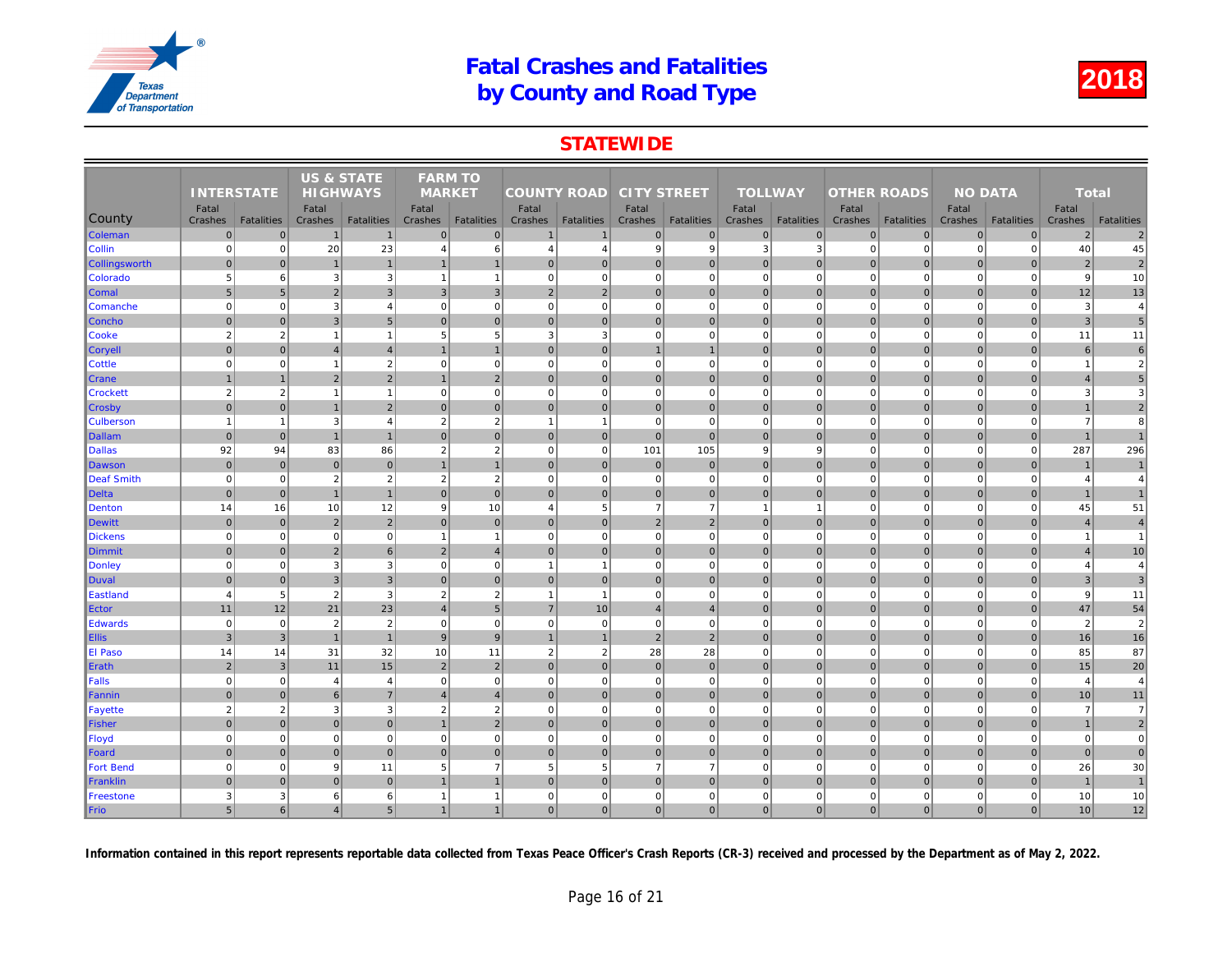### **STATEWIDE**

|                      |                   |                   | <b>US &amp; STATE</b> |                   | <b>FARM TO</b>   |                   |                    |                   |                    |                   |                  |                   |                    |                   |     |
|----------------------|-------------------|-------------------|-----------------------|-------------------|------------------|-------------------|--------------------|-------------------|--------------------|-------------------|------------------|-------------------|--------------------|-------------------|-----|
|                      | <b>INTERSTATE</b> |                   | <b>HIGHWAYS</b>       |                   | <b>MARKET</b>    |                   | <b>COUNTY ROAD</b> |                   | <b>CITY STREET</b> |                   | <b>TOLLWAY</b>   |                   | <b>OTHER ROADS</b> |                   |     |
| County               | Fatal<br>Crashes  | <b>Fatalities</b> | Fatal<br>Crashes      | <b>Fatalities</b> | Fatal<br>Crashes | <b>Fatalities</b> | Fatal<br>Crashes   | <b>Fatalities</b> | Fatal<br>Crashes   | <b>Fatalities</b> | Fatal<br>Crashes | <b>Fatalities</b> | Fatal<br>Crashes   | <b>Fatalities</b> | Cra |
| <b>Coleman</b>       | $\mathbf{0}$      | $\Omega$          | $\overline{1}$        | $\mathbf{1}$      | $\mathbf{0}$     | $\mathbf 0$       | 1                  | $\overline{1}$    | $\overline{0}$     | $\overline{0}$    | $\mathbf{0}$     | $\overline{0}$    | $\mathbf 0$        | $\overline{0}$    |     |
| Collin               | $\mathbf 0$       | $\mathbf 0$       | 20                    | 23                | $\overline{4}$   | $6\phantom{1}$    | 4                  | $\overline{4}$    | $\overline{9}$     | 9                 | 3                | 3                 | $\mathbf 0$        | $\mathbf 0$       |     |
| <b>Collingsworth</b> | $\mathbf 0$       | $\overline{0}$    |                       | $\mathbf{1}$      |                  | $\overline{1}$    | $\overline{0}$     | $\overline{0}$    | $\overline{0}$     | $\mathbf{0}$      | $\Omega$         | $\Omega$          | $\mathbf 0$        | $\overline{0}$    |     |
| Colorado             | 5                 | 6                 | 3                     | 3                 | -1               | $\overline{1}$    | $\Omega$           | $\Omega$          | $\overline{0}$     | $\mathbf{0}$      | $\mathbf 0$      | $\Omega$          | $\mathbf 0$        | $\mathbf 0$       |     |
| Comal                | 5                 | 5                 | $\overline{2}$        | $\overline{3}$    | 3                | $\overline{3}$    | $2 \nvert$         | $\overline{2}$    | $\overline{0}$     | $\overline{0}$    | $\mathbf{0}$     | $\Omega$          | $\mathbf 0$        | $\Omega$          |     |
| <b>Comanche</b>      | $\mathbf 0$       | $\mathbf 0$       | 3                     | $\overline{4}$    | $\mathbf 0$      | $\mathbf 0$       | 0                  | $\mathbf 0$       | $\mathbf{0}$       | $\overline{0}$    | $\mathbf 0$      | $\mathbf 0$       | $\mathbf 0$        | $\Omega$          |     |
| Concho               | $\mathbf 0$       | $\overline{0}$    | $\mathbf{3}$          | 5 <sub>5</sub>    | $\mathbf 0$      | $\mathbf 0$       | 0                  | $\overline{0}$    | $\overline{0}$     | $\mathbf 0$       | $\mathbf 0$      | $\mathbf{0}$      | $\mathbf 0$        | $\mathbf 0$       |     |
| Cooke                | $\overline{2}$    | $\overline{2}$    | $\overline{1}$        | $\mathbf{1}$      | 5                | 5                 | 3                  | 3                 | $\mathbf{0}$       | $\mathbf{0}$      | $\mathbf 0$      | $\mathbf 0$       | $\mathbf 0$        | $\mathbf 0$       |     |
| <b>Coryell</b>       | $\Omega$          | $\Omega$          | $\overline{4}$        | $\overline{4}$    |                  | $\overline{1}$    | $\vert$ 0          | $\Omega$          | $\overline{1}$     | $\mathbf{1}$      | $\mathbf{0}$     | $\Omega$          | $\mathbf{0}$       | $\overline{0}$    |     |
| <b>Cottle</b>        | $\mathbf 0$       | $\mathbf 0$       | $\overline{1}$        | $\overline{2}$    | $\mathbf 0$      | $\mathbf 0$       | $\mathbf{0}$       | $\Omega$          | $\mathbf{0}$       | $\overline{0}$    | $\mathbf 0$      | $\mathbf 0$       | $\mathbf 0$        | $\mathbf 0$       |     |
| <b>Crane</b>         | $\mathbf{1}$      | $\mathbf 1$       | $\overline{2}$        | $\overline{2}$    |                  | $\overline{2}$    | $\overline{0}$     | $\mathbf 0$       | $\overline{0}$     | $\overline{0}$    | $\mathbf{0}$     | $\Omega$          | $\mathbf{0}$       | $\overline{0}$    |     |
| <b>Crockett</b>      | $\overline{2}$    | $\overline{2}$    | $\overline{1}$        | $\mathbf{1}$      | $\mathbf 0$      | $\mathbf 0$       | 0                  | $\mathbf 0$       | $\mathbf{0}$       | $\overline{0}$    | $\mathbf 0$      | $\mathbf 0$       | $\mathbf 0$        | $\mathbf 0$       |     |
| ∥Crosby              | $\Omega$          | $\overline{0}$    | $\overline{1}$        | $\overline{2}$    | $\Omega$         | $\mathbf{0}$      | $\overline{0}$     | $\overline{0}$    | $\overline{0}$     | $\mathbf 0$       | $\mathbf 0$      | $\Omega$          | $\mathbf 0$        | $\overline{0}$    |     |
| <b>Culberson</b>     | $\overline{1}$    | $\mathbf{1}$      | 3                     | $\overline{4}$    | $\overline{2}$   | $\overline{2}$    | $\mathbf{1}$       |                   | $\Omega$           | $\Omega$          | $\Omega$         | $\Omega$          | $\Omega$           | $\Omega$          |     |
| Dallam               | $\mathbf 0$       | $\mathbf{0}$      | $\overline{1}$        | $\mathbf{1}$      | $\mathbf{0}$     | $\mathbf{0}$      | 0                  | $\mathbf 0$       | $\overline{0}$     | $\overline{0}$    | $\mathbf 0$      | $\overline{0}$    | $\mathbf 0$        | $\overline{0}$    |     |
| <b>Dallas</b>        | 92                | 94                | 83                    | 86                | $\overline{2}$   | $\overline{2}$    | 0                  | $\mathbf 0$       | 101                | 105               | 9                | 9                 | $\mathbf 0$        | $\mathbf 0$       |     |
| Dawson               | $\mathbf 0$       | $\overline{0}$    | $\mathbf 0$           | $\overline{0}$    |                  | $\overline{1}$    | 0                  | $\overline{0}$    | $\overline{0}$     | $\mathbf 0$       | $\mathbf 0$      | $\mathbf 0$       | $\mathbf 0$        | $\overline{0}$    |     |
| Deaf Smith           | $\mathbf 0$       | $\mathbf 0$       | $\overline{2}$        | $\sqrt{2}$        | $\overline{2}$   | $\overline{2}$    | $\mathbf{0}$       | $\mathbf 0$       | $\mathbf{0}$       | $\mathbf{0}$      | $\mathbf 0$      | $\mathbf 0$       | $\mathbf 0$        | $\mathbf 0$       |     |
| Delta                | $\mathbf{0}$      | $\Omega$          | $\overline{1}$        | $\overline{1}$    | $\Omega$         | $\Omega$          | $\overline{0}$     | $\Omega$          | $\overline{0}$     | $\overline{0}$    | $\mathbf{0}$     | $\Omega$          | $\mathbf{0}$       | $\Omega$          |     |
| Denton               | 14                | 16                | 10                    | 12                | 9                | 10                | $\overline{4}$     | 5                 | $\overline{7}$     | $\overline{7}$    | $\mathbf 1$      | $\mathbf{1}$      | $\mathbf 0$        | $\mathbf 0$       |     |
| Dewitt               | $\mathbf 0$       | $\mathbf 0$       | $\overline{2}$        | $\overline{2}$    | $\mathbf{0}$     | $\mathbf{0}$      | 0                  | $\overline{0}$    | $\overline{2}$     | $\overline{2}$    | $\mathbf{0}$     | $\mathbf 0$       | $\mathbf 0$        | $\mathbf 0$       |     |
| <b>Dickens</b>       | $\mathbf 0$       | $\pmb{0}$         | $\overline{0}$        | $\mathbf{0}$      | $\overline{1}$   | $\mathbf{1}$      | $\overline{0}$     | $\mathbf 0$       | $\mathbf{0}$       | $\overline{0}$    | $\mathbf 0$      | $\mathbf 0$       | $\mathbf 0$        | $\mathbf 0$       |     |
| Dimmit               | $\mathbf{0}$      | $\Omega$          | $\overline{2}$        | $6 \overline{6}$  | 2                | $\overline{4}$    | $\Omega$           | $\overline{0}$    | $\overline{0}$     | $\overline{0}$    | $\mathbf{0}$     | $\Omega$          | $\mathbf{0}$       | $\overline{0}$    |     |
| Donley               | $\overline{0}$    | $\Omega$          | 3                     | $\overline{3}$    | $\mathbf 0$      | $\mathbf 0$       | $\mathbf{1}$       | $\overline{1}$    | $\overline{0}$     | $\overline{0}$    | $\mathbf 0$      | $\Omega$          | $\overline{0}$     | $\Omega$          |     |
| Duval                | $\mathbf{0}$      | $\overline{0}$    | $\mathbf{3}$          | $\mathbf{3}$      | $\mathbf{0}$     | $\mathbf 0$       | 0                  | $\overline{0}$    | $\overline{0}$     | $\overline{0}$    | $\mathbf{0}$     | $\Omega$          | $\mathbf{0}$       | $\overline{0}$    |     |
| Eastland             | $\overline{4}$    | 5                 | $\overline{2}$        | $\overline{3}$    | $\overline{2}$   | $\overline{2}$    | $\mathbf{1}$       | $\overline{1}$    | $\overline{0}$     | $\overline{0}$    | $\mathbf 0$      | $\Omega$          | $\mathbf 0$        | $\mathbf 0$       |     |
| Ector                | 11                | 12                | 21                    | 23                | $\overline{4}$   | $5\phantom{.0}$   | $\overline{7}$     | 10                | $\overline{4}$     | $\overline{4}$    | $\mathbf 0$      | $\mathbf{0}$      | $\mathbf 0$        | $\overline{0}$    |     |
| Edwards              | $\mathbf 0$       | $\mathbf 0$       | $\overline{2}$        | $\sqrt{2}$        | $\mathbf 0$      | $\mathbf 0$       | 0                  | $\mathbf 0$       | $\overline{0}$     | $\overline{0}$    | $\mathbf 0$      | $\mathbf 0$       | $\overline{0}$     | $\Omega$          |     |
| <b>Ellis</b>         | $\mathbf{3}$      | 3                 | $\overline{1}$        | $\mathbf{1}$      | 9                | 9                 | 1                  | $\overline{1}$    | $\overline{2}$     | $\overline{2}$    | $\mathbf{0}$     | $\overline{0}$    | $\mathbf{0}$       | $\overline{0}$    |     |
| <b>El Paso</b>       | 14                | 14                | 31                    | 32                | 10               | 11                | 2                  | $\overline{2}$    | 28                 | 28                | $\mathbf 0$      | $\mathbf 0$       | $\mathbf 0$        | $\mathbf 0$       |     |
| Erath                | $\overline{2}$    | 3                 | 11                    | 15                | 2                | $\overline{2}$    | 0                  | $\overline{0}$    | $\overline{0}$     | $\mathbf{0}$      | $\mathbf{0}$     | $\Omega$          | $\mathbf{0}$       | $\Omega$          |     |
| Falls                | $\mathbf 0$       | $\mathbf 0$       | $\overline{4}$        | $\overline{4}$    | $\mathbf 0$      | $\mathbf 0$       | $\overline{0}$     | $\mathbf 0$       | $\mathbf{0}$       | $\mathbf 0$       | $\mathbf 0$      | $\Omega$          | $\mathbf 0$        | $\mathbf 0$       |     |
| Fannin               | $\mathbf{0}$      | $\Omega$          | 6                     | $\overline{7}$    | $\overline{4}$   | $\overline{4}$    | $\overline{0}$     | $\overline{0}$    | $\overline{0}$     | $\overline{0}$    | $\mathbf{0}$     | $\Omega$          | $\mathbf 0$        | $\Omega$          |     |
| Fayette              | $\overline{2}$    | 2                 | 3                     | $\mathbf{3}$      | $\overline{2}$   | $\overline{2}$    | $\Omega$           | $\mathbf 0$       | $\mathbf{0}$       | $\overline{0}$    | $\mathbf 0$      | $\Omega$          | $\mathbf 0$        | $\mathbf 0$       |     |
| Fisher               | $\mathbf 0$       | $\overline{0}$    | $\pmb{0}$             | $\mathbf 0$       |                  | $\overline{2}$    | $\overline{0}$     | $\overline{0}$    | $\overline{0}$     | $\overline{0}$    | $\mathbf 0$      | $\mathbf{0}$      | $\mathbf 0$        | $\mathbf 0$       |     |
| Floyd                | $\mathbf 0$       | $\mathbf 0$       | $\Omega$              | $\overline{0}$    | $\mathbf 0$      | $\mathbf 0$       | 0                  | $\Omega$          | $\overline{0}$     | $\overline{0}$    | $\mathbf 0$      | $\mathbf 0$       | $\mathbf 0$        | $\Omega$          |     |
| Foard                | $\mathbf 0$       | $\Omega$          | $\mathbf 0$           | $\overline{0}$    | $\mathbf{0}$     | $\mathbf{0}$      | $\overline{0}$     | $\overline{0}$    | 0                  | $\overline{0}$    | $\mathbf{0}$     | $\overline{0}$    | $\mathbf 0$        | $\overline{0}$    |     |
| <b>Fort Bend</b>     | $\mathbf 0$       | $\mathbf 0$       | 9                     | 11                | 5                | $\overline{7}$    | $5\overline{5}$    | 5                 | $\overline{7}$     | $\overline{7}$    | $\mathbf 0$      | $\mathbf 0$       | $\mathbf 0$        | $\Omega$          |     |
| Franklin             | $\mathbf{0}$      | $\Omega$          | $\Omega$              | $\mathbf 0$       |                  | $\overline{1}$    | $\overline{0}$     | $\overline{0}$    | $\overline{0}$     | $\overline{0}$    | $\mathbf{0}$     | $\overline{0}$    | $\mathbf 0$        | $\overline{0}$    |     |
| Freestone            | 3                 | 3                 | 6                     | $6 \overline{6}$  | -1               | $\mathbf{1}$      | $\mathbf{0}$       | $\mathbf 0$       | $\mathbf{0}$       | $\mathbf{0}$      | $\mathbf 0$      | $\mathbf 0$       | $\mathbf 0$        | $\mathbf 0$       |     |
| Frio                 | $5\phantom{.0}$   | 6                 | $\overline{4}$        | 5 <sub>5</sub>    | $\mathbf{1}$     | $\overline{1}$    | $\overline{0}$     | $\Omega$          | $\overline{0}$     | $\overline{0}$    | $\mathbf{0}$     | $\overline{0}$    | $\mathbf{0}$       | $\mathbf{0}$      |     |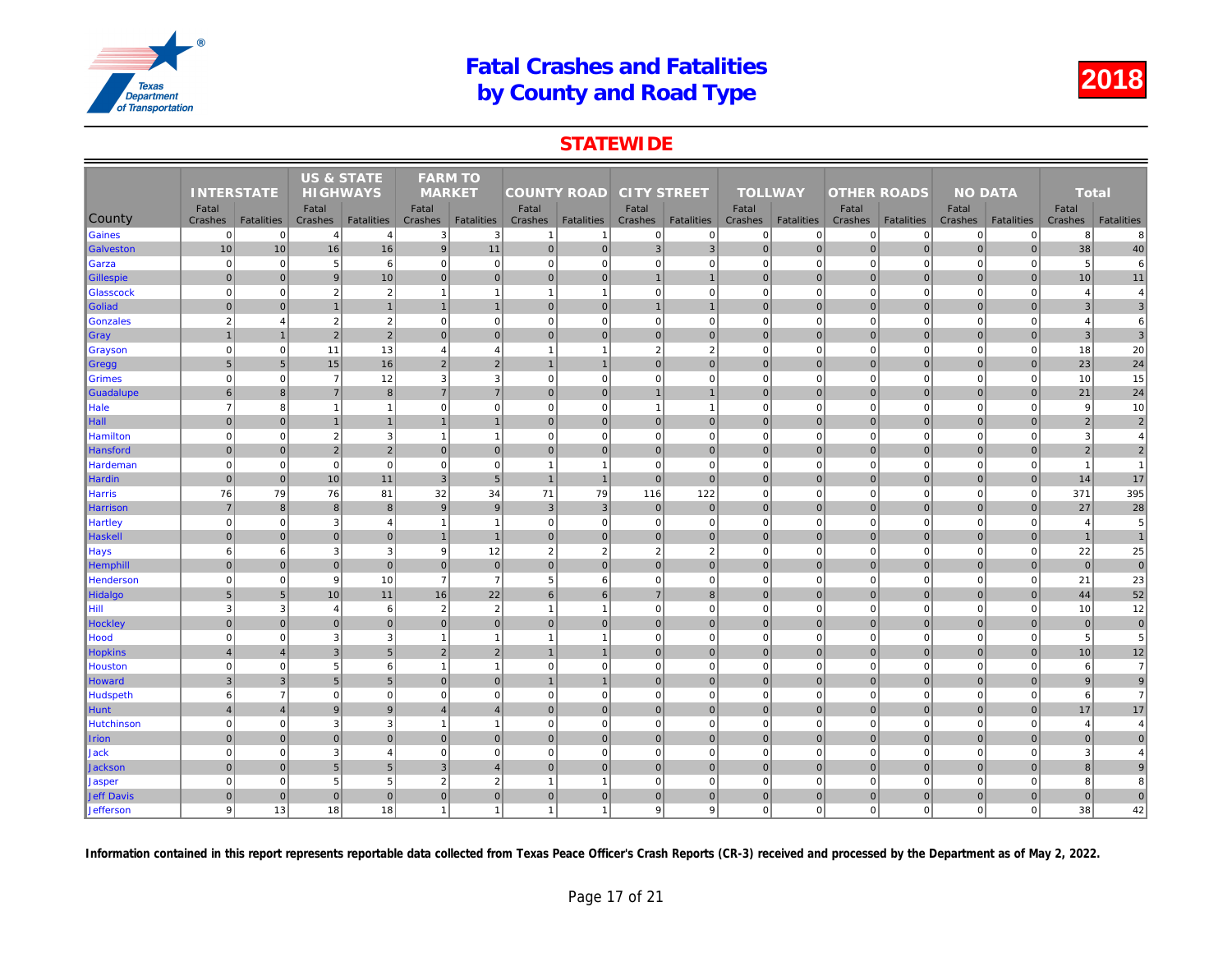### **STATEWIDE**

|                   | <b>INTERSTATE</b>       |                   |                  | <b>US &amp; STATE</b><br><b>HIGHWAYS</b> |                          | <b>FARM TO</b>    |                    |                         |                    |                   |                  |                   |                    |                   |     |
|-------------------|-------------------------|-------------------|------------------|------------------------------------------|--------------------------|-------------------|--------------------|-------------------------|--------------------|-------------------|------------------|-------------------|--------------------|-------------------|-----|
|                   |                         |                   |                  |                                          | <b>MARKET</b>            |                   | <b>COUNTY ROAD</b> |                         | <b>CITY STREET</b> |                   | <b>TOLLWAY</b>   |                   | <b>OTHER ROADS</b> |                   |     |
| County            | Fatal<br>Crashes        | <b>Fatalities</b> | Fatal<br>Crashes | <b>Fatalities</b>                        | Fatal<br>Crashes         | <b>Fatalities</b> | Fatal<br>Crashes   | <b>Fatalities</b>       | Fatal<br>Crashes   | <b>Fatalities</b> | Fatal<br>Crashes | <b>Fatalities</b> | Fatal<br>Crashes   | <b>Fatalities</b> | Cra |
| Gaines            | $\mathbf 0$             | 0                 | $\overline{4}$   | $\overline{4}$                           | 3                        | 3                 | -1                 | -1                      | $\mathbf{0}$       | 0                 | 0                | $\mathbf{0}$      | $\mathbf 0$        | 0                 |     |
| Galveston         | 10                      | 10                | 16               | 16                                       | 9                        | 11                | 0                  | $\overline{0}$          | 3 <sup>1</sup>     | 3                 | $\mathbf{0}$     | $\Omega$          | $\mathbf{0}$       | $\Omega$          |     |
| Garza             | $\mathbf 0$             | $\mathbf 0$       | 5                | 6                                        | $\mathbf 0$              | $\mathbf 0$       | $\overline{0}$     | $\overline{0}$          | $\mathbf{0}$       | $\mathbf 0$       | $\mathbf 0$      | $\Omega$          | $\mathbf 0$        | $\Omega$          |     |
| <b>Gillespie</b>  | $\mathbf 0$             | $\pmb{0}$         | 9                | 10                                       | $\mathbf{0}$             | $\overline{0}$    | 0                  | $\mathbf 0$             | $\mathbf{1}$       | $\mathbf{1}$      | $\mathbf{0}$     | $\overline{0}$    | $\mathbf 0$        | $\overline{0}$    |     |
| Glasscock         | $\mathbf 0$             | $\pmb{0}$         | $\overline{2}$   | $\sqrt{2}$                               | $\overline{1}$           | $\mathbf{1}$      | $\mathbf{1}$       | $\overline{1}$          | $\mathbf{0}$       | $\mathbf 0$       | $\mathbf 0$      | $\mathbf 0$       | $\mathbf 0$        | $\mathbf 0$       |     |
| Goliad            | $\mathbf 0$             | $\Omega$          | $\overline{1}$   | $\overline{1}$                           |                          | $\mathbf{1}$      | 0                  | $\overline{0}$          | $\overline{1}$     | $\mathbf{1}$      | $\mathbf 0$      | $\mathbf{0}$      | $\mathbf 0$        | $\mathbf{0}$      |     |
| Gonzales          | $\overline{2}$          | $\overline{4}$    | $\overline{2}$   | $\overline{2}$                           | $\mathbf 0$              | $\mathbf 0$       | $\Omega$           | $\Omega$                | $\overline{0}$     | $\Omega$          | $\mathbf 0$      | $\Omega$          | $\mathbf 0$        | $\Omega$          |     |
| ∥Gray             |                         |                   | $\overline{2}$   | $\overline{2}$                           | $\mathbf{0}$             | $\mathbf{0}$      | $\overline{0}$     | $\mathbf 0$             | $\overline{0}$     | $\overline{0}$    | $\mathbf{0}$     | $\Omega$          | $\mathbf 0$        | $\overline{0}$    |     |
| <b>Grayson</b>    | $\mathbf 0$             | $\mathbf 0$       | 11               | 13                                       | $\overline{4}$           | $\overline{4}$    | $\mathbf{1}$       | $\overline{\mathbf{1}}$ | $\overline{2}$     | $\overline{2}$    | $\mathbf 0$      | $\mathbf 0$       | $\mathbf 0$        | $\Omega$          |     |
| Gregg             | 5                       | 5                 | 15               | 16                                       | $\overline{2}$           | $\overline{2}$    | $\mathbf{1}$       | $\overline{1}$          | $\overline{0}$     | $\mathbf{0}$      | $\mathbf{0}$     | $\Omega$          | $\mathbf 0$        | $\overline{0}$    |     |
| Grimes            | $\Omega$                | $\mathbf 0$       | $\overline{7}$   | 12                                       | 3                        | 3                 | $\overline{0}$     | $\mathbf 0$             | $\mathbf{0}$       | $\mathbf{0}$      | $\mathbf 0$      | $\mathbf 0$       | $\mathbf 0$        | $\mathbf 0$       |     |
| Guadalupe         | $6\phantom{1}$          | $\mathbf{8}$      | $\overline{7}$   | 8 <sup>1</sup>                           | $\overline{7}$           | $\overline{7}$    | 0                  | $\overline{0}$          | $\overline{1}$     | $\mathbf{1}$      | $\mathbf{0}$     | $\Omega$          | $\mathbf{0}$       | $\overline{0}$    |     |
| Hale              | $\overline{7}$          | 8                 | $\overline{1}$   | $\mathbf{1}$                             | $\mathbf 0$              | $\mathbf 0$       | 0                  | $\overline{0}$          | $\overline{1}$     | $\mathbf{1}$      | $\mathbf 0$      | $\mathbf 0$       | $\mathbf 0$        | $\mathbf 0$       |     |
| $\ $ Hall         | $\mathbf{0}$            | $\Omega$          |                  | $\mathbf{1}$                             |                          | $\mathbf{1}$      | $\overline{0}$     | $\overline{0}$          | $\overline{0}$     | $\overline{0}$    | $\mathbf{0}$     | $\Omega$          | $\mathbf{0}$       | $\overline{0}$    |     |
| Hamilton          | $\mathbf 0$             | $\mathbf 0$       | $\overline{2}$   | 3                                        | $\overline{1}$           | $\overline{1}$    | 0                  | $\mathbf 0$             | $\overline{0}$     | $\overline{0}$    | $\mathbf 0$      | $\Omega$          | $\mathbf 0$        | $\mathbf 0$       |     |
| Hansford          | $\Omega$                | $\Omega$          | $\overline{2}$   | $\overline{2}$                           | $\mathbf{0}$             | $\mathbf{0}$      | $\overline{0}$     | $\overline{0}$          | $\overline{0}$     | $\overline{0}$    | $\mathbf 0$      | $\Omega$          | $\mathbf 0$        | $\Omega$          |     |
| Hardeman          | $\mathbf 0$             | $\mathbf 0$       | $\overline{0}$   | $\mathbf{0}$                             | $\mathbf 0$              | $\mathbf 0$       | $\overline{1}$     | $\overline{1}$          | $\overline{0}$     | $\mathbf 0$       | $\mathbf 0$      | $\mathbf 0$       | $\mathbf 0$        | $\Omega$          |     |
| <b>Hardin</b>     | $\mathbf{0}$            | $\mathbf{0}$      | 10               | 11                                       | $\overline{3}$           | 5                 | $\mathbf{1}$       | $\overline{1}$          | $\overline{0}$     | $\overline{0}$    | $\mathbf{0}$     | $\overline{0}$    | $\mathbf{0}$       | $\overline{0}$    |     |
| <b>Harris</b>     | 76                      | 79                | 76               | 81                                       | 32                       | 34                | 71                 | 79                      | 116                | 122               | $\mathbf 0$      | $\mathbf 0$       | $\mathbf 0$        | $\overline{0}$    |     |
| Harrison          | $\overline{7}$          | 8                 | 8                | 8 <sup>1</sup>                           | 9                        | 9                 | 3                  | $\overline{3}$          | $\overline{0}$     | $\mathbf{0}$      | $\mathbf{0}$     | $\mathbf{0}$      | $\mathbf{0}$       | $\Omega$          |     |
| <b>Hartley</b>    | $\mathbf 0$             | $\mathbf 0$       | 3                | $\overline{4}$                           | $\overline{\phantom{a}}$ | $\overline{1}$    | $\overline{0}$     | $\mathbf 0$             | $\mathbf{0}$       | $\mathbf 0$       | $\mathbf 0$      | $\mathbf 0$       | $\mathbf 0$        | $\mathbf 0$       |     |
| Haskell           | $\mathbf{0}$            | $\Omega$          | $\mathbf{0}$     | $\overline{0}$                           | -1                       | $\overline{1}$    | $\overline{0}$     | $\mathbf 0$             | $\overline{0}$     | $\overline{0}$    | $\mathbf{0}$     | $\Omega$          | $\mathbf 0$        | $\Omega$          |     |
| <b>Hays</b>       | 6                       | 6                 | 3                | 3                                        | 9                        | 12                | $\overline{2}$     | $\overline{2}$          | $\overline{2}$     | $\overline{2}$    | $\mathbf 0$      | $\mathbf 0$       | $\mathbf 0$        | $\mathbf 0$       |     |
| <b>Hemphill</b>   | $\mathbf{0}$            | $\overline{0}$    | $\pmb{0}$        | $\overline{0}$                           | $\mathbf 0$              | $\mathbf 0$       | 0                  | $\overline{0}$          | $\overline{0}$     | $\overline{0}$    | $\mathbf 0$      | $\mathbf{0}$      | $\mathbf 0$        | $\mathbf 0$       |     |
| Henderson         | $\Omega$                | $\mathbf 0$       | 9                | 10                                       | $\overline{7}$           | $\overline{7}$    | $5\overline{5}$    | 6                       | $\mathbf{0}$       | $\Omega$          | $\mathbf 0$      | $\mathbf 0$       | $\mathbf 0$        | $\mathbf 0$       |     |
| Hidalgo           | $5\phantom{1}$          | 5                 | 10               | 11                                       | 16                       | 22                | 6                  | 6                       | $\overline{7}$     | 8 <sup>1</sup>    | $\mathbf{0}$     | $\overline{0}$    | $\mathbf{0}$       | $\overline{0}$    |     |
| Hill              | 3                       | 3                 | $\overline{4}$   | $6 \overline{6}$                         | $\overline{2}$           | $\overline{2}$    | $\mathbf{1}$       | $\overline{1}$          | $\mathbf{0}$       | $\overline{0}$    | $\mathbf 0$      | $\mathbf 0$       | $\mathbf 0$        | $\mathbf 0$       |     |
| Hockley           | $\mathbf{0}$            | $\Omega$          | $\Omega$         | $\overline{0}$                           | $\mathbf{0}$             | $\mathbf{0}$      | $\overline{0}$     | $\Omega$                | $\overline{0}$     | $\overline{0}$    | $\mathbf{0}$     | $\Omega$          | $\mathbf 0$        | $\overline{0}$    |     |
| Hood              | $\mathbf 0$             | $\mathbf 0$       | 3                | 3                                        | -1                       | $\mathbf{1}$      | $\mathbf{1}$       | $\overline{1}$          | $\mathbf{0}$       | $\mathbf{0}$      | $\mathbf 0$      | $\mathbf 0$       | $\mathbf 0$        | $\overline{0}$    |     |
| <b>Hopkins</b>    | $\overline{\mathbf{A}}$ | $\overline{4}$    | 3                | $5\overline{)}$                          | $\overline{2}$           | $\overline{2}$    | $\mathbf{1}$       | $\mathbf 1$             | $\overline{0}$     | $\mathbf{0}$      | $\mathbf 0$      | $\Omega$          | $\mathbf 0$        | $\overline{0}$    |     |
| Houston           | $\overline{0}$          | $\Omega$          | 5                | 6                                        | $\overline{1}$           | $\overline{1}$    | 0                  | $\mathbf 0$             | $\overline{0}$     | $\mathbf{0}$      | $\mathbf 0$      | $\Omega$          | $\overline{0}$     | $\Omega$          |     |
| Howard            | $\mathbf{3}$            | $\mathbf{3}$      | 5 <sub>5</sub>   | $5\overline{)}$                          | $\mathbf 0$              | $\overline{0}$    | $\mathbf{1}$       | $\overline{1}$          | $\overline{0}$     | $\overline{0}$    | $\mathbf 0$      | $\overline{0}$    | $\mathbf 0$        | $\overline{0}$    |     |
| Hudspeth          | 6                       | $\overline{7}$    | $\Omega$         | $\overline{0}$                           | $\mathbf 0$              | $\mathbf 0$       | 0                  | $\Omega$                | $\mathbf{0}$       | $\mathbf 0$       | $\mathbf 0$      | $\Omega$          | $\mathbf 0$        | $\mathbf 0$       |     |
| <b>Hunt</b>       | $\overline{4}$          | $\overline{4}$    | 9                | $\overline{9}$                           | $\overline{4}$           | $\overline{4}$    | 0                  | $\overline{0}$          | $\overline{0}$     | $\overline{0}$    | $\mathbf 0$      | $\mathbf{0}$      | $\mathbf 0$        | $\overline{0}$    |     |
| Hutchinson        | $\Omega$                | $\Omega$          | 3                | $\mathbf 3$                              |                          | $\overline{1}$    | $\overline{0}$     | $\mathbf 0$             | $\mathbf{0}$       | $\mathbf{0}$      | $\mathbf 0$      | $\Omega$          | $\mathbf 0$        | $\mathbf 0$       |     |
| <b>Irion</b>      | $\mathbf{0}$            | $\Omega$          | $\mathbf{0}$     | $\overline{0}$                           | $\Omega$                 | $\mathbf{0}$      | $\overline{0}$     | $\Omega$                | $\overline{0}$     | $\overline{0}$    | $\mathbf{0}$     | $\Omega$          | $\mathbf{0}$       | $\Omega$          |     |
| <b>Jack</b>       | $\mathbf 0$             | $\mathbf 0$       | 3                | 4                                        | 0                        | $\mathbf 0$       | $\circ$            | $\mathbf 0$             | $\mathbf{0}$       | $\mathbf{0}$      | $\mathbf 0$      | $\mathbf 0$       | $\mathbf 0$        | $\mathbf 0$       |     |
| <b>Jackson</b>    | $\mathbf 0$             | $\mathbf{0}$      | 5                | $5\overline{)}$                          | 3                        | $\overline{4}$    | $\overline{0}$     | $\overline{0}$          | $\overline{0}$     | $\overline{0}$    | $\mathbf 0$      | $\mathbf{0}$      | $\mathbf 0$        | $\mathbf 0$       |     |
| <b>Jasper</b>     | $\mathbf 0$             | $\mathbf 0$       | 5                | $5\overline{5}$                          | $\overline{2}$           | $\overline{2}$    | $\mathbf{1}$       | -1                      | $\overline{0}$     | $\overline{0}$    | $\mathbf 0$      | $\mathbf 0$       | $\mathbf 0$        | $\Omega$          |     |
| <b>Jeff Davis</b> | $\overline{0}$          | $\Omega$          | $\mathbf 0$      | $\overline{0}$                           | $\mathbf{0}$             | $\mathbf{0}$      | 0                  | $\overline{0}$          | $\overline{0}$     | $\overline{0}$    | $\mathbf 0$      | 0                 | $\mathbf 0$        | $\overline{0}$    |     |
| Jefferson         | 9                       | 13                | 18               | 18                                       | $\overline{1}$           | $\overline{1}$    | $\mathbf{1}$       | $\overline{1}$          | 9                  | 9                 | $\mathbf 0$      | $\mathbf 0$       | $\mathbf 0$        | $\mathbf{0}$      |     |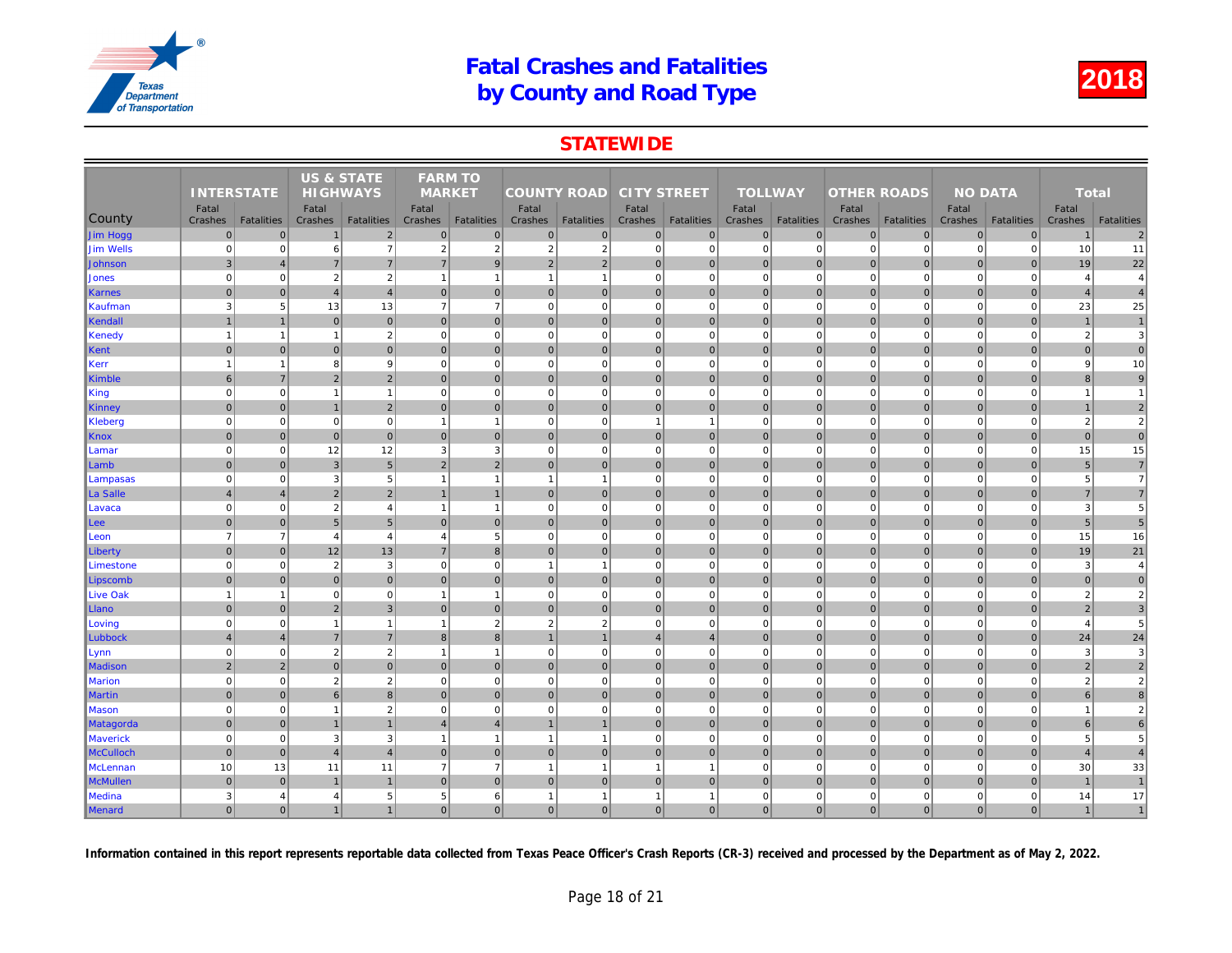### **STATEWIDE**

|                  |                   |                   | <b>US &amp; STATE</b> |                   | <b>FARM TO</b>           |                   |                    |                   |                    |                   |                |                   |                    |                   |     |
|------------------|-------------------|-------------------|-----------------------|-------------------|--------------------------|-------------------|--------------------|-------------------|--------------------|-------------------|----------------|-------------------|--------------------|-------------------|-----|
|                  | <b>INTERSTATE</b> |                   | <b>HIGHWAYS</b>       |                   | <b>MARKET</b>            |                   | <b>COUNTY ROAD</b> |                   | <b>CITY STREET</b> |                   | <b>TOLLWAY</b> |                   | <b>OTHER ROADS</b> |                   |     |
|                  | Fatal             |                   | Fatal                 |                   | Fatal                    |                   | Fatal              |                   | Fatal              |                   | Fatal          |                   | Fatal              |                   |     |
| County           | Crashes           | <b>Fatalities</b> | Crashes               | <b>Fatalities</b> | Crashes                  | <b>Fatalities</b> | Crashes            | <b>Fatalities</b> | Crashes            | <b>Fatalities</b> | Crashes        | <b>Fatalities</b> | Crashes            | <b>Fatalities</b> | Cra |
| Jim Hogg         | $\mathbf 0$       | $\Omega$          | $\overline{1}$        | $\overline{2}$    | $\mathbf{0}$             | $\mathbf 0$       | $\overline{0}$     | $\overline{0}$    | $\overline{0}$     | $\overline{0}$    | $\mathbf 0$    | $\overline{0}$    | $\mathbf 0$        | $\overline{0}$    |     |
| <b>Jim Wells</b> | $\mathbf 0$       | $\Omega$          | 6                     | $\overline{7}$    | $\overline{2}$           | $\overline{2}$    | $\overline{2}$     | $\overline{2}$    | $\mathbf{0}$       | $\overline{0}$    | $\mathbf 0$    | $\mathbf 0$       | $\mathbf 0$        | $\mathbf 0$       |     |
| <b>Johnson</b>   | $\mathbf{3}$      | $\overline{4}$    | $\overline{7}$        | $\overline{7}$    | $\overline{7}$           | 9                 | 2 <sup>1</sup>     | $\overline{2}$    | $\overline{0}$     | $\overline{0}$    | $\mathbf{0}$   | $\Omega$          | $\mathbf{0}$       | $\Omega$          |     |
| <b>Jones</b>     | $\mathbf 0$       | $\mathbf 0$       | $\overline{2}$        | $\sqrt{2}$        | $\overline{1}$           | $\mathbf{1}$      | $\mathbf{1}$       | $\overline{1}$    | $\mathbf{0}$       | $\mathbf{0}$      | $\mathbf 0$    | $\mathbf 0$       | $\mathbf 0$        | $\mathbf 0$       |     |
| Karnes           | $\Omega$          | $\overline{0}$    | $\overline{4}$        | $\overline{4}$    | $\mathbf{0}$             | $\mathbf{0}$      | 0                  | $\overline{0}$    | $\overline{0}$     | $\overline{0}$    | $\mathbf 0$    | $\mathbf{0}$      | $\mathbf 0$        | $\overline{0}$    |     |
| Kaufman          | 3                 | 5 <sup>5</sup>    | 13                    | 13                | $\overline{7}$           | $\overline{7}$    | $\overline{0}$     | $\mathbf 0$       | $\mathbf{0}$       | $\mathbf 0$       | $\mathbf 0$    | $\mathbf 0$       | $\mathbf 0$        | $\mathbf 0$       |     |
| Kendall          | $\overline{1}$    | $\mathbf{1}$      | $\overline{0}$        | $\overline{0}$    | $\mathbf{0}$             | $\overline{0}$    | 0                  | $\mathbf 0$       | 0                  | $\overline{0}$    | $\mathbf{0}$   | $\overline{0}$    | 0                  | $\overline{0}$    |     |
| Kenedy           | $\overline{1}$    | $\mathbf{1}$      | $\overline{1}$        | $\sqrt{2}$        | $\mathbf 0$              | $\mathbf 0$       | 0                  | $\mathbf 0$       | $\mathbf 0$        | $\mathbf 0$       | $\mathbf 0$    | $\mathbf 0$       | $\mathbf 0$        | $\mathbf 0$       |     |
| Kent             | $\mathbf 0$       | $\Omega$          | $\mathbf 0$           | $\overline{0}$    | $\mathbf{0}$             | $\mathbf{0}$      | 0                  | $\overline{0}$    | $\overline{0}$     | $\overline{0}$    | $\mathbf{0}$   | $\Omega$          | $\mathbf 0$        | $\overline{0}$    |     |
| Kerr             | $\mathbf{1}$      |                   | 8                     | $9\,$             | $\mathbf 0$              | $\mathbf 0$       | 0                  | $\mathbf 0$       | $\mathbf{0}$       | $\overline{0}$    | $\mathbf 0$    | $\mathbf 0$       | $\mathbf 0$        | $\mathbf 0$       |     |
| Kimble           | 6                 | $\overline{7}$    | $\overline{2}$        | $\overline{2}$    | $\mathbf{0}$             | $\mathbf{0}$      | $\overline{0}$     | $\overline{0}$    | $\overline{0}$     | $\overline{0}$    | $\mathbf{0}$   | $\Omega$          | $\mathbf{0}$       | $\Omega$          |     |
| King             | $\mathbf 0$       | $\mathbf 0$       | $\overline{1}$        | $\mathbf{1}$      | $\mathbf 0$              | $\mathbf 0$       | 0                  | $\overline{0}$    | $\overline{0}$     | $\overline{0}$    | $\mathbf 0$    | $\mathbf 0$       | $\mathbf 0$        | $\mathbf 0$       |     |
| <b>Kinney</b>    | $\mathbf 0$       | $\mathbf 0$       | $\overline{1}$        | $\overline{2}$    | $\mathbf{0}$             | $\mathbf 0$       | 0                  | $\overline{0}$    | $\overline{0}$     | $\overline{0}$    | $\mathbf 0$    | $\mathbf{0}$      | $\pmb{0}$          | $\mathbf 0$       |     |
| Kleberg          | $\mathbf 0$       | $\mathbf 0$       | $\mathbf 0$           | $\overline{0}$    | $\overline{1}$           | $\mathbf{1}$      | 0                  | $\mathbf 0$       | $\mathbf{1}$       | $\mathbf{1}$      | $\mathbf 0$    | $\mathbf 0$       | $\mathbf 0$        | $\mathbf 0$       |     |
| Knox             | $\mathbf 0$       | $\Omega$          | $\mathbf 0$           | $\overline{0}$    | $\mathbf{0}$             | $\mathbf{0}$      | 0                  | $\overline{0}$    | $\overline{0}$     | $\overline{0}$    | $\mathbf{0}$   | $\Omega$          | $\mathbf 0$        | $\overline{0}$    |     |
| Lamar            | $\mathbf 0$       | $\mathbf 0$       | 12                    | 12                | 3                        | 3                 | $\overline{0}$     | $\mathbf 0$       | $\mathbf{0}$       | $\overline{0}$    | $\mathbf 0$    | $\mathbf 0$       | $\mathbf 0$        | $\Omega$          |     |
| Lamb             | $\mathbf 0$       | $\overline{0}$    | $\mathbf{3}$          | $5\overline{)}$   | $\overline{2}$           | $\overline{2}$    | $\overline{0}$     | $\overline{0}$    | $\overline{0}$     | $\overline{0}$    | $\mathbf{0}$   | $\Omega$          | $\mathbf 0$        | $\overline{0}$    |     |
| Lampasas         | $\mathbf 0$       | $\mathbf 0$       | 3                     | $5\overline{5}$   | $\overline{1}$           | $\overline{1}$    | $\mathbf{1}$       | $\overline{1}$    | $\overline{0}$     | $\overline{0}$    | $\mathbf 0$    | $\mathbf 0$       | $\mathbf 0$        | $\overline{0}$    |     |
| ∥La Salle        | $\overline{4}$    | $\overline{4}$    | $\overline{2}$        | $\overline{2}$    |                          | $\mathbf{1}$      | $\overline{0}$     | $\overline{0}$    | $\overline{0}$     | $\overline{0}$    | $\mathbf 0$    | $\overline{0}$    | $\mathbf 0$        | $\Omega$          |     |
| Lavaca           | $\mathbf 0$       | $\Omega$          | $\overline{2}$        | $\overline{4}$    | $\overline{1}$           | $\overline{1}$    | 0                  | $\mathbf 0$       | $\overline{0}$     | $\mathbf{0}$      | $\mathbf 0$    | $\Omega$          | $\mathbf 0$        | $\Omega$          |     |
| Lee              | $\overline{0}$    | $\pmb{0}$         | $5\overline{5}$       | $5\overline{)}$   | $\mathbf 0$              | $\overline{0}$    | 0                  | $\mathbf 0$       | $\overline{0}$     | $\overline{0}$    | $\mathbf 0$    | $\overline{0}$    | $\mathbf 0$        | $\overline{0}$    |     |
| Leon             | $\overline{7}$    | $\overline{7}$    | $\overline{4}$        | $\overline{4}$    | $\overline{4}$           | 5                 | 0                  | $\Omega$          | $\overline{0}$     | $\overline{0}$    | $\mathbf 0$    | $\mathbf 0$       | $\mathbf 0$        | $\overline{0}$    |     |
| Liberty          | $\mathbf 0$       | $\overline{0}$    | 12                    | 13                | $\overline{7}$           | $\boldsymbol{8}$  | 0                  | $\overline{0}$    | $\overline{0}$     | $\overline{0}$    | $\mathbf 0$    | $\overline{0}$    | $\mathbf 0$        | $\overline{0}$    |     |
| Limestone        | $\mathbf 0$       | $\Omega$          | $\overline{2}$        | $\mathbf{3}$      | $\mathbf 0$              | $\mathbf 0$       | $\mathbf{1}$       |                   | $\mathbf{0}$       | $\overline{0}$    | $\mathbf 0$    | $\Omega$          | $\mathbf 0$        | $\mathbf 0$       |     |
| Lipscomb         | $\mathbf 0$       | $\overline{0}$    | $\mathbf{0}$          | $\overline{0}$    | $\mathbf 0$              | $\mathbf 0$       | 0                  | $\mathbf 0$       | $\overline{0}$     | $\overline{0}$    | $\mathbf 0$    | $\mathbf{0}$      | $\mathbf 0$        | $\overline{0}$    |     |
| <b>Live Oak</b>  | $\overline{1}$    | $\mathbf{1}$      | $\mathbf 0$           | $\overline{0}$    | $\overline{1}$           | $\mathbf{1}$      | 0                  | $\mathbf 0$       | $\overline{0}$     | $\mathbf{0}$      | $\mathbf 0$    | $\Omega$          | $\mathbf 0$        | $\mathbf 0$       |     |
| Llano            | $\mathbf{0}$      | $\overline{0}$    | $\overline{2}$        | $\mathbf{3}$      | $\pmb{0}$                | $\mathbf 0$       | 0                  | $\mathbf 0$       | $\overline{0}$     | $\overline{0}$    | $\mathbf 0$    | $\mathbf 0$       | $\mathbf 0$        | $\mathbf 0$       |     |
| Loving           | $\mathbf 0$       | $\Omega$          | $\overline{1}$        | $\mathbf{1}$      | $\overline{\phantom{a}}$ | $\overline{2}$    | $\overline{2}$     | $\overline{2}$    | $\mathbf{0}$       | $\mathbf{0}$      | $\mathbf 0$    | $\Omega$          | $\mathbf 0$        | $\mathbf 0$       |     |
| Lubbock          | $\overline{4}$    | $\overline{4}$    | $\overline{7}$        | $\overline{7}$    | 8                        | $\boldsymbol{8}$  | $\mathbf{1}$       | $\overline{1}$    | $\overline{4}$     | $\overline{4}$    | $\mathbf 0$    | $\overline{0}$    | 0                  | $\overline{0}$    |     |
| Lynn             | $\mathbf 0$       | $\mathbf 0$       | $\overline{2}$        | $\sqrt{2}$        | $\overline{1}$           | $\overline{1}$    | 0                  | $\mathbf 0$       | $\mathbf{0}$       | $\mathbf 0$       | $\mathbf 0$    | $\mathbf 0$       | $\mathbf 0$        | $\mathbf 0$       |     |
| Madison          | $\overline{2}$    | $\overline{2}$    | $\mathbf{0}$          | $\overline{0}$    | $\mathbf{0}$             | $\mathbf{0}$      | $\overline{0}$     | $\overline{0}$    | $\overline{0}$     | $\overline{0}$    | $\mathbf{0}$   | $\mathbf{0}$      | $\mathbf{0}$       | $\overline{0}$    |     |
| <b>Marion</b>    | $\mathbf 0$       | $\mathbf 0$       | $\overline{2}$        | $\sqrt{2}$        | $\mathbf 0$              | $\mathbf 0$       | $\overline{0}$     | $\mathbf 0$       | $\mathbf{0}$       | $\mathbf{0}$      | $\mathbf 0$    | $\mathbf 0$       | $\mathbf 0$        | $\mathbf 0$       |     |
| <b>Martin</b>    | $\mathbf{0}$      | $\Omega$          | 6                     | 8 <sup>1</sup>    | $\Omega$                 | $\Omega$          | $\Omega$           | $\overline{0}$    | $\overline{0}$     | $\overline{0}$    | $\mathbf{0}$   | $\Omega$          | $\mathbf{0}$       | $\Omega$          |     |
| <b>Mason</b>     | $\mathbf 0$       | $\mathbf 0$       | $\overline{1}$        | $\overline{2}$    | $\mathbf 0$              | $\mathbf 0$       | 0                  | $\mathbf 0$       | $\overline{0}$     | $\overline{0}$    | $\mathbf 0$    | $\mathbf 0$       | $\mathbf 0$        | $\mathbf 0$       |     |
| <b>Matagorda</b> | $\mathbf 0$       | $\pmb{0}$         | $\overline{1}$        | $\mathbf{1}$      | $\overline{4}$           | $\overline{4}$    | $\mathbf{1}$       | $\overline{1}$    | $\overline{0}$     | $\overline{0}$    | $\mathbf{0}$   | $\mathbf{0}$      | $\mathbf 0$        | $\mathbf 0$       |     |
| <b>Maverick</b>  | $\mathbf 0$       | $\mathbf 0$       | 3                     | 3                 | -1                       | $\mathbf{1}$      | $\mathbf{1}$       | -1                | $\mathbf{0}$       | $\mathbf{0}$      | $\mathbf 0$    | $\mathbf 0$       | $\mathbf 0$        | $\mathbf{0}$      |     |
| <b>McCulloch</b> | $\mathbf{0}$      | $\mathbf{0}$      | $\overline{4}$        | $\overline{4}$    | $\Omega$                 | $\Omega$          | $\vert$ 0          | $\overline{0}$    | $\overline{0}$     | $\overline{0}$    | $\mathbf{0}$   | $\Omega$          | $\mathbf{0}$       | $\overline{0}$    |     |
| McLennan         | 10                | 13                | 11                    | 11                | $\overline{7}$           | $\overline{7}$    | $\mathbf{1}$       | $\overline{1}$    | $\mathbf{1}$       | $\mathbf{1}$      | $\mathbf 0$    | $\mathbf 0$       | $\mathbf 0$        | $\mathbf 0$       |     |
| <b>McMullen</b>  | $\mathbf 0$       | $\overline{0}$    | $\overline{1}$        | $\mathbf{1}$      | $\mathbf 0$              | $\mathbf{0}$      | $\overline{0}$     | $\overline{0}$    | $\overline{0}$     | $\overline{0}$    | $\mathbf 0$    | $\overline{0}$    | $\mathbf 0$        | $\overline{0}$    |     |
| Medina           | 3                 | $\overline{4}$    | $\overline{4}$        | 5                 | 5                        | 6                 | $\mathbf{1}$       | -1                | $\mathbf{1}$       | $\mathbf{1}$      | $\mathbf 0$    | $\mathbf 0$       | $\mathbf 0$        | $\mathbf 0$       |     |
| Menard           | $\overline{0}$    | $\Omega$          | $\overline{1}$        | $\mathbf{1}$      | $\mathbf{0}$             | $\mathbf{0}$      | $\overline{0}$     | $\overline{0}$    | 0                  | $\overline{0}$    | $\mathbf{0}$   | $\overline{0}$    | $\mathbf{0}$       | $\mathbf{0}$      |     |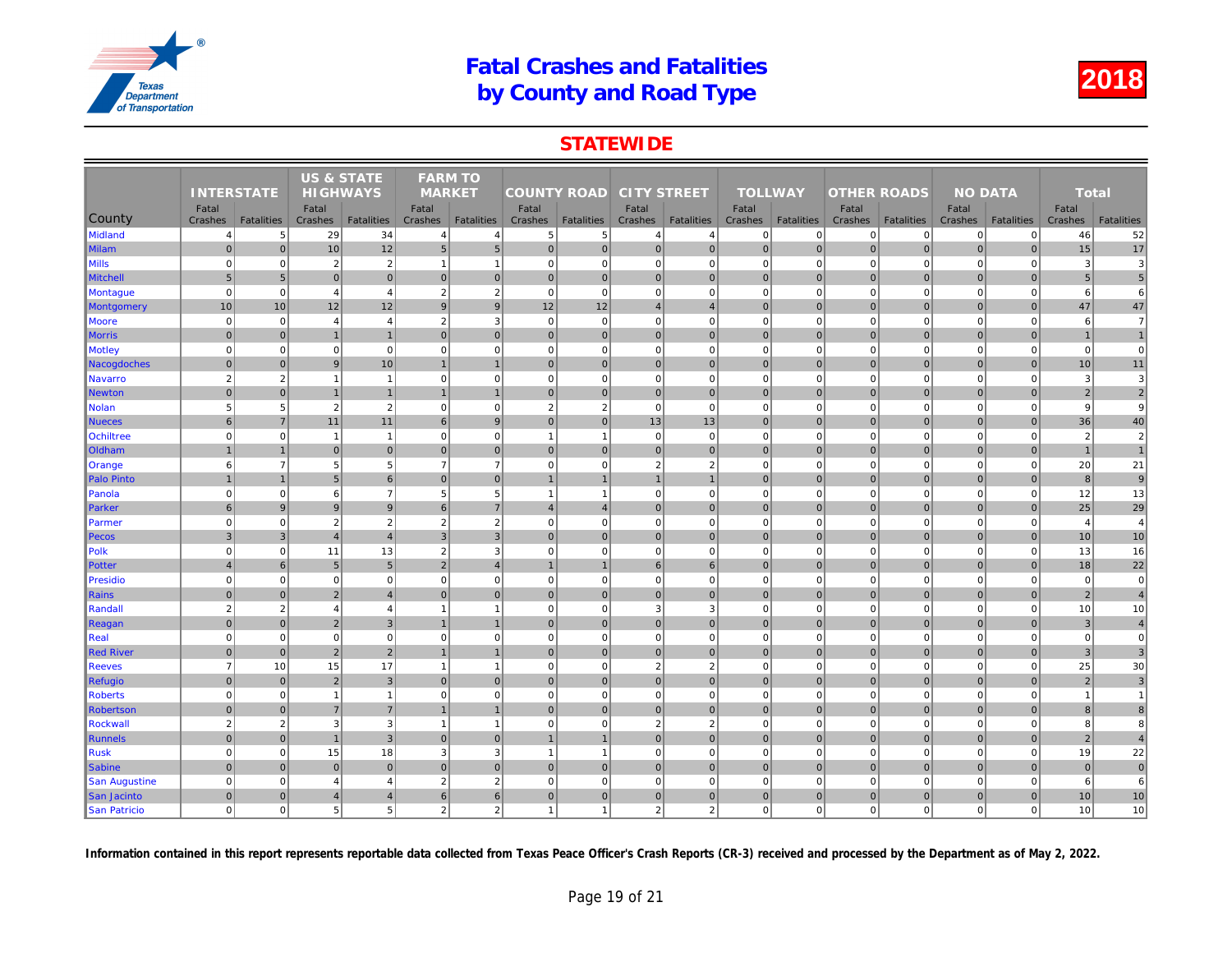### **STATEWIDE**

|                      |                           |                                      | <b>US &amp; STATE</b> |                                  | <b>FARM TO</b>                 |                                     |                           |                        |                           |                                  |                             |                               |                             |                                  |     |
|----------------------|---------------------------|--------------------------------------|-----------------------|----------------------------------|--------------------------------|-------------------------------------|---------------------------|------------------------|---------------------------|----------------------------------|-----------------------------|-------------------------------|-----------------------------|----------------------------------|-----|
|                      | <b>INTERSTATE</b>         |                                      | <b>HIGHWAYS</b>       |                                  | <b>MARKET</b>                  |                                     | <b>COUNTY ROAD</b>        |                        | <b>CITY STREET</b>        |                                  | <b>TOLLWAY</b>              |                               | <b>OTHER ROADS</b>          |                                  |     |
| County               | Fatal                     |                                      | Fatal                 |                                  | Fatal                          |                                     | Fatal                     |                        | Fatal                     |                                  | Fatal                       |                               | Fatal                       |                                  |     |
| <b>Midland</b>       | Crashes<br>$\overline{4}$ | <b>Fatalities</b><br>$5\overline{5}$ | Crashes<br>29         | <b>Fatalities</b><br>34          | Crashes<br>$\overline{4}$      | <b>Fatalities</b><br>$\overline{4}$ | Crashes<br>5 <sup>2</sup> | <b>Fatalities</b><br>5 | Crashes<br>$\overline{4}$ | <b>Fatalities</b>                | Crashes<br>$\mathbf 0$      | <b>Fatalities</b><br>$\Omega$ | Crashes<br>$\overline{0}$   | <b>Fatalities</b><br>$\mathbf 0$ | Cra |
|                      | $\overline{0}$            | $\overline{0}$                       |                       |                                  | 5 <sub>5</sub>                 | $5\phantom{1}$                      | 0                         |                        |                           | $\overline{4}$<br>$\overline{0}$ | $\mathbf 0$                 | $\overline{0}$                |                             | $\mathbf 0$                      |     |
| <b>Milam</b>         |                           |                                      | 10                    | 12                               |                                |                                     |                           | $\mathbf 0$            | 0                         |                                  |                             |                               | $\pmb{0}$                   |                                  |     |
| <b>Mills</b>         | $\Omega$<br>5             | $\overline{0}$                       | $\overline{2}$        | $\overline{2}$<br>$\overline{0}$ | $\mathbf{1}$<br>$\overline{0}$ | $\overline{1}$                      | $\mathbf{0}$              | $\Omega$               | $\mathbf 0$               | $\mathbf{0}$                     | $\mathbf 0$<br>$\mathbf{0}$ | $\mathbf 0$                   | $\mathbf 0$                 | $\mathbf 0$<br>$\mathbf{0}$      |     |
| <b>Mitchell</b>      |                           | 5 <sub>5</sub>                       | 0                     |                                  |                                | $\mathbf 0$                         | 0                         | $\mathbf 0$            | 0                         | 0                                |                             | $\overline{0}$                | $\mathbf 0$<br>$\Omega$     |                                  |     |
| <b>Montague</b>      | $\overline{0}$            | $\mathbf{0}$                         | $\overline{4}$        | $\overline{4}$                   | $\overline{2}$                 | $\overline{2}$                      | $\mathbf{0}$              | $\Omega$               | $\mathbf 0$               | $\overline{0}$                   | $\mathbf 0$                 | $\mathbf 0$                   |                             | $\mathbf 0$                      |     |
| <b>Montgomery</b>    | 10                        | 10                                   | 12                    | 12                               | 9                              | $\overline{9}$                      | 12                        | 12                     | $\overline{4}$            | $\overline{4}$                   | $\mathbf{0}$                | $\overline{0}$                | $\mathbf 0$                 | $\overline{0}$                   |     |
| Moore                | $\mathbf 0$<br>$\Omega$   | $\mathbf{0}$<br>$\overline{0}$       | $\overline{4}$        | $\overline{4}$                   | $\overline{2}$                 | 3<br>$\Omega$                       | $\overline{0}$            | $\mathbf 0$            | $\mathbf 0$               | $\mathbf{0}$                     | $\mathbf 0$<br>$\Omega$     | $\mathbf 0$                   | $\mathbf 0$<br>$\mathbf{0}$ | $\mathbf 0$<br>$\Omega$          |     |
| <b>Morris</b>        |                           |                                      | $\overline{1}$        | $\overline{1}$                   | $\Omega$                       |                                     | $\overline{0}$            | $\mathbf{0}$           | 0                         | $\overline{0}$                   |                             | $\Omega$                      |                             |                                  |     |
| <b>Motley</b>        | $\Omega$                  | $\mathbf{0}$                         | $\mathbf 0$           | $\mathbf 0$                      | $\mathbf 0$                    | $\mathbf 0$                         | $\overline{0}$            | $\Omega$               | $\pmb{0}$                 | $\overline{0}$                   | $\mathbf 0$                 | $\mathbf 0$                   | $\mathbf 0$                 | $\mathbf 0$                      |     |
| Nacogdoches          | $\overline{0}$            | $\overline{0}$                       | 9                     | 10                               | $\mathbf{1}$                   | $\overline{1}$                      | $\overline{0}$            | $\mathbf 0$            | 0                         | $\overline{0}$                   | $\mathbf{0}$                | $\overline{0}$                | $\mathbf 0$                 | $\mathbf 0$                      |     |
| <b>Navarro</b>       | $\overline{2}$            | $\overline{2}$                       | $\overline{1}$        | $\overline{1}$                   | $\overline{0}$                 | $\mathbf 0$<br>$\overline{1}$       | 0                         | $\Omega$               | $\pmb{0}$                 | $\mathbf{0}$                     | $\mathbf 0$                 | $\mathbf 0$                   | $\mathbf 0$                 | $\mathbf 0$                      |     |
| <b>Newton</b>        | $\Omega$                  | $\overline{0}$                       | $\overline{1}$        | $\overline{1}$                   |                                |                                     | 0                         | $\mathbf{0}$           | 0                         | $\overline{0}$                   | $\mathbf{0}$                | $\overline{0}$                | $\mathbf{0}$                | $\Omega$                         |     |
| <b>Nolan</b>         | 5                         | $5\overline{)}$                      | $\overline{2}$        | $\overline{2}$                   | $\mathbf 0$                    | $\mathbf 0$                         | $\overline{2}$            | $\overline{2}$         | $\pmb{0}$                 | $\mathbf{0}$                     | $\mathbf 0$                 | $\mathbf 0$                   | $\mathbf 0$                 | $\mathbf 0$                      |     |
| <b>Nueces</b>        | 6                         | $\overline{7}$                       | 11                    | 11                               | 6                              | 9                                   | $\Omega$                  | $\Omega$               | 13                        | 13                               | $\mathbf{0}$                | $\overline{0}$                | $\mathbf{0}$                | $\overline{0}$                   |     |
| Ochiltree            | $\mathbf 0$               | $\mathbf{0}$                         | $\overline{1}$        | $\overline{1}$                   | $\mathbf 0$                    | $\mathbf 0$                         | $\overline{1}$            | $\overline{1}$         | $\pmb{0}$                 | $\mathbf{0}$                     | $\mathbf 0$                 | $\mathbf 0$                   | $\overline{0}$              | $\mathbf 0$                      |     |
| Oldham               |                           | $\overline{1}$                       | $\mathbf 0$           | $\overline{0}$                   | $\Omega$                       | $\mathbf 0$                         | $\overline{0}$            | $\mathbf 0$            | $\pmb{0}$                 | $\overline{0}$                   | $\mathbf{0}$                | $\overline{0}$                | $\mathbf 0$                 | $\overline{0}$                   |     |
| Orange               | 6                         | $\overline{7}$                       | 5                     | $5\overline{)}$                  | $\overline{7}$                 | $\overline{7}$                      | $\Omega$                  | $\Omega$               | $\overline{2}$            | 2                                | $\Omega$                    | $\Omega$                      | $\Omega$                    | $\Omega$                         |     |
| <b>Palo Pinto</b>    | $\overline{1}$            | $\mathbf{1}$                         | 5 <sup>5</sup>        | 6                                | $\overline{0}$                 | $\mathbf 0$                         | $\mathbf{1}$              | $\overline{1}$         | $\mathbf{1}$              | $\mathbf{1}$                     | $\mathbf{0}$                | 0                             | $\mathbf 0$                 | $\pmb{0}$                        |     |
| Panola               | $\mathbf 0$               | $\overline{0}$                       | 6                     | $\overline{7}$                   | 5                              | 5                                   | $\overline{1}$            | $\overline{1}$         | $\pmb{0}$                 | $\overline{0}$                   | $\mathbf 0$                 | $\Omega$                      | $\mathbf 0$                 | $\mathbf 0$                      |     |
| Parker               | 6                         | 9                                    | $\boldsymbol{9}$      | 9                                | 6                              | $\overline{7}$                      | $\overline{\mathbf{4}}$   | $\overline{4}$         | 0                         | $\overline{0}$                   | $\mathbf{0}$                | $\overline{0}$                | $\mathbf 0$                 | $\mathbf{0}$                     |     |
| Parmer               | $\Omega$                  | $\overline{0}$                       | $\overline{2}$        | $\overline{2}$                   | $\overline{2}$                 | $\overline{2}$                      | $\mathbf{0}$              | $\Omega$               | $\pmb{0}$                 | $\overline{0}$                   | $\mathbf 0$                 | $\mathbf 0$                   | $\mathbf 0$                 | $\mathbf 0$                      |     |
| Pecos                | 3                         | 3                                    | $\overline{4}$        | $\overline{4}$                   | 3                              | $\mathbf{3}$                        | $\overline{0}$            | $\mathbf{0}$           | 0                         | $\overline{0}$                   | $\mathbf{0}$                | $\overline{0}$                | $\mathbf 0$                 | $\overline{0}$                   |     |
| Polk                 | $\overline{0}$            | $\mathbf{0}$                         | 11                    | 13                               | $\overline{2}$                 | 3                                   | $\mathbf{0}$              | $\Omega$               | $\mathbf 0$               | $\overline{0}$                   | $\mathbf 0$                 | $\mathbf 0$                   | $\mathbf 0$                 | $\mathbf 0$                      |     |
| <b>Potter</b>        | $\overline{4}$            | $6 \overline{6}$                     | $5\phantom{.0}$       | $5\overline{)}$                  | $\overline{2}$                 | $\overline{4}$                      | $\mathbf{1}$              | $\overline{1}$         | 6 <sup>1</sup>            | $6 \overline{6}$                 | $\mathbf 0$                 | $\overline{0}$                | $\mathbf 0$                 | $\mathbf 0$                      |     |
| <b>Presidio</b>      | $\Omega$                  | $\overline{0}$                       | $\mathbf 0$           | $\mathbf 0$                      | $\Omega$                       | $\mathbf 0$                         | $\overline{0}$            | $\Omega$               | $\mathbf 0$               | $\mathbf{0}$                     | $\mathbf 0$                 | $\mathbf 0$                   | $\mathbf 0$                 | $\mathbf 0$                      |     |
| <b>Rains</b>         | $\overline{0}$            | $\overline{0}$                       | $\overline{2}$        | $\overline{4}$                   | $\overline{0}$                 | $\mathbf{0}$                        | $\overline{0}$            | $\mathbf{0}$           | 0                         | $\overline{0}$                   | $\mathbf{0}$                | 0                             | $\mathbf{0}$                | $\mathbf{0}$                     |     |
| Randall              | $\overline{2}$            | $\overline{2}$                       | $\overline{4}$        | $\overline{4}$                   | $\mathbf{1}$                   | $\overline{1}$                      | $\mathbf{0}$              | $\mathbf 0$            | 3                         | 3                                | $\mathbf 0$                 | $\mathbf 0$                   | $\mathbf 0$                 | $\mathbf 0$                      |     |
| Reagan               | $\overline{0}$            | $\Omega$                             | $\overline{2}$        | $\overline{3}$                   |                                | $\mathbf{1}$                        | $\Omega$                  | $\Omega$               | $\pmb{0}$                 | $\overline{0}$                   | $\mathbf{0}$                | $\overline{0}$                | $\mathbf 0$                 | $\overline{0}$                   |     |
| Real                 | $\mathbf 0$               | $\mathbf{0}$                         | 0                     | $\mathbf 0$                      | $\mathbf 0$                    | $\mathbf 0$                         | 0                         | $\mathbf 0$            | 0                         | $\mathbf{0}$                     | $\mathbf 0$                 | $\mathbf 0$                   | $\mathbf 0$                 | $\mathbf 0$                      |     |
| <b>Red River</b>     | $\Omega$                  | $\overline{0}$                       | $\overline{2}$        | $\overline{2}$                   |                                | $\overline{1}$                      | $\overline{0}$            | $\mathbf 0$            | 0                         | $\overline{0}$                   | $\mathbf{0}$                | $\overline{0}$                | $\mathbf 0$                 | $\overline{0}$                   |     |
| <b>Reeves</b>        | $\overline{7}$            | 10                                   | 15                    | 17                               | $\mathbf{1}$                   | $\mathbf{1}$                        | $\overline{0}$            | $\Omega$               | $\sqrt{2}$                | $\overline{2}$                   | $\mathbf 0$                 | $\mathbf 0$                   | $\mathbf 0$                 | $\mathbf 0$                      |     |
| <b>Refugio</b>       | $\mathbf 0$               | $\overline{0}$                       | $\overline{2}$        | $\overline{3}$                   | $\overline{0}$                 | $\mathbf{0}$                        | 0                         | $\mathbf 0$            | 0                         | $\overline{0}$                   | $\mathbf{0}$                | $\overline{0}$                | $\mathbf 0$                 | $\pmb{0}$                        |     |
| <b>Roberts</b>       | $\overline{0}$            | $\mathbf{0}$                         | $\overline{1}$        | $\overline{1}$                   | $\mathbf 0$                    | $\mathbf 0$                         | 0                         | $\Omega$               | $\pmb{0}$                 | $\overline{0}$                   | $\mathbf 0$                 | $\mathbf 0$                   | $\mathbf 0$                 | $\pmb{0}$                        |     |
| <b>Robertson</b>     | $\Omega$                  | $\overline{0}$                       | $\overline{7}$        | $\overline{7}$                   |                                | $\overline{1}$                      | $\Omega$                  | $\mathbf{0}$           | 0                         | $\overline{0}$                   | $\mathbf{0}$                | $\Omega$                      | $\mathbf{0}$                | $\Omega$                         |     |
| <b>Rockwall</b>      | $\overline{2}$            | $\overline{2}$                       | 3                     | $\mathbf{3}$                     | $\mathbf{1}$                   | $\overline{1}$                      | $\mathbf 0$               | $\mathbf 0$            | $\sqrt{2}$                | $\overline{2}$                   | $\mathbf 0$                 | $\mathbf 0$                   | $\overline{0}$              | $\mathbf 0$                      |     |
| <b>Runnels</b>       | $\Omega$                  | $\overline{0}$                       | $\overline{1}$        | $\overline{3}$                   | $\overline{0}$                 | $\mathbf{0}$                        | $\overline{1}$            | $\overline{1}$         | 0                         | $\overline{0}$                   | $\mathbf{0}$                | $\overline{0}$                | $\mathbf 0$                 | $\overline{0}$                   |     |
| <b>Rusk</b>          | $\overline{0}$            | $\overline{0}$                       | 15                    | 18                               | 3                              | 3                                   | $\overline{1}$            | $\overline{1}$         | $\mathbf 0$               | $\overline{0}$                   | $\mathbf 0$                 | $\Omega$                      | $\Omega$                    | $\Omega$                         |     |
| Sabine               | $\overline{0}$            | $\overline{0}$                       | $\mathbf 0$           | $\overline{0}$                   | $\mathbf{0}$                   | $\mathbf 0$                         | $\overline{0}$            | $\mathbf 0$            | 0                         | $\overline{0}$                   | $\mathbf 0$                 | $\overline{0}$                | $\mathbf 0$                 | $\mathbf 0$                      |     |
| <b>San Augustine</b> | $\Omega$                  | $\overline{0}$                       | $\overline{4}$        | $\overline{4}$                   | $\overline{2}$                 | $\overline{2}$                      | $\Omega$                  | $\Omega$               | $\mathbf 0$               | $\mathbf{0}$                     | $\mathbf 0$                 | $\mathbf 0$                   | $\mathbf 0$                 | $\Omega$                         |     |
| San Jacinto          | $\mathbf 0$               | 0                                    | $\overline{4}$        | $\overline{4}$                   | 6                              | 6                                   | 0                         | $\mathbf 0$            | 0                         | 0                                | $\mathbf 0$                 | 0                             | $\mathbf 0$                 | $\mathbf{0}$                     |     |
| <b>San Patricio</b>  | $\mathbf 0$               | $\overline{0}$                       | 5                     | 5                                | $\overline{2}$                 | $\overline{2}$                      | $\mathbf{1}$              | $\overline{1}$         | $\overline{2}$            | $\overline{2}$                   | $\mathbf 0$                 | $\mathbf 0$                   | $\Omega$                    | $\mathbf 0$                      |     |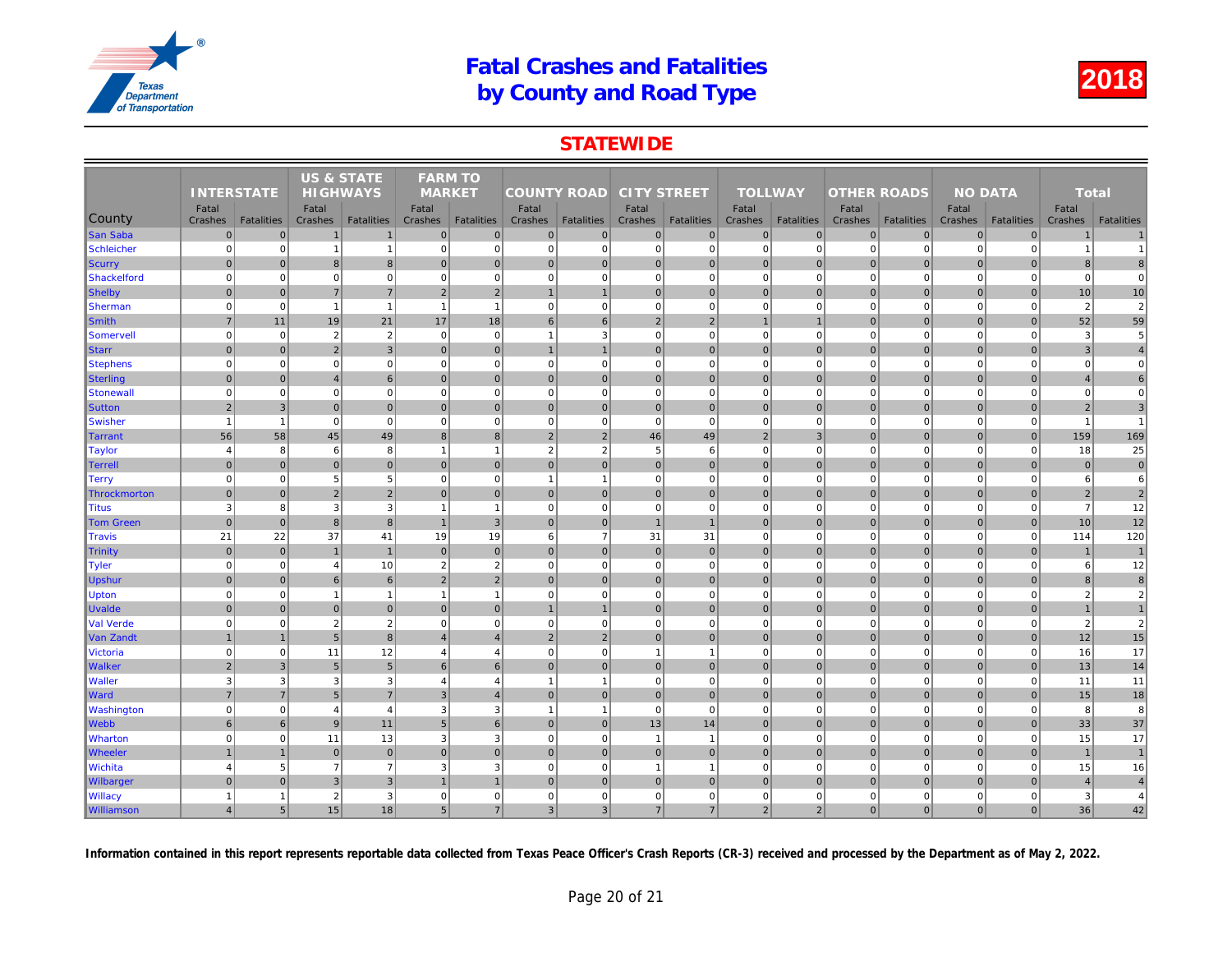### **STATEWIDE**

|                  |                   |                   | <b>US &amp; STATE</b> |                   | <b>FARM TO</b> |                   |                    |                   |                    |                   |                |                   |                    |                   |     |
|------------------|-------------------|-------------------|-----------------------|-------------------|----------------|-------------------|--------------------|-------------------|--------------------|-------------------|----------------|-------------------|--------------------|-------------------|-----|
|                  | <b>INTERSTATE</b> |                   | <b>HIGHWAYS</b>       |                   | <b>MARKET</b>  |                   | <b>COUNTY ROAD</b> |                   | <b>CITY STREET</b> |                   | <b>TOLLWAY</b> |                   | <b>OTHER ROADS</b> |                   |     |
|                  | Fatal             |                   | Fatal                 |                   | Fatal          |                   | Fatal              |                   | Fatal              |                   | Fatal          |                   | Fatal              |                   |     |
| County           | Crashes           | <b>Fatalities</b> | Crashes               | <b>Fatalities</b> | Crashes        | <b>Fatalities</b> | Crashes            | <b>Fatalities</b> | Crashes            | <b>Fatalities</b> | Crashes        | <b>Fatalities</b> | Crashes            | <b>Fatalities</b> | Cra |
| San Saba         | $\mathbf 0$       | $\overline{0}$    | $\mathbf 1$           | $\mathbf{1}$      | $\overline{0}$ | $\mathbf 0$       | 0                  | $\mathbf 0$       | $\overline{0}$     | 0                 | $\overline{0}$ | $\mathbf{0}$      | $\mathbf 0$        | $\overline{0}$    |     |
| Schleicher       | $\mathbf 0$       | $\overline{0}$    | $\overline{1}$        | $\overline{1}$    | $\overline{0}$ | $\mathbf 0$       | $\mathbf 0$        | $\mathbf 0$       | $\Omega$           | $\mathbf 0$       | $\overline{0}$ | $\Omega$          | $\mathbf 0$        | $\mathbf 0$       |     |
| Scurry           | $\mathbf 0$       | $\Omega$          | 8                     | 8 <sup>1</sup>    | $\overline{0}$ | $\mathbf{0}$      | $\mathbf{0}$       | $\mathbf 0$       | $\mathbf 0$        | $\mathbf 0$       | $\overline{0}$ | $\mathbf{0}$      | $\mathbf 0$        | $\overline{0}$    |     |
| Shackelford      | $\mathbf 0$       | 0                 | $\Omega$              | $\overline{0}$    | $\overline{0}$ | $\mathbf 0$       | $\mathbf 0$        | $\mathbf 0$       | $\overline{0}$     | $\mathbf 0$       | $\mathbf{0}$   | $\Omega$          | $\mathbf 0$        | $\overline{0}$    |     |
| Shelby           | $\mathbf 0$       | $\overline{0}$    | $\overline{7}$        | $\overline{7}$    | $\overline{2}$ | $\sqrt{2}$        | $\mathbf{1}$       | $\overline{1}$    | $\mathbf 0$        | $\mathbf 0$       | $\overline{0}$ | $\mathbf{0}$      | $\mathbf 0$        | $\overline{0}$    |     |
| Sherman          | $\mathbf 0$       | $\overline{0}$    | $\overline{1}$        | $\overline{1}$    | $\overline{1}$ | $\mathbf{1}$      | $\Omega$           | $\mathbf 0$       | $\Omega$           | $\Omega$          | $\overline{0}$ | $\Omega$          | $\mathbf 0$        | $\mathbf 0$       |     |
| Smith            | $\overline{7}$    | 11                | 19                    | 21                | 17             | 18                | 6                  | 6                 | $2 \vert$          | 2                 | $\mathbf{1}$   | $\mathbf{1}$      | $\mathbf 0$        | $\overline{0}$    |     |
| Somervell        | $\mathbf 0$       | $\overline{0}$    | $\overline{2}$        | $\overline{2}$    | $\overline{0}$ | $\mathbf 0$       | $\overline{1}$     | 3                 | $\Omega$           | $\Omega$          | $\overline{0}$ | $\mathbf 0$       | $\mathbf 0$        | $\mathbf 0$       |     |
| Starr            | $\mathbf{0}$      | $\overline{0}$    | $\overline{2}$        | $\overline{3}$    | $\overline{0}$ | $\mathbf{0}$      | $\mathbf{1}$       |                   | $\overline{0}$     | $\pmb{0}$         | $\overline{0}$ | $\mathbf{0}$      | $\mathbf 0$        | $\overline{0}$    |     |
| <b>Stephens</b>  | $\mathbf 0$       | $\mathbf{0}$      | $\mathbf 0$           | $\mathbf 0$       | $\overline{0}$ | $\mathbf 0$       | $\mathbf 0$        | $\mathbf 0$       | 0                  | $\mathbf 0$       | $\mathbf{0}$   | $\mathbf 0$       | $\mathbf 0$        | $\mathbf 0$       |     |
| <b>Sterling</b>  | $\mathbf{0}$      | $\overline{0}$    | $\overline{4}$        | $6 \overline{6}$  | $\overline{0}$ | $\mathbf{0}$      | $\mathbf{0}$       | $\mathbf 0$       | $\overline{0}$     | $\pmb{0}$         | $\overline{0}$ | $\Omega$          | $\mathbf 0$        | $\Omega$          |     |
| Stonewal         | $\mathbf 0$       | 0                 | $\overline{0}$        | $\mathbf{0}$      | $\overline{0}$ | $\mathbf 0$       | $\mathbf 0$        | $\overline{0}$    | $\overline{0}$     | $\mathbf 0$       | $\mathbf 0$    | $\Omega$          | $\mathbf 0$        | $\mathbf 0$       |     |
| <b>Sutton</b>    | $\overline{2}$    | $\mathbf{3}$      | $\overline{0}$        | $\overline{0}$    | $\overline{0}$ | $\mathbf{0}$      | 0                  | $\mathbf 0$       | $\mathbf 0$        | $\mathbf 0$       | $\overline{0}$ | $\mathbf{0}$      | $\mathbf 0$        | $\mathbf{0}$      |     |
| Swisher          | $\overline{1}$    | $\overline{1}$    | $\overline{0}$        | $\overline{0}$    | $\Omega$       | $\mathbf 0$       | $\mathbf 0$        | $\overline{0}$    | $\mathbf 0$        | $\mathbf 0$       | $\overline{0}$ | $\Omega$          | $\mathbf 0$        | $\mathbf{0}$      |     |
| Tarrant          | 56                | 58                | 45                    | 49                | 8              | 8                 | 2                  | $\overline{2}$    | 46                 | 49                | $\overline{2}$ | 3                 | $\mathbf 0$        | $\overline{0}$    |     |
| Taylor           | $\overline{4}$    | 8                 | 6                     | 8                 | $\overline{1}$ | $\mathbf{1}$      | $\overline{2}$     | $\overline{2}$    | 5                  | 6                 | $\mathbf{0}$   | $\Omega$          | $\mathbf 0$        | $\Omega$          |     |
| Terrell          | $\mathbf{0}$      | $\overline{0}$    | $\mathbf 0$           | $\overline{0}$    | $\overline{0}$ | $\Omega$          | $\Omega$           | $\overline{0}$    | $\Omega$           | $\mathbf 0$       | $\overline{0}$ | $\Omega$          | $\mathbf{0}$       | $\Omega$          |     |
| Terry            | $\mathbf 0$       | 0                 | 5                     | $5\overline{)}$   | $\overline{0}$ | $\mathbf 0$       | $\mathbf{1}$       | $\overline{1}$    | $\mathbf{0}$       | $\mathbf 0$       | $\mathbf{0}$   | $\mathbf 0$       | $\mathbf 0$        | $\mathbf{0}$      |     |
| Throckmorton     | $\mathbf{0}$      | 0                 | $\overline{2}$        | $\overline{2}$    | $\mathbf{0}$   | $\mathbf{0}$      | $\Omega$           | $\overline{0}$    | $\mathbf 0$        | $\mathbf 0$       | $\overline{0}$ | $\Omega$          | $\mathbf 0$        | $\Omega$          |     |
| <b>Titus</b>     | 3                 | 8                 | 3                     | 3                 | $\overline{1}$ | $\overline{1}$    | $\mathbf 0$        | $\overline{0}$    | $\Omega$           | $\Omega$          | $\overline{0}$ | $\mathbf 0$       | $\mathbf 0$        | $\mathbf 0$       |     |
| <b>Tom Green</b> | $\mathbf 0$       | 0                 | 8                     | $\bf{8}$          | $\mathbf{1}$   | $\overline{3}$    | 0                  | $\mathbf 0$       | $\overline{1}$     | $\mathbf{1}$      | $\overline{0}$ | $\mathbf{0}$      | $\mathbf 0$        | $\overline{0}$    |     |
| Travis           | 21                | 22                | 37                    | 41                | 19             | 19                | 6                  | $\overline{7}$    | 31                 | 31                | $\mathbf{0}$   | $\mathbf 0$       | $\mathbf 0$        | $\mathbf{0}$      |     |
| <b>Trinity</b>   | $\mathbf 0$       | $\overline{0}$    | $\overline{1}$        | $\mathbf{1}$      | $\overline{0}$ | $\mathbf{0}$      | 0                  | $\mathbf 0$       | $\overline{0}$     | $\pmb{0}$         | $\overline{0}$ | $\mathbf{0}$      | $\mathbf 0$        | $\overline{0}$    |     |
| Tyler            | $\mathbf 0$       | $\overline{0}$    | $\overline{4}$        | 10                | $\overline{2}$ | $\overline{2}$    | $\mathbf 0$        | $\mathbf 0$       | $\overline{0}$     | $\mathbf 0$       | $\mathbf{0}$   | $\Omega$          | $\mathbf 0$        | $\mathbf{0}$      |     |
| <b>Upshur</b>    | $\mathbf 0$       | $\overline{0}$    | 6                     | 6                 | 2              | $\overline{2}$    | 0                  | $\mathbf 0$       | $\overline{0}$     | $\mathbf 0$       | $\overline{0}$ | $\mathbf{0}$      | $\mathbf 0$        | $\overline{0}$    |     |
| <b>Upton</b>     | $\mathbf 0$       | $\mathbf{0}$      | $\overline{1}$        | $\overline{1}$    | $\overline{1}$ | $\mathbf{1}$      | $\mathbf 0$        | $\mathbf 0$       | $\mathbf{0}$       | $\mathbf 0$       | $\mathbf{0}$   | $\Omega$          | $\mathbf 0$        | $\mathbf 0$       |     |
| <b>Uvalde</b>    | $\mathbf{0}$      | $\overline{0}$    | $\mathbf 0$           | $\pmb{0}$         | $\mathbf{0}$   | $\mathbf{0}$      | $\mathbf{1}$       | $\overline{1}$    | $\mathbf 0$        | $\pmb{0}$         | $\overline{0}$ | $\mathbf{0}$      | $\mathbf 0$        | $\mathbf{0}$      |     |
| <b>Val Verde</b> | $\mathbf 0$       | $\overline{0}$    | $\overline{2}$        | $\overline{2}$    | $\mathbf{0}$   | $\mathbf 0$       | $\mathbf 0$        | $\mathbf 0$       | $\Omega$           | $\mathbf 0$       | $\mathbf{0}$   | $\mathbf 0$       | $\mathbf 0$        | $\mathbf{0}$      |     |
| Van Zandt        | $\overline{1}$    | $\overline{1}$    | 5                     | $\bf{8}$          | $\overline{4}$ | $\overline{4}$    | 2 <sup>2</sup>     | $\overline{2}$    | $\overline{0}$     | 0                 | $\overline{0}$ | $\Omega$          | $\mathbf{0}$       | $\overline{0}$    |     |
| <b>Victoria</b>  | $\mathbf 0$       | $\mathbf{0}$      | 11                    | 12                | $\overline{4}$ | $\overline{4}$    | $\mathbf 0$        | $\mathbf 0$       | $\overline{1}$     | $\overline{1}$    | $\mathbf{0}$   | $\mathbf 0$       | $\mathbf 0$        | $\mathbf 0$       |     |
| <b>Walker</b>    | $\overline{2}$    | 3 <sup>1</sup>    | $\sqrt{5}$            | 5 <sub>5</sub>    | 6              | 6                 | $\Omega$           | $\overline{0}$    | $\mathbf 0$        | $\mathbf 0$       | $\overline{0}$ | $\mathbf{0}$      | $\mathbf 0$        | $\mathbf{0}$      |     |
| <b>Waller</b>    | 3                 | $\overline{3}$    | 3                     | $\mathbf{3}$      | $\overline{4}$ | $\overline{4}$    | $\mathbf{1}$       | $\overline{1}$    | $\overline{0}$     | $\mathbf 0$       | $\mathbf{0}$   | $\mathbf 0$       | $\mathbf 0$        | $\overline{0}$    |     |
| <b>Ward</b>      | $\overline{7}$    | $\overline{7}$    | 5                     | $\overline{7}$    | 3              | $\overline{4}$    | 0                  | $\overline{0}$    | $\mathbf 0$        | $\mathbf 0$       | $\overline{0}$ | $\mathbf{0}$      | $\mathbf 0$        | $\overline{0}$    |     |
| Washington       | $\mathbf 0$       | 0                 | $\overline{4}$        | $\overline{4}$    | $\mathbf{3}$   | 3                 | $\overline{1}$     | $\overline{1}$    | $\mathbf 0$        | $\mathbf 0$       | $\mathbf{0}$   | $\Omega$          | $\mathbf 0$        | $\mathbf 0$       |     |
| <b>Webb</b>      | $6\phantom{1}6$   | $6 \overline{6}$  | 9                     | 11                | 5 <sub>5</sub> | $6\phantom{1}$    | 0                  | $\mathbf 0$       | 13                 | 14                | $\overline{0}$ | $\overline{0}$    | $\mathbf 0$        | $\overline{0}$    |     |
| <b>Wharton</b>   | $\mathbf 0$       | $\mathbf{0}$      | 11                    | 13                | 3              | 3                 | $\mathbf 0$        | $\mathbf 0$       | $\overline{1}$     | $\overline{1}$    | $\mathbf{0}$   | $\Omega$          | $\mathbf 0$        | $\mathbf 0$       |     |
| <b>Wheeler</b>   | $\overline{1}$    | $\overline{1}$    | $\overline{0}$        | $\overline{0}$    | $\mathbf{0}$   | $\mathbf{0}$      | 0                  | $\overline{0}$    | $\overline{0}$     | $\mathbf{0}$      | $\overline{0}$ | $\mathbf{0}$      | $\mathbf{0}$       | $\mathbf{0}$      |     |
| <b>Wichita</b>   | $\overline{4}$    | $5\overline{)}$   | $\overline{7}$        | $\overline{7}$    | 3              | 3                 | $\mathbf 0$        | $\mathbf 0$       | $\overline{1}$     | $\overline{1}$    | $\mathbf{0}$   | $\Omega$          | $\mathbf 0$        | $\mathbf 0$       |     |
| Wilbarger        | $\mathbf{0}$      | $\overline{0}$    | $\mathbf{3}$          | 3 <sup>1</sup>    |                |                   | 0                  | $\mathbf{0}$      | $\overline{0}$     | 0                 | $\overline{0}$ | $\mathbf{0}$      | $\mathbf 0$        | $\Omega$          |     |
| <b>Willacy</b>   | $\mathbf{1}$      | $\mathbf{1}$      | $\overline{2}$        | 3                 | $\mathbf 0$    | $\mathbf 0$       | $\mathbf 0$        | $\mathbf 0$       | $\mathbf 0$        | $\mathbf 0$       | $\mathbf 0$    | $\mathbf 0$       | $\mathbf 0$        | 0                 |     |
|                  | $\overline{4}$    | 5 <sup>1</sup>    | 15                    | 18                | 5 <sup>5</sup> | $\overline{7}$    | 3 <sup>1</sup>     | $\mathbf{3}$      | $\overline{7}$     | 7 <sup>1</sup>    | $\overline{2}$ | $\overline{2}$    | $\mathbf{0}$       | $\overline{0}$    |     |
| Williamson       |                   |                   |                       |                   |                |                   |                    |                   |                    |                   |                |                   |                    |                   |     |